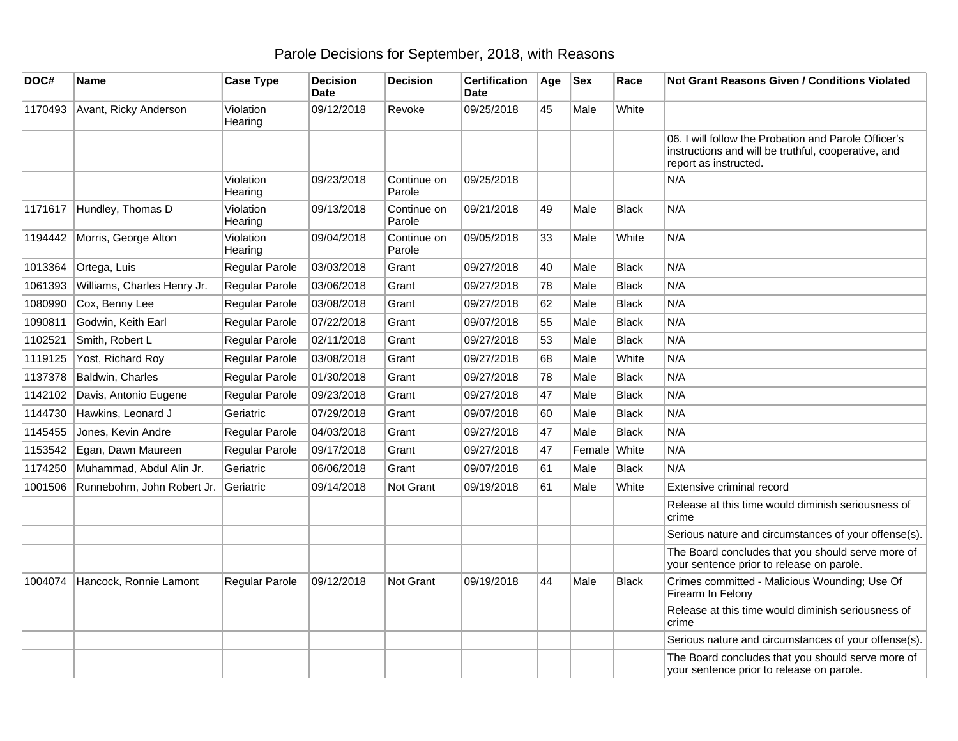## Parole Decisions for September, 2018, with Reasons

| DOC#    | <b>Name</b>                 | <b>Case Type</b>     | <b>Decision</b><br><b>Date</b> | <b>Decision</b>       | <b>Certification</b><br><b>Date</b> | Age | <b>Sex</b> | Race         | <b>Not Grant Reasons Given / Conditions Violated</b>                                                                                 |
|---------|-----------------------------|----------------------|--------------------------------|-----------------------|-------------------------------------|-----|------------|--------------|--------------------------------------------------------------------------------------------------------------------------------------|
| 1170493 | Avant, Ricky Anderson       | Violation<br>Hearing | 09/12/2018                     | Revoke                | 09/25/2018                          | 45  | Male       | White        |                                                                                                                                      |
|         |                             |                      |                                |                       |                                     |     |            |              | 06. I will follow the Probation and Parole Officer's<br>instructions and will be truthful, cooperative, and<br>report as instructed. |
|         |                             | Violation<br>Hearing | 09/23/2018                     | Continue on<br>Parole | 09/25/2018                          |     |            |              | N/A                                                                                                                                  |
| 1171617 | Hundley, Thomas D           | Violation<br>Hearing | 09/13/2018                     | Continue on<br>Parole | 09/21/2018                          | 49  | Male       | <b>Black</b> | N/A                                                                                                                                  |
| 1194442 | Morris, George Alton        | Violation<br>Hearing | 09/04/2018                     | Continue on<br>Parole | 09/05/2018                          | 33  | Male       | White        | N/A                                                                                                                                  |
| 1013364 | Ortega, Luis                | Regular Parole       | 03/03/2018                     | Grant                 | 09/27/2018                          | 40  | Male       | <b>Black</b> | N/A                                                                                                                                  |
| 1061393 | Williams, Charles Henry Jr. | Regular Parole       | 03/06/2018                     | Grant                 | 09/27/2018                          | 78  | Male       | <b>Black</b> | N/A                                                                                                                                  |
| 1080990 | Cox, Benny Lee              | Regular Parole       | 03/08/2018                     | Grant                 | 09/27/2018                          | 62  | Male       | <b>Black</b> | N/A                                                                                                                                  |
| 1090811 | Godwin, Keith Earl          | Regular Parole       | 07/22/2018                     | Grant                 | 09/07/2018                          | 55  | Male       | <b>Black</b> | N/A                                                                                                                                  |
| 1102521 | Smith, Robert L             | Regular Parole       | 02/11/2018                     | Grant                 | 09/27/2018                          | 53  | Male       | <b>Black</b> | N/A                                                                                                                                  |
| 1119125 | Yost, Richard Roy           | Regular Parole       | 03/08/2018                     | Grant                 | 09/27/2018                          | 68  | Male       | White        | N/A                                                                                                                                  |
| 1137378 | Baldwin, Charles            | Regular Parole       | 01/30/2018                     | Grant                 | 09/27/2018                          | 78  | Male       | <b>Black</b> | N/A                                                                                                                                  |
| 1142102 | Davis, Antonio Eugene       | Regular Parole       | 09/23/2018                     | Grant                 | 09/27/2018                          | 47  | Male       | Black        | N/A                                                                                                                                  |
| 1144730 | Hawkins, Leonard J          | Geriatric            | 07/29/2018                     | Grant                 | 09/07/2018                          | 60  | Male       | <b>Black</b> | N/A                                                                                                                                  |
| 1145455 | Jones, Kevin Andre          | Regular Parole       | 04/03/2018                     | Grant                 | 09/27/2018                          | 47  | Male       | <b>Black</b> | N/A                                                                                                                                  |
| 1153542 | Egan, Dawn Maureen          | Regular Parole       | 09/17/2018                     | Grant                 | 09/27/2018                          | 47  | Female     | White        | N/A                                                                                                                                  |
| 1174250 | Muhammad, Abdul Alin Jr.    | Geriatric            | 06/06/2018                     | Grant                 | 09/07/2018                          | 61  | Male       | <b>Black</b> | N/A                                                                                                                                  |
| 1001506 | Runnebohm, John Robert Jr.  | Geriatric            | 09/14/2018                     | Not Grant             | 09/19/2018                          | 61  | Male       | White        | Extensive criminal record                                                                                                            |
|         |                             |                      |                                |                       |                                     |     |            |              | Release at this time would diminish seriousness of<br>crime                                                                          |
|         |                             |                      |                                |                       |                                     |     |            |              | Serious nature and circumstances of your offense(s).                                                                                 |
|         |                             |                      |                                |                       |                                     |     |            |              | The Board concludes that you should serve more of<br>your sentence prior to release on parole.                                       |
| 1004074 | Hancock, Ronnie Lamont      | Regular Parole       | 09/12/2018                     | Not Grant             | 09/19/2018                          | 44  | Male       | <b>Black</b> | Crimes committed - Malicious Wounding; Use Of<br>Firearm In Felony                                                                   |
|         |                             |                      |                                |                       |                                     |     |            |              | Release at this time would diminish seriousness of<br>crime                                                                          |
|         |                             |                      |                                |                       |                                     |     |            |              | Serious nature and circumstances of your offense(s).                                                                                 |
|         |                             |                      |                                |                       |                                     |     |            |              | The Board concludes that you should serve more of<br>your sentence prior to release on parole.                                       |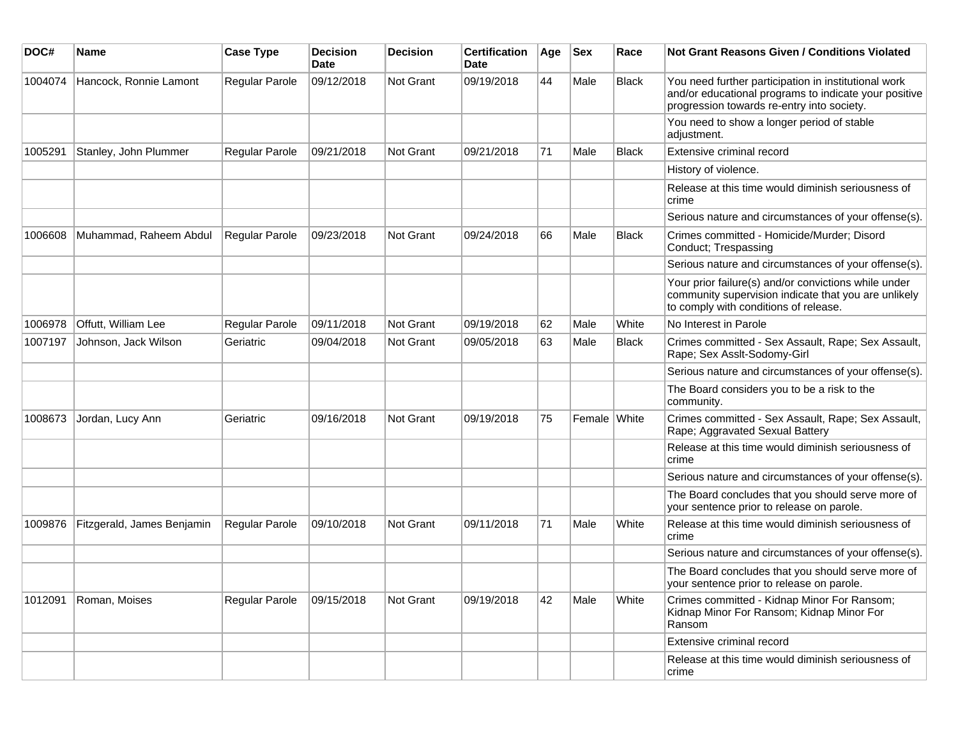| DOC#    | <b>Name</b>                | <b>Case Type</b>      | <b>Decision</b><br><b>Date</b> | <b>Decision</b>  | <b>Certification</b><br>Date | Age | <b>Sex</b>   | Race         | <b>Not Grant Reasons Given / Conditions Violated</b>                                                                                                        |
|---------|----------------------------|-----------------------|--------------------------------|------------------|------------------------------|-----|--------------|--------------|-------------------------------------------------------------------------------------------------------------------------------------------------------------|
| 1004074 | Hancock, Ronnie Lamont     | Regular Parole        | 09/12/2018                     | <b>Not Grant</b> | 09/19/2018                   | 44  | Male         | Black        | You need further participation in institutional work<br>and/or educational programs to indicate your positive<br>progression towards re-entry into society. |
|         |                            |                       |                                |                  |                              |     |              |              | You need to show a longer period of stable<br>adjustment.                                                                                                   |
| 1005291 | Stanley, John Plummer      | Regular Parole        | 09/21/2018                     | <b>Not Grant</b> | 09/21/2018                   | 71  | Male         | <b>Black</b> | Extensive criminal record                                                                                                                                   |
|         |                            |                       |                                |                  |                              |     |              |              | History of violence.                                                                                                                                        |
|         |                            |                       |                                |                  |                              |     |              |              | Release at this time would diminish seriousness of<br>crime                                                                                                 |
|         |                            |                       |                                |                  |                              |     |              |              | Serious nature and circumstances of your offense(s).                                                                                                        |
| 1006608 | Muhammad, Raheem Abdul     | <b>Regular Parole</b> | 09/23/2018                     | <b>Not Grant</b> | 09/24/2018                   | 66  | Male         | <b>Black</b> | Crimes committed - Homicide/Murder; Disord<br>Conduct; Trespassing                                                                                          |
|         |                            |                       |                                |                  |                              |     |              |              | Serious nature and circumstances of your offense(s).                                                                                                        |
|         |                            |                       |                                |                  |                              |     |              |              | Your prior failure(s) and/or convictions while under<br>community supervision indicate that you are unlikely<br>to comply with conditions of release.       |
| 1006978 | Offutt, William Lee        | Regular Parole        | 09/11/2018                     | <b>Not Grant</b> | 09/19/2018                   | 62  | Male         | White        | No Interest in Parole                                                                                                                                       |
| 1007197 | Johnson, Jack Wilson       | Geriatric             | 09/04/2018                     | <b>Not Grant</b> | 09/05/2018                   | 63  | Male         | <b>Black</b> | Crimes committed - Sex Assault, Rape; Sex Assault,<br>Rape; Sex Asslt-Sodomy-Girl                                                                           |
|         |                            |                       |                                |                  |                              |     |              |              | Serious nature and circumstances of your offense(s).                                                                                                        |
|         |                            |                       |                                |                  |                              |     |              |              | The Board considers you to be a risk to the<br>community.                                                                                                   |
| 1008673 | Jordan, Lucy Ann           | Geriatric             | 09/16/2018                     | <b>Not Grant</b> | 09/19/2018                   | 75  | Female White |              | Crimes committed - Sex Assault, Rape; Sex Assault,<br>Rape; Aggravated Sexual Battery                                                                       |
|         |                            |                       |                                |                  |                              |     |              |              | Release at this time would diminish seriousness of<br>crime                                                                                                 |
|         |                            |                       |                                |                  |                              |     |              |              | Serious nature and circumstances of your offense(s).                                                                                                        |
|         |                            |                       |                                |                  |                              |     |              |              | The Board concludes that you should serve more of<br>your sentence prior to release on parole.                                                              |
| 1009876 | Fitzgerald, James Benjamin | Regular Parole        | 09/10/2018                     | <b>Not Grant</b> | 09/11/2018                   | 71  | Male         | White        | Release at this time would diminish seriousness of<br>crime                                                                                                 |
|         |                            |                       |                                |                  |                              |     |              |              | Serious nature and circumstances of your offense(s).                                                                                                        |
|         |                            |                       |                                |                  |                              |     |              |              | The Board concludes that you should serve more of<br>your sentence prior to release on parole.                                                              |
| 1012091 | Roman, Moises              | Regular Parole        | 09/15/2018                     | Not Grant        | 09/19/2018                   | 42  | Male         | White        | Crimes committed - Kidnap Minor For Ransom;<br>Kidnap Minor For Ransom; Kidnap Minor For<br>Ransom                                                          |
|         |                            |                       |                                |                  |                              |     |              |              | Extensive criminal record                                                                                                                                   |
|         |                            |                       |                                |                  |                              |     |              |              | Release at this time would diminish seriousness of<br>crime                                                                                                 |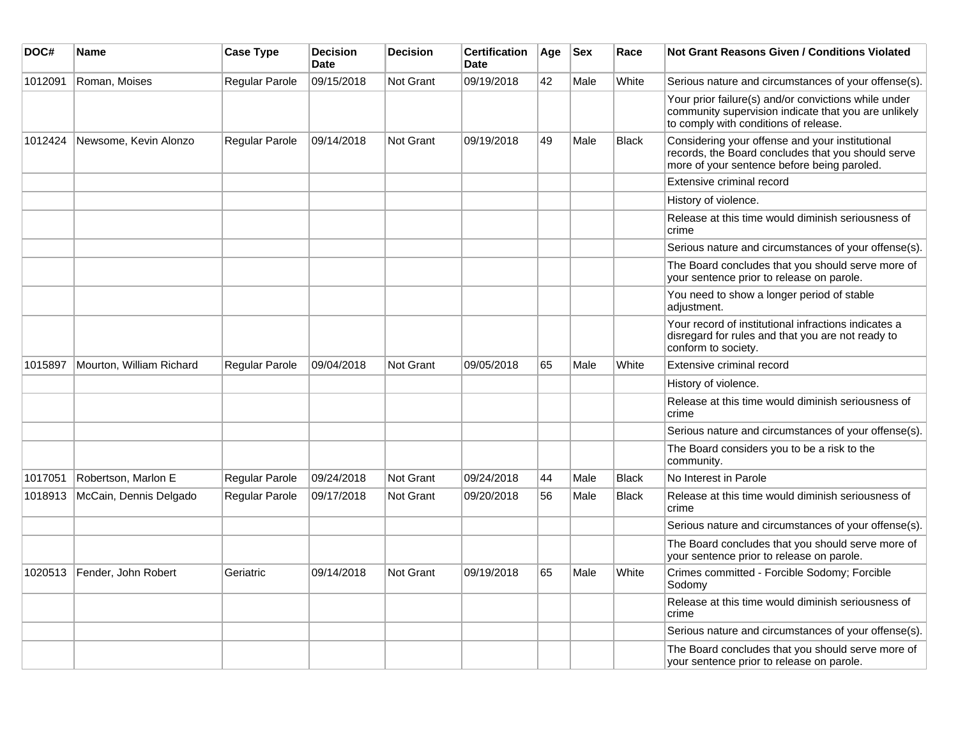| DOC#    | <b>Name</b>              | <b>Case Type</b> | <b>Decision</b><br><b>Date</b> | <b>Decision</b>  | <b>Certification</b><br><b>Date</b> | Age | <b>Sex</b> | Race         | Not Grant Reasons Given / Conditions Violated                                                                                                         |
|---------|--------------------------|------------------|--------------------------------|------------------|-------------------------------------|-----|------------|--------------|-------------------------------------------------------------------------------------------------------------------------------------------------------|
| 1012091 | Roman, Moises            | Regular Parole   | 09/15/2018                     | Not Grant        | 09/19/2018                          | 42  | Male       | White        | Serious nature and circumstances of your offense(s).                                                                                                  |
|         |                          |                  |                                |                  |                                     |     |            |              | Your prior failure(s) and/or convictions while under<br>community supervision indicate that you are unlikely<br>to comply with conditions of release. |
| 1012424 | Newsome, Kevin Alonzo    | Regular Parole   | 09/14/2018                     | <b>Not Grant</b> | 09/19/2018                          | 49  | Male       | <b>Black</b> | Considering your offense and your institutional<br>records, the Board concludes that you should serve<br>more of your sentence before being paroled.  |
|         |                          |                  |                                |                  |                                     |     |            |              | Extensive criminal record                                                                                                                             |
|         |                          |                  |                                |                  |                                     |     |            |              | History of violence.                                                                                                                                  |
|         |                          |                  |                                |                  |                                     |     |            |              | Release at this time would diminish seriousness of<br>crime                                                                                           |
|         |                          |                  |                                |                  |                                     |     |            |              | Serious nature and circumstances of your offense(s).                                                                                                  |
|         |                          |                  |                                |                  |                                     |     |            |              | The Board concludes that you should serve more of<br>your sentence prior to release on parole.                                                        |
|         |                          |                  |                                |                  |                                     |     |            |              | You need to show a longer period of stable<br>adjustment.                                                                                             |
|         |                          |                  |                                |                  |                                     |     |            |              | Your record of institutional infractions indicates a<br>disregard for rules and that you are not ready to<br>conform to society.                      |
| 1015897 | Mourton, William Richard | Regular Parole   | 09/04/2018                     | <b>Not Grant</b> | 09/05/2018                          | 65  | Male       | White        | Extensive criminal record                                                                                                                             |
|         |                          |                  |                                |                  |                                     |     |            |              | History of violence.                                                                                                                                  |
|         |                          |                  |                                |                  |                                     |     |            |              | Release at this time would diminish seriousness of<br>crime                                                                                           |
|         |                          |                  |                                |                  |                                     |     |            |              | Serious nature and circumstances of your offense(s).                                                                                                  |
|         |                          |                  |                                |                  |                                     |     |            |              | The Board considers you to be a risk to the<br>community.                                                                                             |
| 1017051 | Robertson, Marlon E      | Regular Parole   | 09/24/2018                     | <b>Not Grant</b> | 09/24/2018                          | 44  | Male       | <b>Black</b> | No Interest in Parole                                                                                                                                 |
| 1018913 | McCain, Dennis Delgado   | Regular Parole   | 09/17/2018                     | <b>Not Grant</b> | 09/20/2018                          | 56  | Male       | <b>Black</b> | Release at this time would diminish seriousness of<br>crime                                                                                           |
|         |                          |                  |                                |                  |                                     |     |            |              | Serious nature and circumstances of your offense(s).                                                                                                  |
|         |                          |                  |                                |                  |                                     |     |            |              | The Board concludes that you should serve more of<br>your sentence prior to release on parole.                                                        |
| 1020513 | Fender, John Robert      | Geriatric        | 09/14/2018                     | <b>Not Grant</b> | 09/19/2018                          | 65  | Male       | White        | Crimes committed - Forcible Sodomy; Forcible<br>Sodomy                                                                                                |
|         |                          |                  |                                |                  |                                     |     |            |              | Release at this time would diminish seriousness of<br>crime                                                                                           |
|         |                          |                  |                                |                  |                                     |     |            |              | Serious nature and circumstances of your offense(s).                                                                                                  |
|         |                          |                  |                                |                  |                                     |     |            |              | The Board concludes that you should serve more of<br>your sentence prior to release on parole.                                                        |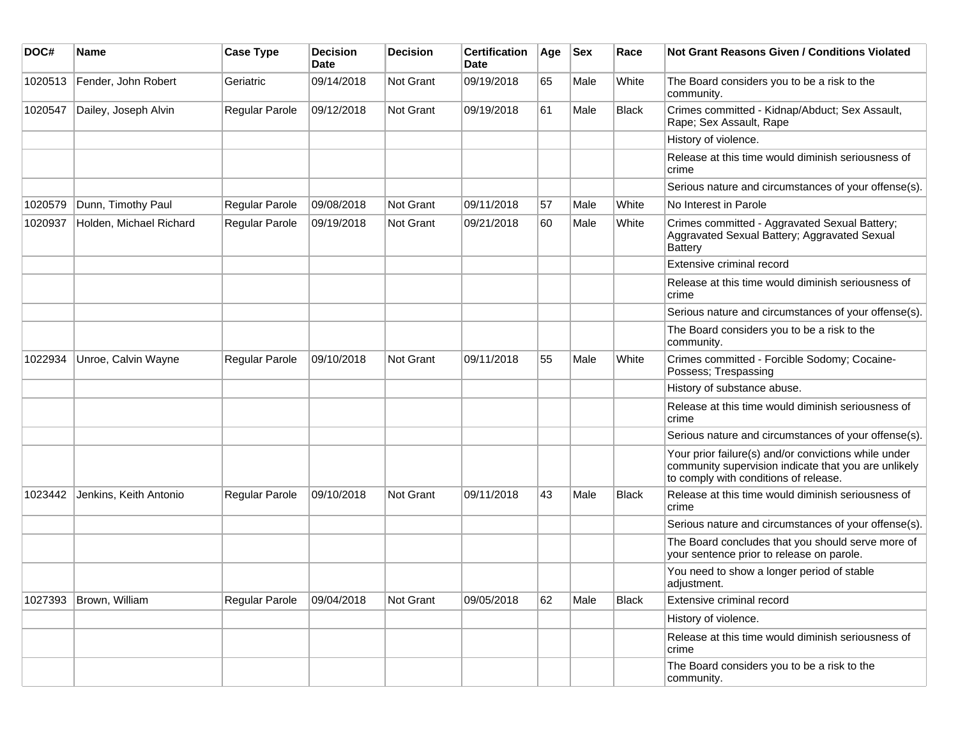| DOC#    | <b>Name</b>             | <b>Case Type</b>      | <b>Decision</b><br>Date | <b>Decision</b>  | <b>Certification</b><br><b>Date</b> | Age | <b>Sex</b> | Race         | Not Grant Reasons Given / Conditions Violated                                                                                                         |
|---------|-------------------------|-----------------------|-------------------------|------------------|-------------------------------------|-----|------------|--------------|-------------------------------------------------------------------------------------------------------------------------------------------------------|
| 1020513 | Fender, John Robert     | Geriatric             | 09/14/2018              | Not Grant        | 09/19/2018                          | 65  | Male       | White        | The Board considers you to be a risk to the<br>community.                                                                                             |
| 1020547 | Dailey, Joseph Alvin    | Regular Parole        | 09/12/2018              | Not Grant        | 09/19/2018                          | 61  | Male       | <b>Black</b> | Crimes committed - Kidnap/Abduct; Sex Assault,<br>Rape; Sex Assault, Rape                                                                             |
|         |                         |                       |                         |                  |                                     |     |            |              | History of violence.                                                                                                                                  |
|         |                         |                       |                         |                  |                                     |     |            |              | Release at this time would diminish seriousness of<br>crime                                                                                           |
|         |                         |                       |                         |                  |                                     |     |            |              | Serious nature and circumstances of your offense(s).                                                                                                  |
| 1020579 | Dunn, Timothy Paul      | <b>Regular Parole</b> | 09/08/2018              | <b>Not Grant</b> | 09/11/2018                          | 57  | Male       | White        | No Interest in Parole                                                                                                                                 |
| 1020937 | Holden, Michael Richard | <b>Regular Parole</b> | 09/19/2018              | <b>Not Grant</b> | 09/21/2018                          | 60  | Male       | White        | Crimes committed - Aggravated Sexual Battery;<br>Aggravated Sexual Battery; Aggravated Sexual<br><b>Battery</b>                                       |
|         |                         |                       |                         |                  |                                     |     |            |              | Extensive criminal record                                                                                                                             |
|         |                         |                       |                         |                  |                                     |     |            |              | Release at this time would diminish seriousness of<br>crime                                                                                           |
|         |                         |                       |                         |                  |                                     |     |            |              | Serious nature and circumstances of your offense(s).                                                                                                  |
|         |                         |                       |                         |                  |                                     |     |            |              | The Board considers you to be a risk to the<br>community.                                                                                             |
| 1022934 | Unroe, Calvin Wayne     | <b>Regular Parole</b> | 09/10/2018              | <b>Not Grant</b> | 09/11/2018                          | 55  | Male       | White        | Crimes committed - Forcible Sodomy; Cocaine-<br>Possess; Trespassing                                                                                  |
|         |                         |                       |                         |                  |                                     |     |            |              | History of substance abuse.                                                                                                                           |
|         |                         |                       |                         |                  |                                     |     |            |              | Release at this time would diminish seriousness of<br>crime                                                                                           |
|         |                         |                       |                         |                  |                                     |     |            |              | Serious nature and circumstances of your offense(s).                                                                                                  |
|         |                         |                       |                         |                  |                                     |     |            |              | Your prior failure(s) and/or convictions while under<br>community supervision indicate that you are unlikely<br>to comply with conditions of release. |
| 1023442 | Jenkins, Keith Antonio  | <b>Regular Parole</b> | 09/10/2018              | <b>Not Grant</b> | 09/11/2018                          | 43  | Male       | Black        | Release at this time would diminish seriousness of<br>crime                                                                                           |
|         |                         |                       |                         |                  |                                     |     |            |              | Serious nature and circumstances of your offense(s).                                                                                                  |
|         |                         |                       |                         |                  |                                     |     |            |              | The Board concludes that you should serve more of<br>your sentence prior to release on parole.                                                        |
|         |                         |                       |                         |                  |                                     |     |            |              | You need to show a longer period of stable<br>adjustment.                                                                                             |
|         | 1027393 Brown, William  | Regular Parole        | 09/04/2018              | Not Grant        | 09/05/2018                          | 62  | Male       | <b>Black</b> | Extensive criminal record                                                                                                                             |
|         |                         |                       |                         |                  |                                     |     |            |              | History of violence.                                                                                                                                  |
|         |                         |                       |                         |                  |                                     |     |            |              | Release at this time would diminish seriousness of<br>crime                                                                                           |
|         |                         |                       |                         |                  |                                     |     |            |              | The Board considers you to be a risk to the<br>community.                                                                                             |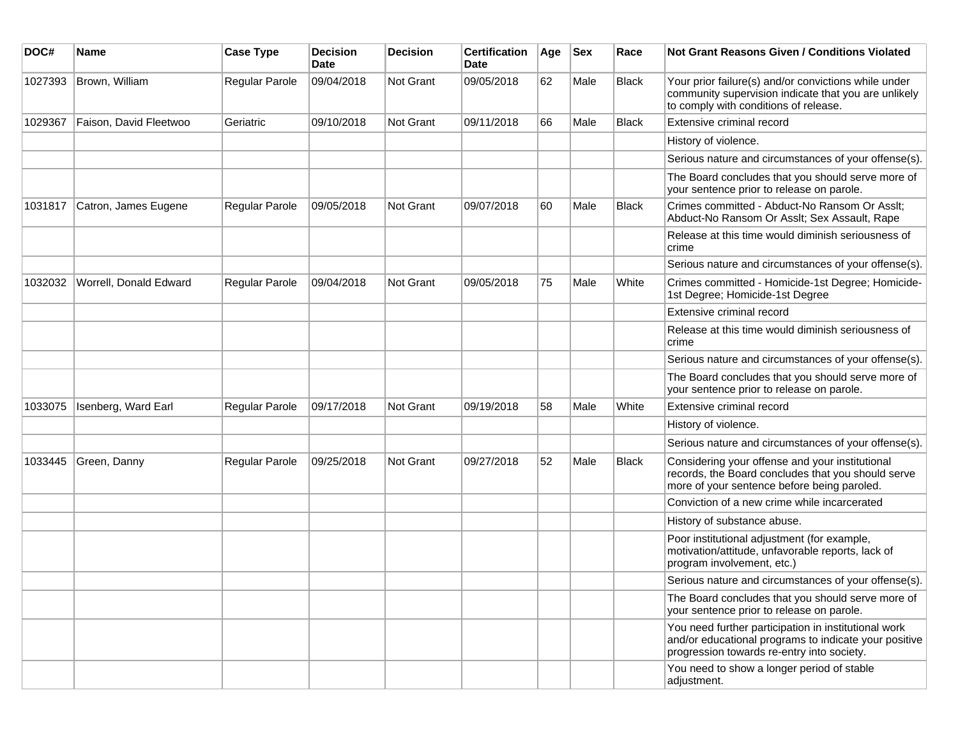| DOC#    | Name                   | <b>Case Type</b> | <b>Decision</b><br><b>Date</b> | <b>Decision</b>  | <b>Certification</b><br>Date | Age | <b>Sex</b> | Race         | <b>Not Grant Reasons Given / Conditions Violated</b>                                                                                                        |
|---------|------------------------|------------------|--------------------------------|------------------|------------------------------|-----|------------|--------------|-------------------------------------------------------------------------------------------------------------------------------------------------------------|
| 1027393 | Brown, William         | Regular Parole   | 09/04/2018                     | Not Grant        | 09/05/2018                   | 62  | Male       | Black        | Your prior failure(s) and/or convictions while under<br>community supervision indicate that you are unlikely<br>to comply with conditions of release.       |
| 1029367 | Faison, David Fleetwoo | Geriatric        | 09/10/2018                     | <b>Not Grant</b> | 09/11/2018                   | 66  | Male       | <b>Black</b> | Extensive criminal record                                                                                                                                   |
|         |                        |                  |                                |                  |                              |     |            |              | History of violence.                                                                                                                                        |
|         |                        |                  |                                |                  |                              |     |            |              | Serious nature and circumstances of your offense(s).                                                                                                        |
|         |                        |                  |                                |                  |                              |     |            |              | The Board concludes that you should serve more of<br>your sentence prior to release on parole.                                                              |
| 1031817 | Catron, James Eugene   | Regular Parole   | 09/05/2018                     | Not Grant        | 09/07/2018                   | 60  | Male       | <b>Black</b> | Crimes committed - Abduct-No Ransom Or Asslt;<br>Abduct-No Ransom Or Asslt; Sex Assault, Rape                                                               |
|         |                        |                  |                                |                  |                              |     |            |              | Release at this time would diminish seriousness of<br>crime                                                                                                 |
|         |                        |                  |                                |                  |                              |     |            |              | Serious nature and circumstances of your offense(s).                                                                                                        |
| 1032032 | Worrell, Donald Edward | Regular Parole   | 09/04/2018                     | Not Grant        | 09/05/2018                   | 75  | Male       | White        | Crimes committed - Homicide-1st Degree; Homicide-<br>1st Degree; Homicide-1st Degree                                                                        |
|         |                        |                  |                                |                  |                              |     |            |              | Extensive criminal record                                                                                                                                   |
|         |                        |                  |                                |                  |                              |     |            |              | Release at this time would diminish seriousness of<br>crime                                                                                                 |
|         |                        |                  |                                |                  |                              |     |            |              | Serious nature and circumstances of your offense(s).                                                                                                        |
|         |                        |                  |                                |                  |                              |     |            |              | The Board concludes that you should serve more of<br>your sentence prior to release on parole.                                                              |
| 1033075 | Isenberg, Ward Earl    | Regular Parole   | 09/17/2018                     | Not Grant        | 09/19/2018                   | 58  | Male       | White        | Extensive criminal record                                                                                                                                   |
|         |                        |                  |                                |                  |                              |     |            |              | History of violence.                                                                                                                                        |
|         |                        |                  |                                |                  |                              |     |            |              | Serious nature and circumstances of your offense(s).                                                                                                        |
| 1033445 | Green, Danny           | Regular Parole   | 09/25/2018                     | <b>Not Grant</b> | 09/27/2018                   | 52  | Male       | Black        | Considering your offense and your institutional<br>records, the Board concludes that you should serve<br>more of your sentence before being paroled.        |
|         |                        |                  |                                |                  |                              |     |            |              | Conviction of a new crime while incarcerated                                                                                                                |
|         |                        |                  |                                |                  |                              |     |            |              | History of substance abuse.                                                                                                                                 |
|         |                        |                  |                                |                  |                              |     |            |              | Poor institutional adjustment (for example,<br>motivation/attitude, unfavorable reports, lack of<br>program involvement, etc.)                              |
|         |                        |                  |                                |                  |                              |     |            |              | Serious nature and circumstances of your offense(s).                                                                                                        |
|         |                        |                  |                                |                  |                              |     |            |              | The Board concludes that you should serve more of<br>your sentence prior to release on parole.                                                              |
|         |                        |                  |                                |                  |                              |     |            |              | You need further participation in institutional work<br>and/or educational programs to indicate your positive<br>progression towards re-entry into society. |
|         |                        |                  |                                |                  |                              |     |            |              | You need to show a longer period of stable<br>adjustment.                                                                                                   |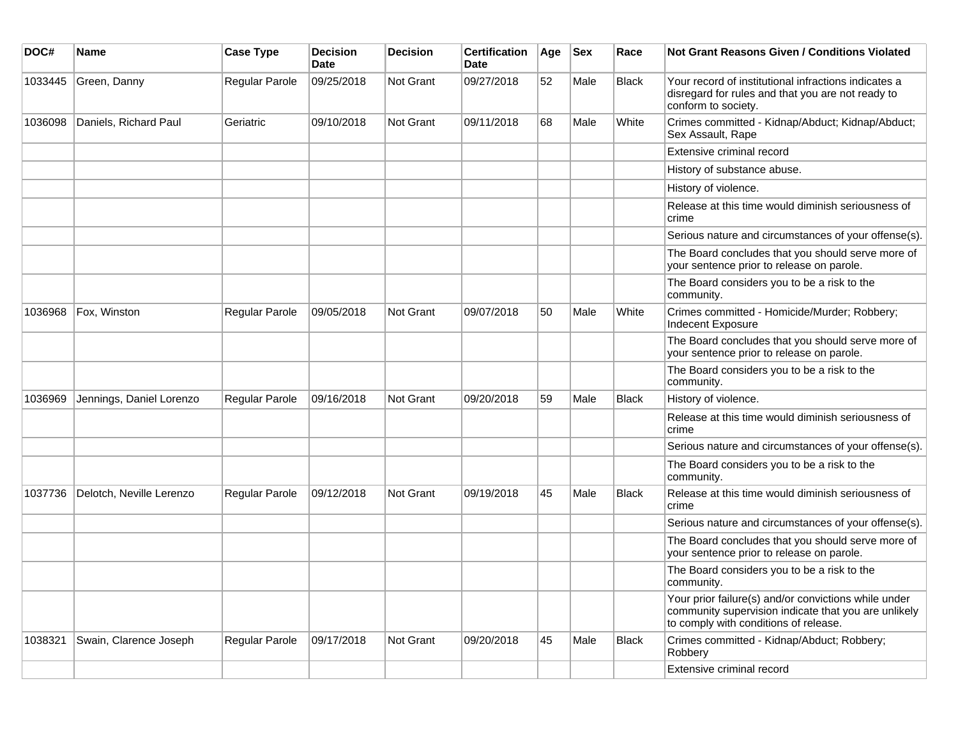| DOC#    | <b>Name</b>              | <b>Case Type</b>      | <b>Decision</b><br><b>Date</b> | <b>Decision</b> | <b>Certification</b><br>Date | Age | <b>Sex</b> | Race         | Not Grant Reasons Given / Conditions Violated                                                                                                         |
|---------|--------------------------|-----------------------|--------------------------------|-----------------|------------------------------|-----|------------|--------------|-------------------------------------------------------------------------------------------------------------------------------------------------------|
| 1033445 | Green, Danny             | Regular Parole        | 09/25/2018                     | Not Grant       | 09/27/2018                   | 52  | Male       | <b>Black</b> | Your record of institutional infractions indicates a<br>disregard for rules and that you are not ready to<br>conform to society.                      |
| 1036098 | Daniels, Richard Paul    | Geriatric             | 09/10/2018                     | Not Grant       | 09/11/2018                   | 68  | Male       | White        | Crimes committed - Kidnap/Abduct; Kidnap/Abduct;<br>Sex Assault, Rape                                                                                 |
|         |                          |                       |                                |                 |                              |     |            |              | Extensive criminal record                                                                                                                             |
|         |                          |                       |                                |                 |                              |     |            |              | History of substance abuse.                                                                                                                           |
|         |                          |                       |                                |                 |                              |     |            |              | History of violence.                                                                                                                                  |
|         |                          |                       |                                |                 |                              |     |            |              | Release at this time would diminish seriousness of<br>crime                                                                                           |
|         |                          |                       |                                |                 |                              |     |            |              | Serious nature and circumstances of your offense(s).                                                                                                  |
|         |                          |                       |                                |                 |                              |     |            |              | The Board concludes that you should serve more of<br>your sentence prior to release on parole.                                                        |
|         |                          |                       |                                |                 |                              |     |            |              | The Board considers you to be a risk to the<br>community.                                                                                             |
| 1036968 | Fox, Winston             | Regular Parole        | 09/05/2018                     | Not Grant       | 09/07/2018                   | 50  | Male       | White        | Crimes committed - Homicide/Murder; Robbery;<br>Indecent Exposure                                                                                     |
|         |                          |                       |                                |                 |                              |     |            |              | The Board concludes that you should serve more of<br>your sentence prior to release on parole.                                                        |
|         |                          |                       |                                |                 |                              |     |            |              | The Board considers you to be a risk to the<br>community.                                                                                             |
| 1036969 | Jennings, Daniel Lorenzo | Regular Parole        | 09/16/2018                     | Not Grant       | 09/20/2018                   | 59  | Male       | <b>Black</b> | History of violence.                                                                                                                                  |
|         |                          |                       |                                |                 |                              |     |            |              | Release at this time would diminish seriousness of<br>crime                                                                                           |
|         |                          |                       |                                |                 |                              |     |            |              | Serious nature and circumstances of your offense(s).                                                                                                  |
|         |                          |                       |                                |                 |                              |     |            |              | The Board considers you to be a risk to the<br>community.                                                                                             |
| 1037736 | Delotch, Neville Lerenzo | <b>Regular Parole</b> | 09/12/2018                     | Not Grant       | 09/19/2018                   | 45  | Male       | Black        | Release at this time would diminish seriousness of<br>crime                                                                                           |
|         |                          |                       |                                |                 |                              |     |            |              | Serious nature and circumstances of your offense(s).                                                                                                  |
|         |                          |                       |                                |                 |                              |     |            |              | The Board concludes that you should serve more of<br>your sentence prior to release on parole.                                                        |
|         |                          |                       |                                |                 |                              |     |            |              | The Board considers you to be a risk to the<br>community.                                                                                             |
|         |                          |                       |                                |                 |                              |     |            |              | Your prior failure(s) and/or convictions while under<br>community supervision indicate that you are unlikely<br>to comply with conditions of release. |
| 1038321 | Swain, Clarence Joseph   | Regular Parole        | 09/17/2018                     | Not Grant       | 09/20/2018                   | 45  | Male       | <b>Black</b> | Crimes committed - Kidnap/Abduct; Robbery;<br>Robbery                                                                                                 |
|         |                          |                       |                                |                 |                              |     |            |              | Extensive criminal record                                                                                                                             |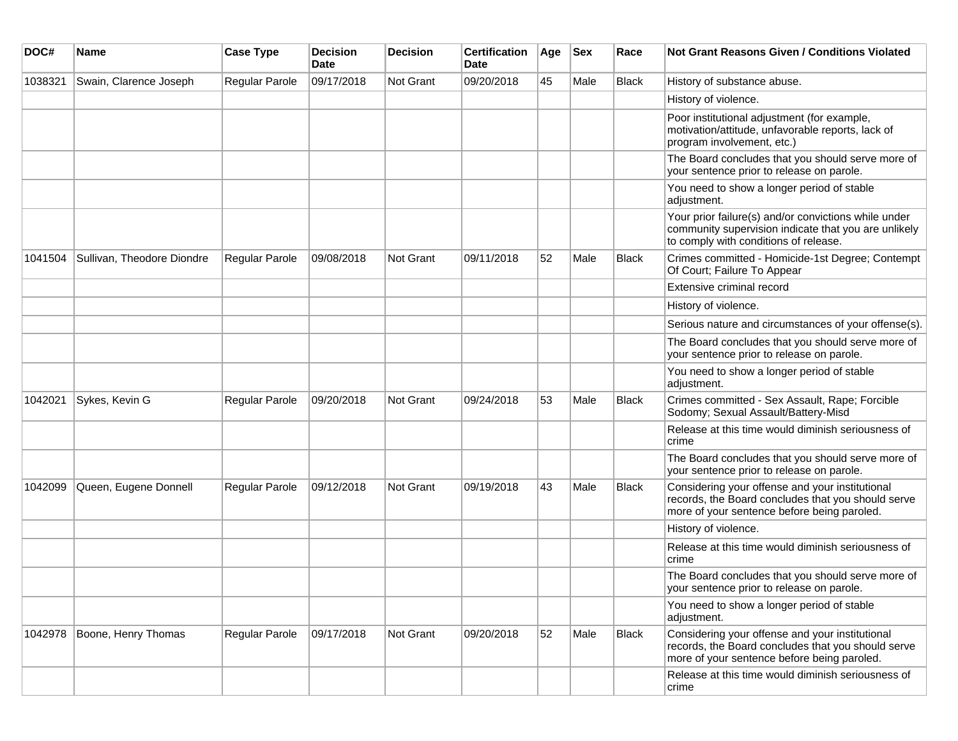| DOC#    | Name                       | <b>Case Type</b> | <b>Decision</b><br><b>Date</b> | <b>Decision</b> | <b>Certification</b><br>Date | Age | <b>Sex</b> | Race         | <b>Not Grant Reasons Given / Conditions Violated</b>                                                                                                  |
|---------|----------------------------|------------------|--------------------------------|-----------------|------------------------------|-----|------------|--------------|-------------------------------------------------------------------------------------------------------------------------------------------------------|
| 1038321 | Swain, Clarence Joseph     | Regular Parole   | 09/17/2018                     | Not Grant       | 09/20/2018                   | 45  | Male       | <b>Black</b> | History of substance abuse.                                                                                                                           |
|         |                            |                  |                                |                 |                              |     |            |              | History of violence.                                                                                                                                  |
|         |                            |                  |                                |                 |                              |     |            |              | Poor institutional adjustment (for example,<br>motivation/attitude, unfavorable reports, lack of<br>program involvement, etc.)                        |
|         |                            |                  |                                |                 |                              |     |            |              | The Board concludes that you should serve more of<br>your sentence prior to release on parole.                                                        |
|         |                            |                  |                                |                 |                              |     |            |              | You need to show a longer period of stable<br>adjustment.                                                                                             |
|         |                            |                  |                                |                 |                              |     |            |              | Your prior failure(s) and/or convictions while under<br>community supervision indicate that you are unlikely<br>to comply with conditions of release. |
| 1041504 | Sullivan, Theodore Diondre | Regular Parole   | 09/08/2018                     | Not Grant       | 09/11/2018                   | 52  | Male       | Black        | Crimes committed - Homicide-1st Degree; Contempt<br>Of Court; Failure To Appear                                                                       |
|         |                            |                  |                                |                 |                              |     |            |              | Extensive criminal record                                                                                                                             |
|         |                            |                  |                                |                 |                              |     |            |              | History of violence.                                                                                                                                  |
|         |                            |                  |                                |                 |                              |     |            |              | Serious nature and circumstances of your offense(s).                                                                                                  |
|         |                            |                  |                                |                 |                              |     |            |              | The Board concludes that you should serve more of<br>your sentence prior to release on parole.                                                        |
|         |                            |                  |                                |                 |                              |     |            |              | You need to show a longer period of stable<br>adjustment.                                                                                             |
| 1042021 | Sykes, Kevin G             | Regular Parole   | 09/20/2018                     | Not Grant       | 09/24/2018                   | 53  | Male       | Black        | Crimes committed - Sex Assault, Rape; Forcible<br>Sodomy; Sexual Assault/Battery-Misd                                                                 |
|         |                            |                  |                                |                 |                              |     |            |              | Release at this time would diminish seriousness of<br>crime                                                                                           |
|         |                            |                  |                                |                 |                              |     |            |              | The Board concludes that you should serve more of<br>your sentence prior to release on parole.                                                        |
| 1042099 | Queen, Eugene Donnell      | Regular Parole   | 09/12/2018                     | Not Grant       | 09/19/2018                   | 43  | Male       | Black        | Considering your offense and your institutional<br>records, the Board concludes that you should serve<br>more of your sentence before being paroled.  |
|         |                            |                  |                                |                 |                              |     |            |              | History of violence.                                                                                                                                  |
|         |                            |                  |                                |                 |                              |     |            |              | Release at this time would diminish seriousness of<br>crime                                                                                           |
|         |                            |                  |                                |                 |                              |     |            |              | The Board concludes that you should serve more of<br>your sentence prior to release on parole.                                                        |
|         |                            |                  |                                |                 |                              |     |            |              | You need to show a longer period of stable<br>adjustment.                                                                                             |
| 1042978 | Boone, Henry Thomas        | Regular Parole   | 09/17/2018                     | Not Grant       | 09/20/2018                   | 52  | Male       | Black        | Considering your offense and your institutional<br>records, the Board concludes that you should serve<br>more of your sentence before being paroled.  |
|         |                            |                  |                                |                 |                              |     |            |              | Release at this time would diminish seriousness of<br>crime                                                                                           |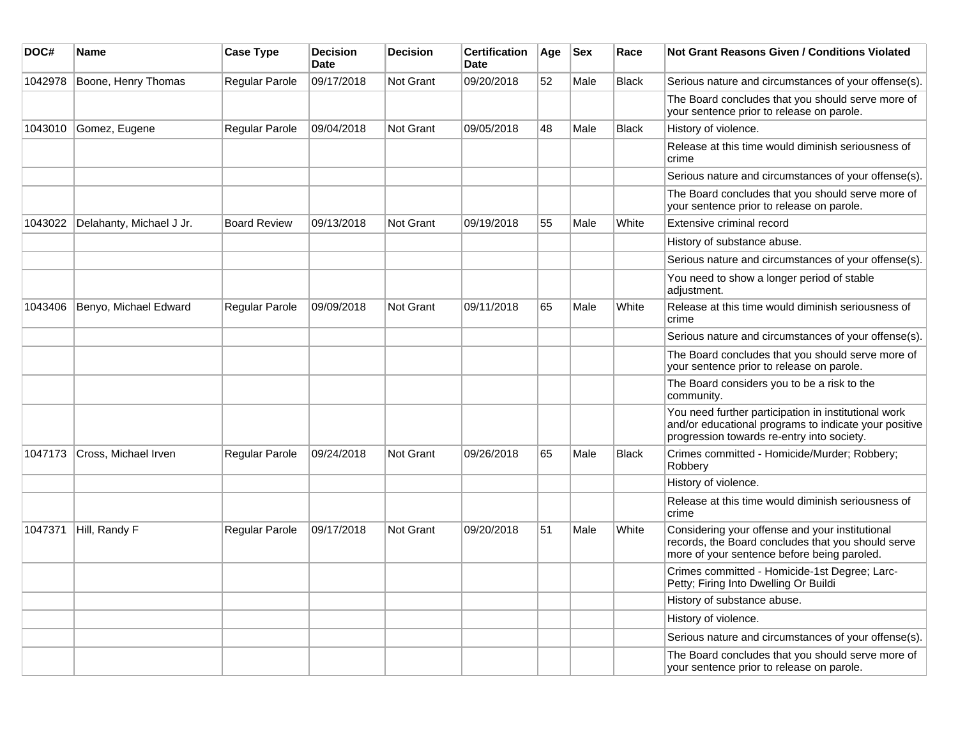| DOC#    | Name                     | <b>Case Type</b>      | <b>Decision</b><br><b>Date</b> | <b>Decision</b>  | <b>Certification</b><br>Date | Age | <b>Sex</b> | Race         | <b>Not Grant Reasons Given / Conditions Violated</b>                                                                                                        |
|---------|--------------------------|-----------------------|--------------------------------|------------------|------------------------------|-----|------------|--------------|-------------------------------------------------------------------------------------------------------------------------------------------------------------|
| 1042978 | Boone, Henry Thomas      | Regular Parole        | 09/17/2018                     | Not Grant        | 09/20/2018                   | 52  | Male       | <b>Black</b> | Serious nature and circumstances of your offense(s).                                                                                                        |
|         |                          |                       |                                |                  |                              |     |            |              | The Board concludes that you should serve more of<br>your sentence prior to release on parole.                                                              |
| 1043010 | Gomez, Eugene            | Regular Parole        | 09/04/2018                     | <b>Not Grant</b> | 09/05/2018                   | 48  | Male       | <b>Black</b> | History of violence.                                                                                                                                        |
|         |                          |                       |                                |                  |                              |     |            |              | Release at this time would diminish seriousness of<br>crime                                                                                                 |
|         |                          |                       |                                |                  |                              |     |            |              | Serious nature and circumstances of your offense(s).                                                                                                        |
|         |                          |                       |                                |                  |                              |     |            |              | The Board concludes that you should serve more of<br>your sentence prior to release on parole.                                                              |
| 1043022 | Delahanty, Michael J Jr. | <b>Board Review</b>   | 09/13/2018                     | <b>Not Grant</b> | 09/19/2018                   | 55  | Male       | White        | Extensive criminal record                                                                                                                                   |
|         |                          |                       |                                |                  |                              |     |            |              | History of substance abuse.                                                                                                                                 |
|         |                          |                       |                                |                  |                              |     |            |              | Serious nature and circumstances of your offense(s).                                                                                                        |
|         |                          |                       |                                |                  |                              |     |            |              | You need to show a longer period of stable<br>adjustment.                                                                                                   |
| 1043406 | Benyo, Michael Edward    | <b>Regular Parole</b> | 09/09/2018                     | Not Grant        | 09/11/2018                   | 65  | Male       | White        | Release at this time would diminish seriousness of<br>crime                                                                                                 |
|         |                          |                       |                                |                  |                              |     |            |              | Serious nature and circumstances of your offense(s).                                                                                                        |
|         |                          |                       |                                |                  |                              |     |            |              | The Board concludes that you should serve more of<br>your sentence prior to release on parole.                                                              |
|         |                          |                       |                                |                  |                              |     |            |              | The Board considers you to be a risk to the<br>community.                                                                                                   |
|         |                          |                       |                                |                  |                              |     |            |              | You need further participation in institutional work<br>and/or educational programs to indicate your positive<br>progression towards re-entry into society. |
| 1047173 | Cross, Michael Irven     | <b>Regular Parole</b> | 09/24/2018                     | Not Grant        | 09/26/2018                   | 65  | Male       | <b>Black</b> | Crimes committed - Homicide/Murder; Robbery;<br>Robbery                                                                                                     |
|         |                          |                       |                                |                  |                              |     |            |              | History of violence.                                                                                                                                        |
|         |                          |                       |                                |                  |                              |     |            |              | Release at this time would diminish seriousness of<br>crime                                                                                                 |
| 1047371 | Hill, Randy F            | <b>Regular Parole</b> | 09/17/2018                     | Not Grant        | 09/20/2018                   | 51  | Male       | White        | Considering your offense and your institutional<br>records, the Board concludes that you should serve<br>more of your sentence before being paroled.        |
|         |                          |                       |                                |                  |                              |     |            |              | Crimes committed - Homicide-1st Degree; Larc-<br>Petty; Firing Into Dwelling Or Buildi                                                                      |
|         |                          |                       |                                |                  |                              |     |            |              | History of substance abuse.                                                                                                                                 |
|         |                          |                       |                                |                  |                              |     |            |              | History of violence.                                                                                                                                        |
|         |                          |                       |                                |                  |                              |     |            |              | Serious nature and circumstances of your offense(s).                                                                                                        |
|         |                          |                       |                                |                  |                              |     |            |              | The Board concludes that you should serve more of<br>your sentence prior to release on parole.                                                              |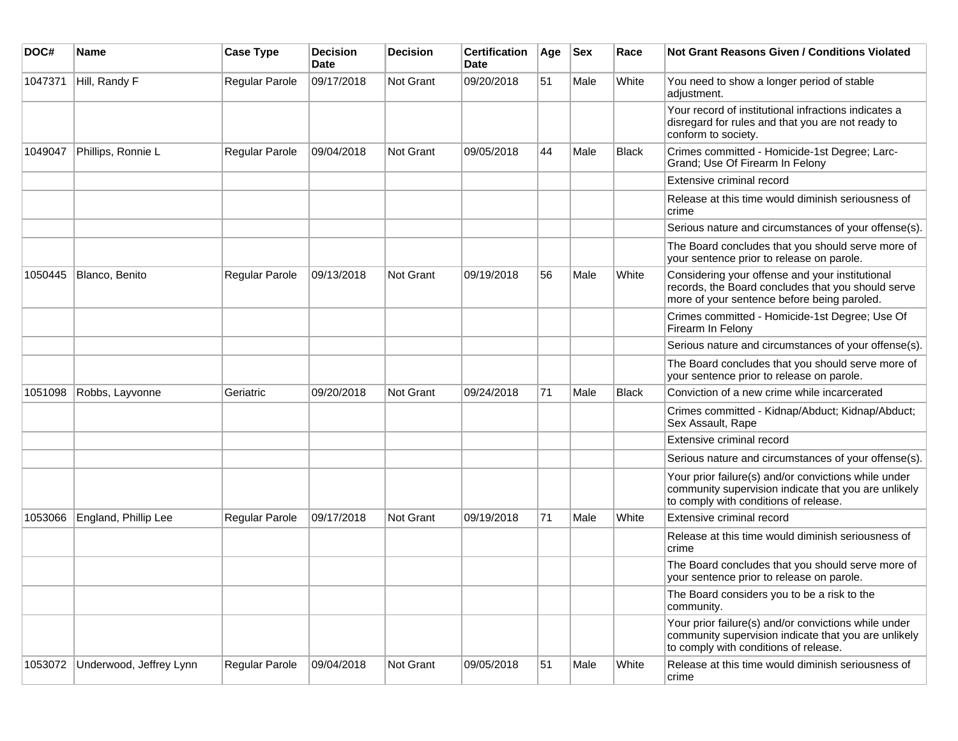| DOC#    | <b>Name</b>             | <b>Case Type</b> | <b>Decision</b><br>Date | <b>Decision</b> | <b>Certification</b><br>Date | Age | <b>Sex</b> | Race         | <b>Not Grant Reasons Given / Conditions Violated</b>                                                                                                  |
|---------|-------------------------|------------------|-------------------------|-----------------|------------------------------|-----|------------|--------------|-------------------------------------------------------------------------------------------------------------------------------------------------------|
| 1047371 | Hill, Randy F           | Regular Parole   | 09/17/2018              | Not Grant       | 09/20/2018                   | 51  | Male       | White        | You need to show a longer period of stable<br>adjustment.                                                                                             |
|         |                         |                  |                         |                 |                              |     |            |              | Your record of institutional infractions indicates a<br>disregard for rules and that you are not ready to<br>conform to society.                      |
| 1049047 | Phillips, Ronnie L      | Regular Parole   | 09/04/2018              | Not Grant       | 09/05/2018                   | 44  | Male       | <b>Black</b> | Crimes committed - Homicide-1st Degree; Larc-<br>Grand; Use Of Firearm In Felony                                                                      |
|         |                         |                  |                         |                 |                              |     |            |              | Extensive criminal record                                                                                                                             |
|         |                         |                  |                         |                 |                              |     |            |              | Release at this time would diminish seriousness of<br>crime                                                                                           |
|         |                         |                  |                         |                 |                              |     |            |              | Serious nature and circumstances of your offense(s).                                                                                                  |
|         |                         |                  |                         |                 |                              |     |            |              | The Board concludes that you should serve more of<br>your sentence prior to release on parole.                                                        |
| 1050445 | Blanco, Benito          | Regular Parole   | 09/13/2018              | Not Grant       | 09/19/2018                   | 56  | Male       | White        | Considering your offense and your institutional<br>records, the Board concludes that you should serve<br>more of your sentence before being paroled.  |
|         |                         |                  |                         |                 |                              |     |            |              | Crimes committed - Homicide-1st Degree; Use Of<br>Firearm In Felony                                                                                   |
|         |                         |                  |                         |                 |                              |     |            |              | Serious nature and circumstances of your offense(s).                                                                                                  |
|         |                         |                  |                         |                 |                              |     |            |              | The Board concludes that you should serve more of<br>your sentence prior to release on parole.                                                        |
| 1051098 | Robbs, Layvonne         | Geriatric        | 09/20/2018              | Not Grant       | 09/24/2018                   | 71  | Male       | Black        | Conviction of a new crime while incarcerated                                                                                                          |
|         |                         |                  |                         |                 |                              |     |            |              | Crimes committed - Kidnap/Abduct; Kidnap/Abduct;<br>Sex Assault, Rape                                                                                 |
|         |                         |                  |                         |                 |                              |     |            |              | Extensive criminal record                                                                                                                             |
|         |                         |                  |                         |                 |                              |     |            |              | Serious nature and circumstances of your offense(s).                                                                                                  |
|         |                         |                  |                         |                 |                              |     |            |              | Your prior failure(s) and/or convictions while under<br>community supervision indicate that you are unlikely<br>to comply with conditions of release. |
| 1053066 | England, Phillip Lee    | Regular Parole   | 09/17/2018              | Not Grant       | 09/19/2018                   | 71  | Male       | White        | Extensive criminal record                                                                                                                             |
|         |                         |                  |                         |                 |                              |     |            |              | Release at this time would diminish seriousness of<br>crime                                                                                           |
|         |                         |                  |                         |                 |                              |     |            |              | The Board concludes that you should serve more of<br>your sentence prior to release on parole.                                                        |
|         |                         |                  |                         |                 |                              |     |            |              | The Board considers you to be a risk to the<br>community.                                                                                             |
|         |                         |                  |                         |                 |                              |     |            |              | Your prior failure(s) and/or convictions while under<br>community supervision indicate that you are unlikely<br>to comply with conditions of release. |
| 1053072 | Underwood, Jeffrey Lynn | Regular Parole   | 09/04/2018              | Not Grant       | 09/05/2018                   | 51  | Male       | White        | Release at this time would diminish seriousness of<br>crime                                                                                           |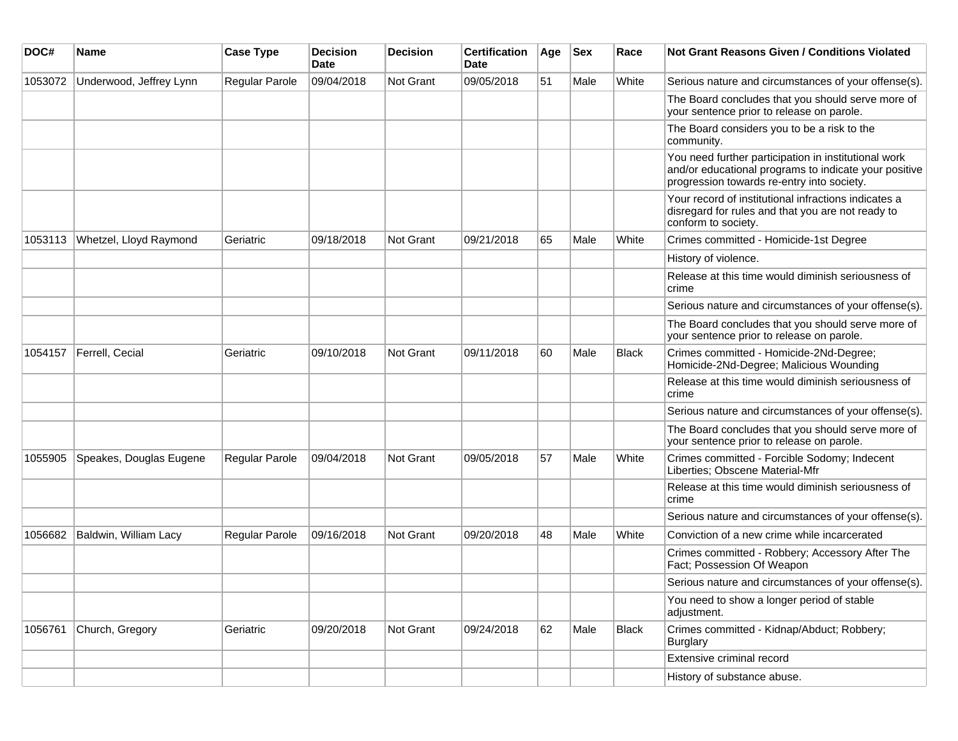| DOC#    | <b>Name</b>             | <b>Case Type</b>      | <b>Decision</b><br><b>Date</b> | <b>Decision</b> | <b>Certification</b><br>Date | Age | <b>Sex</b> | Race         | <b>Not Grant Reasons Given / Conditions Violated</b>                                                                                                        |
|---------|-------------------------|-----------------------|--------------------------------|-----------------|------------------------------|-----|------------|--------------|-------------------------------------------------------------------------------------------------------------------------------------------------------------|
| 1053072 | Underwood, Jeffrey Lynn | Regular Parole        | 09/04/2018                     | Not Grant       | 09/05/2018                   | 51  | Male       | White        | Serious nature and circumstances of your offense(s).                                                                                                        |
|         |                         |                       |                                |                 |                              |     |            |              | The Board concludes that you should serve more of<br>your sentence prior to release on parole.                                                              |
|         |                         |                       |                                |                 |                              |     |            |              | The Board considers you to be a risk to the<br>community.                                                                                                   |
|         |                         |                       |                                |                 |                              |     |            |              | You need further participation in institutional work<br>and/or educational programs to indicate your positive<br>progression towards re-entry into society. |
|         |                         |                       |                                |                 |                              |     |            |              | Your record of institutional infractions indicates a<br>disregard for rules and that you are not ready to<br>conform to society.                            |
| 1053113 | Whetzel, Lloyd Raymond  | Geriatric             | 09/18/2018                     | Not Grant       | 09/21/2018                   | 65  | Male       | White        | Crimes committed - Homicide-1st Degree                                                                                                                      |
|         |                         |                       |                                |                 |                              |     |            |              | History of violence.                                                                                                                                        |
|         |                         |                       |                                |                 |                              |     |            |              | Release at this time would diminish seriousness of<br>crime                                                                                                 |
|         |                         |                       |                                |                 |                              |     |            |              | Serious nature and circumstances of your offense(s).                                                                                                        |
|         |                         |                       |                                |                 |                              |     |            |              | The Board concludes that you should serve more of<br>your sentence prior to release on parole.                                                              |
| 1054157 | Ferrell, Cecial         | Geriatric             | 09/10/2018                     | Not Grant       | 09/11/2018                   | 60  | Male       | <b>Black</b> | Crimes committed - Homicide-2Nd-Degree;<br>Homicide-2Nd-Degree; Malicious Wounding                                                                          |
|         |                         |                       |                                |                 |                              |     |            |              | Release at this time would diminish seriousness of<br>crime                                                                                                 |
|         |                         |                       |                                |                 |                              |     |            |              | Serious nature and circumstances of your offense(s).                                                                                                        |
|         |                         |                       |                                |                 |                              |     |            |              | The Board concludes that you should serve more of<br>your sentence prior to release on parole.                                                              |
| 1055905 | Speakes, Douglas Eugene | Regular Parole        | 09/04/2018                     | Not Grant       | 09/05/2018                   | 57  | Male       | White        | Crimes committed - Forcible Sodomy; Indecent<br>Liberties; Obscene Material-Mfr                                                                             |
|         |                         |                       |                                |                 |                              |     |            |              | Release at this time would diminish seriousness of<br>crime                                                                                                 |
|         |                         |                       |                                |                 |                              |     |            |              | Serious nature and circumstances of your offense(s).                                                                                                        |
| 1056682 | Baldwin, William Lacy   | <b>Regular Parole</b> | 09/16/2018                     | Not Grant       | 09/20/2018                   | 48  | Male       | White        | Conviction of a new crime while incarcerated                                                                                                                |
|         |                         |                       |                                |                 |                              |     |            |              | Crimes committed - Robbery; Accessory After The<br>Fact; Possession Of Weapon                                                                               |
|         |                         |                       |                                |                 |                              |     |            |              | Serious nature and circumstances of your offense(s).                                                                                                        |
|         |                         |                       |                                |                 |                              |     |            |              | You need to show a longer period of stable<br>adjustment.                                                                                                   |
| 1056761 | Church, Gregory         | Geriatric             | 09/20/2018                     | Not Grant       | 09/24/2018                   | 62  | Male       | <b>Black</b> | Crimes committed - Kidnap/Abduct; Robbery;<br><b>Burglary</b>                                                                                               |
|         |                         |                       |                                |                 |                              |     |            |              | Extensive criminal record                                                                                                                                   |
|         |                         |                       |                                |                 |                              |     |            |              | History of substance abuse.                                                                                                                                 |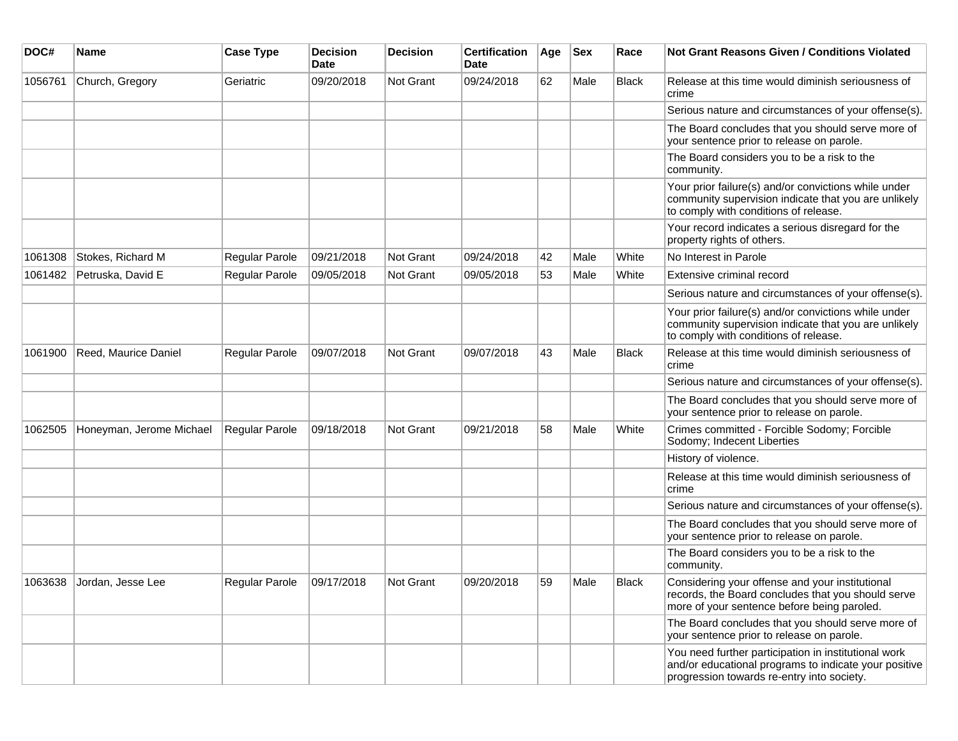| DOC#    | Name                     | <b>Case Type</b>      | <b>Decision</b><br><b>Date</b> | <b>Decision</b>  | <b>Certification</b><br><b>Date</b> | Age | <b>Sex</b> | Race         | <b>Not Grant Reasons Given / Conditions Violated</b>                                                                                                        |
|---------|--------------------------|-----------------------|--------------------------------|------------------|-------------------------------------|-----|------------|--------------|-------------------------------------------------------------------------------------------------------------------------------------------------------------|
| 1056761 | Church, Gregory          | Geriatric             | 09/20/2018                     | Not Grant        | 09/24/2018                          | 62  | Male       | Black        | Release at this time would diminish seriousness of<br>crime                                                                                                 |
|         |                          |                       |                                |                  |                                     |     |            |              | Serious nature and circumstances of your offense(s).                                                                                                        |
|         |                          |                       |                                |                  |                                     |     |            |              | The Board concludes that you should serve more of<br>your sentence prior to release on parole.                                                              |
|         |                          |                       |                                |                  |                                     |     |            |              | The Board considers you to be a risk to the<br>community.                                                                                                   |
|         |                          |                       |                                |                  |                                     |     |            |              | Your prior failure(s) and/or convictions while under<br>community supervision indicate that you are unlikely<br>to comply with conditions of release.       |
|         |                          |                       |                                |                  |                                     |     |            |              | Your record indicates a serious disregard for the<br>property rights of others.                                                                             |
| 1061308 | Stokes, Richard M        | Regular Parole        | 09/21/2018                     | Not Grant        | 09/24/2018                          | 42  | Male       | White        | No Interest in Parole                                                                                                                                       |
| 1061482 | Petruska, David E        | Regular Parole        | 09/05/2018                     | <b>Not Grant</b> | 09/05/2018                          | 53  | Male       | White        | Extensive criminal record                                                                                                                                   |
|         |                          |                       |                                |                  |                                     |     |            |              | Serious nature and circumstances of your offense(s).                                                                                                        |
|         |                          |                       |                                |                  |                                     |     |            |              | Your prior failure(s) and/or convictions while under<br>community supervision indicate that you are unlikely<br>to comply with conditions of release.       |
| 1061900 | Reed, Maurice Daniel     | <b>Regular Parole</b> | 09/07/2018                     | Not Grant        | 09/07/2018                          | 43  | Male       | Black        | Release at this time would diminish seriousness of<br>crime                                                                                                 |
|         |                          |                       |                                |                  |                                     |     |            |              | Serious nature and circumstances of your offense(s).                                                                                                        |
|         |                          |                       |                                |                  |                                     |     |            |              | The Board concludes that you should serve more of<br>your sentence prior to release on parole.                                                              |
| 1062505 | Honeyman, Jerome Michael | Regular Parole        | 09/18/2018                     | Not Grant        | 09/21/2018                          | 58  | Male       | White        | Crimes committed - Forcible Sodomy; Forcible<br>Sodomy; Indecent Liberties                                                                                  |
|         |                          |                       |                                |                  |                                     |     |            |              | History of violence.                                                                                                                                        |
|         |                          |                       |                                |                  |                                     |     |            |              | Release at this time would diminish seriousness of<br>crime                                                                                                 |
|         |                          |                       |                                |                  |                                     |     |            |              | Serious nature and circumstances of your offense(s).                                                                                                        |
|         |                          |                       |                                |                  |                                     |     |            |              | The Board concludes that you should serve more of<br>your sentence prior to release on parole.                                                              |
|         |                          |                       |                                |                  |                                     |     |            |              | The Board considers you to be a risk to the<br>community.                                                                                                   |
| 1063638 | Jordan, Jesse Lee        | Regular Parole        | 09/17/2018                     | Not Grant        | 09/20/2018                          | 59  | Male       | <b>Black</b> | Considering your offense and your institutional<br>records, the Board concludes that you should serve<br>more of your sentence before being paroled.        |
|         |                          |                       |                                |                  |                                     |     |            |              | The Board concludes that you should serve more of<br>your sentence prior to release on parole.                                                              |
|         |                          |                       |                                |                  |                                     |     |            |              | You need further participation in institutional work<br>and/or educational programs to indicate your positive<br>progression towards re-entry into society. |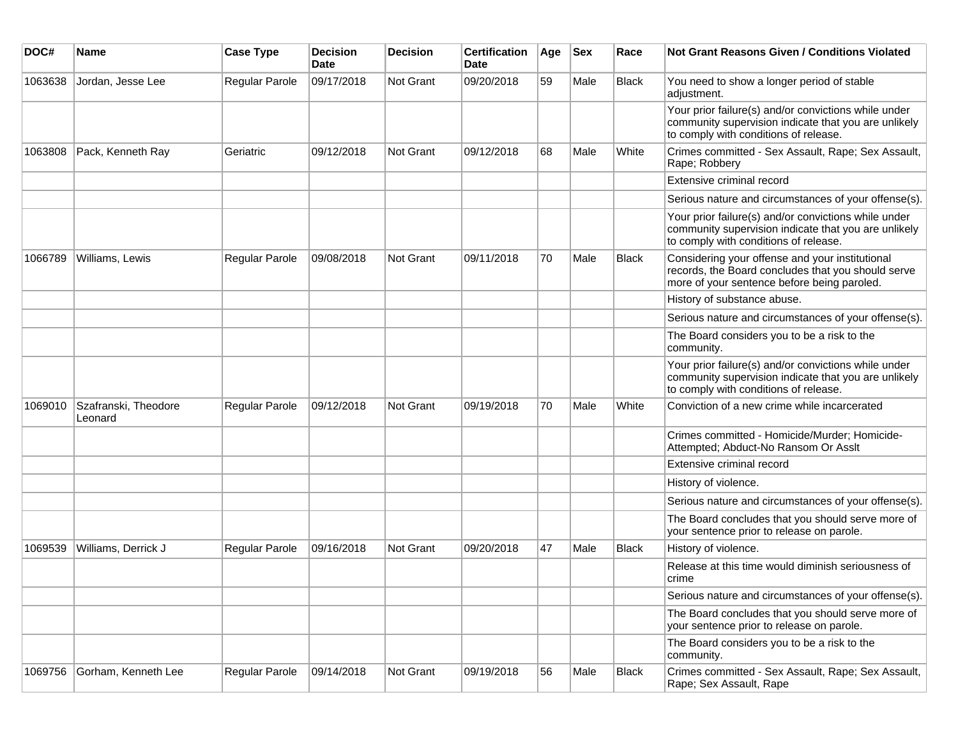| DOC#    | <b>Name</b>                     | <b>Case Type</b>      | <b>Decision</b><br><b>Date</b> | <b>Decision</b> | <b>Certification</b><br>Date | Age | <b>Sex</b> | Race         | <b>Not Grant Reasons Given / Conditions Violated</b>                                                                                                  |
|---------|---------------------------------|-----------------------|--------------------------------|-----------------|------------------------------|-----|------------|--------------|-------------------------------------------------------------------------------------------------------------------------------------------------------|
| 1063638 | Jordan, Jesse Lee               | Regular Parole        | 09/17/2018                     | Not Grant       | 09/20/2018                   | 59  | Male       | Black        | You need to show a longer period of stable<br>adjustment.                                                                                             |
|         |                                 |                       |                                |                 |                              |     |            |              | Your prior failure(s) and/or convictions while under<br>community supervision indicate that you are unlikely<br>to comply with conditions of release. |
| 1063808 | Pack, Kenneth Ray               | Geriatric             | 09/12/2018                     | Not Grant       | 09/12/2018                   | 68  | Male       | White        | Crimes committed - Sex Assault, Rape; Sex Assault,<br>Rape; Robbery                                                                                   |
|         |                                 |                       |                                |                 |                              |     |            |              | Extensive criminal record                                                                                                                             |
|         |                                 |                       |                                |                 |                              |     |            |              | Serious nature and circumstances of your offense(s).                                                                                                  |
|         |                                 |                       |                                |                 |                              |     |            |              | Your prior failure(s) and/or convictions while under<br>community supervision indicate that you are unlikely<br>to comply with conditions of release. |
| 1066789 | Williams, Lewis                 | Regular Parole        | 09/08/2018                     | Not Grant       | 09/11/2018                   | 70  | Male       | <b>Black</b> | Considering your offense and your institutional<br>records, the Board concludes that you should serve<br>more of your sentence before being paroled.  |
|         |                                 |                       |                                |                 |                              |     |            |              | History of substance abuse.                                                                                                                           |
|         |                                 |                       |                                |                 |                              |     |            |              | Serious nature and circumstances of your offense(s).                                                                                                  |
|         |                                 |                       |                                |                 |                              |     |            |              | The Board considers you to be a risk to the<br>community.                                                                                             |
|         |                                 |                       |                                |                 |                              |     |            |              | Your prior failure(s) and/or convictions while under<br>community supervision indicate that you are unlikely<br>to comply with conditions of release. |
| 1069010 | Szafranski, Theodore<br>Leonard | Regular Parole        | 09/12/2018                     | Not Grant       | 09/19/2018                   | 70  | Male       | White        | Conviction of a new crime while incarcerated                                                                                                          |
|         |                                 |                       |                                |                 |                              |     |            |              | Crimes committed - Homicide/Murder; Homicide-<br>Attempted; Abduct-No Ransom Or Asslt                                                                 |
|         |                                 |                       |                                |                 |                              |     |            |              | Extensive criminal record                                                                                                                             |
|         |                                 |                       |                                |                 |                              |     |            |              | History of violence.                                                                                                                                  |
|         |                                 |                       |                                |                 |                              |     |            |              | Serious nature and circumstances of your offense(s).                                                                                                  |
|         |                                 |                       |                                |                 |                              |     |            |              | The Board concludes that you should serve more of<br>your sentence prior to release on parole.                                                        |
| 1069539 | Williams, Derrick J             | <b>Regular Parole</b> | 09/16/2018                     | Not Grant       | 09/20/2018                   | 47  | Male       | <b>Black</b> | History of violence.                                                                                                                                  |
|         |                                 |                       |                                |                 |                              |     |            |              | Release at this time would diminish seriousness of<br>crime                                                                                           |
|         |                                 |                       |                                |                 |                              |     |            |              | Serious nature and circumstances of your offense(s).                                                                                                  |
|         |                                 |                       |                                |                 |                              |     |            |              | The Board concludes that you should serve more of<br>your sentence prior to release on parole.                                                        |
|         |                                 |                       |                                |                 |                              |     |            |              | The Board considers you to be a risk to the<br>community.                                                                                             |
| 1069756 | Gorham, Kenneth Lee             | Regular Parole        | 09/14/2018                     | Not Grant       | 09/19/2018                   | 56  | Male       | Black        | Crimes committed - Sex Assault, Rape; Sex Assault,<br>Rape; Sex Assault, Rape                                                                         |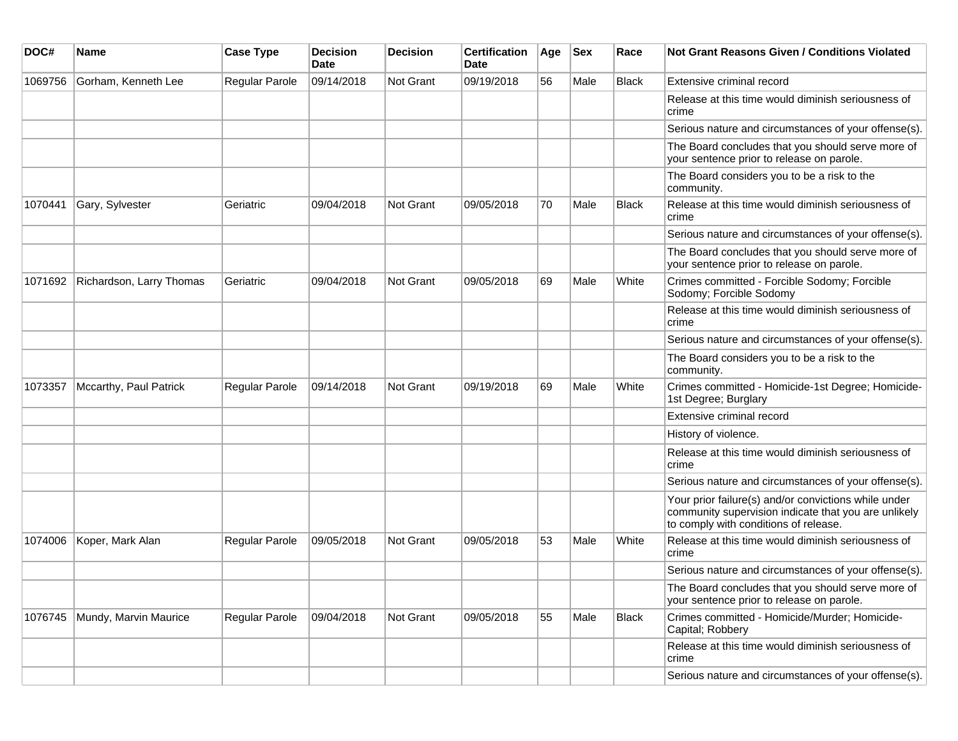| DOC#    | <b>Name</b>              | <b>Case Type</b>      | <b>Decision</b><br><b>Date</b> | <b>Decision</b> | <b>Certification</b><br>Date | Age | <b>Sex</b> | Race         | Not Grant Reasons Given / Conditions Violated                                                                                                         |
|---------|--------------------------|-----------------------|--------------------------------|-----------------|------------------------------|-----|------------|--------------|-------------------------------------------------------------------------------------------------------------------------------------------------------|
| 1069756 | Gorham, Kenneth Lee      | Regular Parole        | 09/14/2018                     | Not Grant       | 09/19/2018                   | 56  | Male       | Black        | Extensive criminal record                                                                                                                             |
|         |                          |                       |                                |                 |                              |     |            |              | Release at this time would diminish seriousness of<br>crime                                                                                           |
|         |                          |                       |                                |                 |                              |     |            |              | Serious nature and circumstances of your offense(s).                                                                                                  |
|         |                          |                       |                                |                 |                              |     |            |              | The Board concludes that you should serve more of<br>your sentence prior to release on parole.                                                        |
|         |                          |                       |                                |                 |                              |     |            |              | The Board considers you to be a risk to the<br>community.                                                                                             |
| 1070441 | Gary, Sylvester          | Geriatric             | 09/04/2018                     | Not Grant       | 09/05/2018                   | 70  | Male       | <b>Black</b> | Release at this time would diminish seriousness of<br>crime                                                                                           |
|         |                          |                       |                                |                 |                              |     |            |              | Serious nature and circumstances of your offense(s).                                                                                                  |
|         |                          |                       |                                |                 |                              |     |            |              | The Board concludes that you should serve more of<br>your sentence prior to release on parole.                                                        |
| 1071692 | Richardson, Larry Thomas | Geriatric             | 09/04/2018                     | Not Grant       | 09/05/2018                   | 69  | Male       | White        | Crimes committed - Forcible Sodomy; Forcible<br>Sodomy; Forcible Sodomy                                                                               |
|         |                          |                       |                                |                 |                              |     |            |              | Release at this time would diminish seriousness of<br>crime                                                                                           |
|         |                          |                       |                                |                 |                              |     |            |              | Serious nature and circumstances of your offense(s).                                                                                                  |
|         |                          |                       |                                |                 |                              |     |            |              | The Board considers you to be a risk to the<br>community.                                                                                             |
| 1073357 | Mccarthy, Paul Patrick   | Regular Parole        | 09/14/2018                     | Not Grant       | 09/19/2018                   | 69  | Male       | White        | Crimes committed - Homicide-1st Degree; Homicide-<br>1st Degree; Burglary                                                                             |
|         |                          |                       |                                |                 |                              |     |            |              | Extensive criminal record                                                                                                                             |
|         |                          |                       |                                |                 |                              |     |            |              | History of violence.                                                                                                                                  |
|         |                          |                       |                                |                 |                              |     |            |              | Release at this time would diminish seriousness of<br>crime                                                                                           |
|         |                          |                       |                                |                 |                              |     |            |              | Serious nature and circumstances of your offense(s).                                                                                                  |
|         |                          |                       |                                |                 |                              |     |            |              | Your prior failure(s) and/or convictions while under<br>community supervision indicate that you are unlikely<br>to comply with conditions of release. |
| 1074006 | Koper, Mark Alan         | <b>Regular Parole</b> | 09/05/2018                     | Not Grant       | 09/05/2018                   | 53  | Male       | White        | Release at this time would diminish seriousness of<br>crime                                                                                           |
|         |                          |                       |                                |                 |                              |     |            |              | Serious nature and circumstances of your offense(s).                                                                                                  |
|         |                          |                       |                                |                 |                              |     |            |              | The Board concludes that you should serve more of<br>your sentence prior to release on parole.                                                        |
| 1076745 | Mundy, Marvin Maurice    | Regular Parole        | 09/04/2018                     | Not Grant       | 09/05/2018                   | 55  | Male       | Black        | Crimes committed - Homicide/Murder; Homicide-<br>Capital; Robbery                                                                                     |
|         |                          |                       |                                |                 |                              |     |            |              | Release at this time would diminish seriousness of<br>crime                                                                                           |
|         |                          |                       |                                |                 |                              |     |            |              | Serious nature and circumstances of your offense(s).                                                                                                  |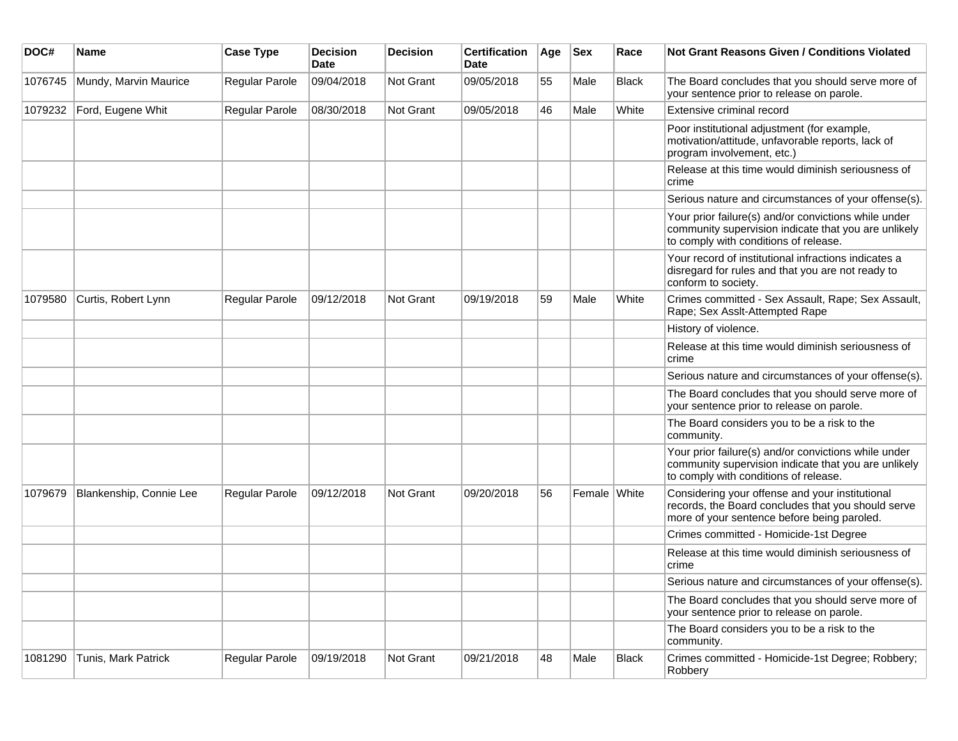| DOC#    | <b>Name</b>             | <b>Case Type</b> | <b>Decision</b><br><b>Date</b> | <b>Decision</b> | <b>Certification</b><br>Date | Age | <b>Sex</b>   | Race         | Not Grant Reasons Given / Conditions Violated                                                                                                         |
|---------|-------------------------|------------------|--------------------------------|-----------------|------------------------------|-----|--------------|--------------|-------------------------------------------------------------------------------------------------------------------------------------------------------|
| 1076745 | Mundy, Marvin Maurice   | Regular Parole   | 09/04/2018                     | Not Grant       | 09/05/2018                   | 55  | Male         | Black        | The Board concludes that you should serve more of<br>your sentence prior to release on parole.                                                        |
| 1079232 | Ford, Eugene Whit       | Regular Parole   | 08/30/2018                     | Not Grant       | 09/05/2018                   | 46  | Male         | White        | Extensive criminal record                                                                                                                             |
|         |                         |                  |                                |                 |                              |     |              |              | Poor institutional adjustment (for example,<br>motivation/attitude, unfavorable reports, lack of<br>program involvement, etc.)                        |
|         |                         |                  |                                |                 |                              |     |              |              | Release at this time would diminish seriousness of<br>crime                                                                                           |
|         |                         |                  |                                |                 |                              |     |              |              | Serious nature and circumstances of your offense(s).                                                                                                  |
|         |                         |                  |                                |                 |                              |     |              |              | Your prior failure(s) and/or convictions while under<br>community supervision indicate that you are unlikely<br>to comply with conditions of release. |
|         |                         |                  |                                |                 |                              |     |              |              | Your record of institutional infractions indicates a<br>disregard for rules and that you are not ready to<br>conform to society.                      |
| 1079580 | Curtis, Robert Lynn     | Regular Parole   | 09/12/2018                     | Not Grant       | 09/19/2018                   | 59  | Male         | White        | Crimes committed - Sex Assault, Rape; Sex Assault,<br>Rape; Sex Asslt-Attempted Rape                                                                  |
|         |                         |                  |                                |                 |                              |     |              |              | History of violence.                                                                                                                                  |
|         |                         |                  |                                |                 |                              |     |              |              | Release at this time would diminish seriousness of<br>crime                                                                                           |
|         |                         |                  |                                |                 |                              |     |              |              | Serious nature and circumstances of your offense(s).                                                                                                  |
|         |                         |                  |                                |                 |                              |     |              |              | The Board concludes that you should serve more of<br>your sentence prior to release on parole.                                                        |
|         |                         |                  |                                |                 |                              |     |              |              | The Board considers you to be a risk to the<br>community.                                                                                             |
|         |                         |                  |                                |                 |                              |     |              |              | Your prior failure(s) and/or convictions while under<br>community supervision indicate that you are unlikely<br>to comply with conditions of release. |
| 1079679 | Blankenship, Connie Lee | Regular Parole   | 09/12/2018                     | Not Grant       | 09/20/2018                   | 56  | Female White |              | Considering your offense and your institutional<br>records, the Board concludes that you should serve<br>more of your sentence before being paroled.  |
|         |                         |                  |                                |                 |                              |     |              |              | Crimes committed - Homicide-1st Degree                                                                                                                |
|         |                         |                  |                                |                 |                              |     |              |              | Release at this time would diminish seriousness of<br>crime                                                                                           |
|         |                         |                  |                                |                 |                              |     |              |              | Serious nature and circumstances of your offense(s).                                                                                                  |
|         |                         |                  |                                |                 |                              |     |              |              | The Board concludes that you should serve more of<br>your sentence prior to release on parole.                                                        |
|         |                         |                  |                                |                 |                              |     |              |              | The Board considers you to be a risk to the<br>community.                                                                                             |
| 1081290 | Tunis, Mark Patrick     | Regular Parole   | 09/19/2018                     | Not Grant       | 09/21/2018                   | 48  | Male         | <b>Black</b> | Crimes committed - Homicide-1st Degree; Robbery;<br>Robbery                                                                                           |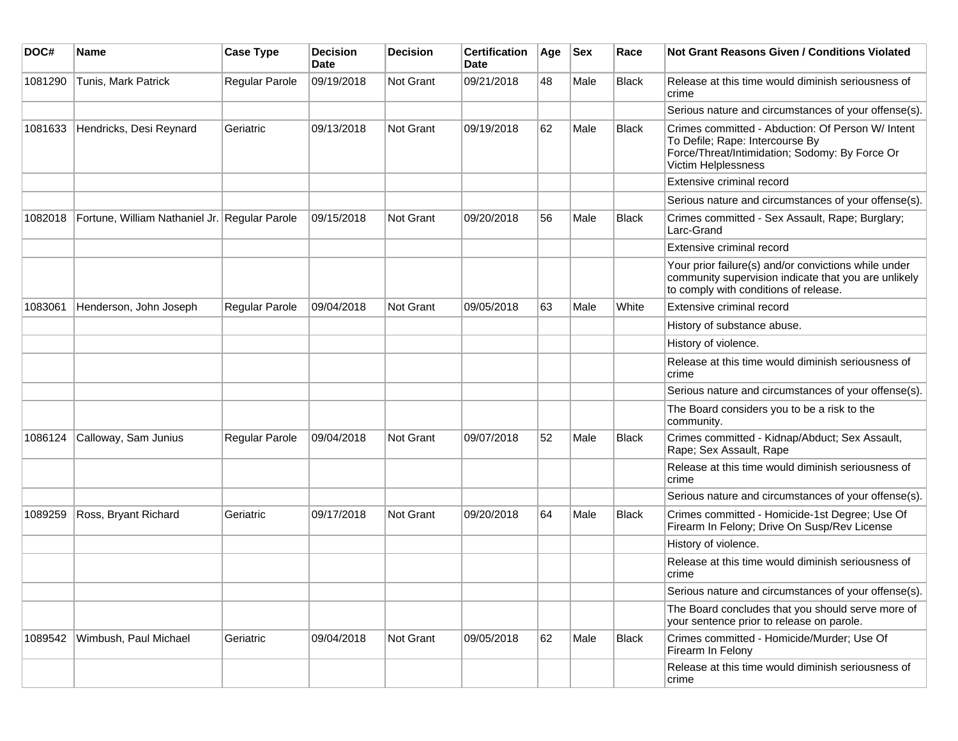| DOC#    | <b>Name</b>                                   | <b>Case Type</b>      | <b>Decision</b><br><b>Date</b> | <b>Decision</b>  | <b>Certification</b><br><b>Date</b> | Age | <b>Sex</b> | Race         | Not Grant Reasons Given / Conditions Violated                                                                                                                 |
|---------|-----------------------------------------------|-----------------------|--------------------------------|------------------|-------------------------------------|-----|------------|--------------|---------------------------------------------------------------------------------------------------------------------------------------------------------------|
| 1081290 | Tunis, Mark Patrick                           | Regular Parole        | 09/19/2018                     | <b>Not Grant</b> | 09/21/2018                          | 48  | Male       | Black        | Release at this time would diminish seriousness of<br>crime                                                                                                   |
|         |                                               |                       |                                |                  |                                     |     |            |              | Serious nature and circumstances of your offense(s).                                                                                                          |
| 1081633 | Hendricks, Desi Reynard                       | Geriatric             | 09/13/2018                     | <b>Not Grant</b> | 09/19/2018                          | 62  | Male       | <b>Black</b> | Crimes committed - Abduction: Of Person W/ Intent<br>To Defile; Rape: Intercourse By<br>Force/Threat/Intimidation; Sodomy: By Force Or<br>Victim Helplessness |
|         |                                               |                       |                                |                  |                                     |     |            |              | Extensive criminal record                                                                                                                                     |
|         |                                               |                       |                                |                  |                                     |     |            |              | Serious nature and circumstances of your offense(s).                                                                                                          |
| 1082018 | Fortune, William Nathaniel Jr. Regular Parole |                       | 09/15/2018                     | <b>Not Grant</b> | 09/20/2018                          | 56  | Male       | <b>Black</b> | Crimes committed - Sex Assault, Rape; Burglary;<br>Larc-Grand                                                                                                 |
|         |                                               |                       |                                |                  |                                     |     |            |              | Extensive criminal record                                                                                                                                     |
|         |                                               |                       |                                |                  |                                     |     |            |              | Your prior failure(s) and/or convictions while under<br>community supervision indicate that you are unlikely<br>to comply with conditions of release.         |
| 1083061 | Henderson, John Joseph                        | <b>Regular Parole</b> | 09/04/2018                     | Not Grant        | 09/05/2018                          | 63  | Male       | White        | Extensive criminal record                                                                                                                                     |
|         |                                               |                       |                                |                  |                                     |     |            |              | History of substance abuse.                                                                                                                                   |
|         |                                               |                       |                                |                  |                                     |     |            |              | History of violence.                                                                                                                                          |
|         |                                               |                       |                                |                  |                                     |     |            |              | Release at this time would diminish seriousness of<br>crime                                                                                                   |
|         |                                               |                       |                                |                  |                                     |     |            |              | Serious nature and circumstances of your offense(s).                                                                                                          |
|         |                                               |                       |                                |                  |                                     |     |            |              | The Board considers you to be a risk to the<br>community.                                                                                                     |
| 1086124 | Calloway, Sam Junius                          | <b>Regular Parole</b> | 09/04/2018                     | <b>Not Grant</b> | 09/07/2018                          | 52  | Male       | <b>Black</b> | Crimes committed - Kidnap/Abduct; Sex Assault,<br>Rape; Sex Assault, Rape                                                                                     |
|         |                                               |                       |                                |                  |                                     |     |            |              | Release at this time would diminish seriousness of<br>crime                                                                                                   |
|         |                                               |                       |                                |                  |                                     |     |            |              | Serious nature and circumstances of your offense(s).                                                                                                          |
| 1089259 | Ross, Bryant Richard                          | Geriatric             | 09/17/2018                     | <b>Not Grant</b> | 09/20/2018                          | 64  | Male       | <b>Black</b> | Crimes committed - Homicide-1st Degree; Use Of<br>Firearm In Felony; Drive On Susp/Rev License                                                                |
|         |                                               |                       |                                |                  |                                     |     |            |              | History of violence.                                                                                                                                          |
|         |                                               |                       |                                |                  |                                     |     |            |              | Release at this time would diminish seriousness of<br>crime                                                                                                   |
|         |                                               |                       |                                |                  |                                     |     |            |              | Serious nature and circumstances of your offense(s).                                                                                                          |
|         |                                               |                       |                                |                  |                                     |     |            |              | The Board concludes that you should serve more of<br>your sentence prior to release on parole.                                                                |
| 1089542 | Wimbush, Paul Michael                         | Geriatric             | 09/04/2018                     | Not Grant        | 09/05/2018                          | 62  | Male       | Black        | Crimes committed - Homicide/Murder; Use Of<br>Firearm In Felony                                                                                               |
|         |                                               |                       |                                |                  |                                     |     |            |              | Release at this time would diminish seriousness of<br>crime                                                                                                   |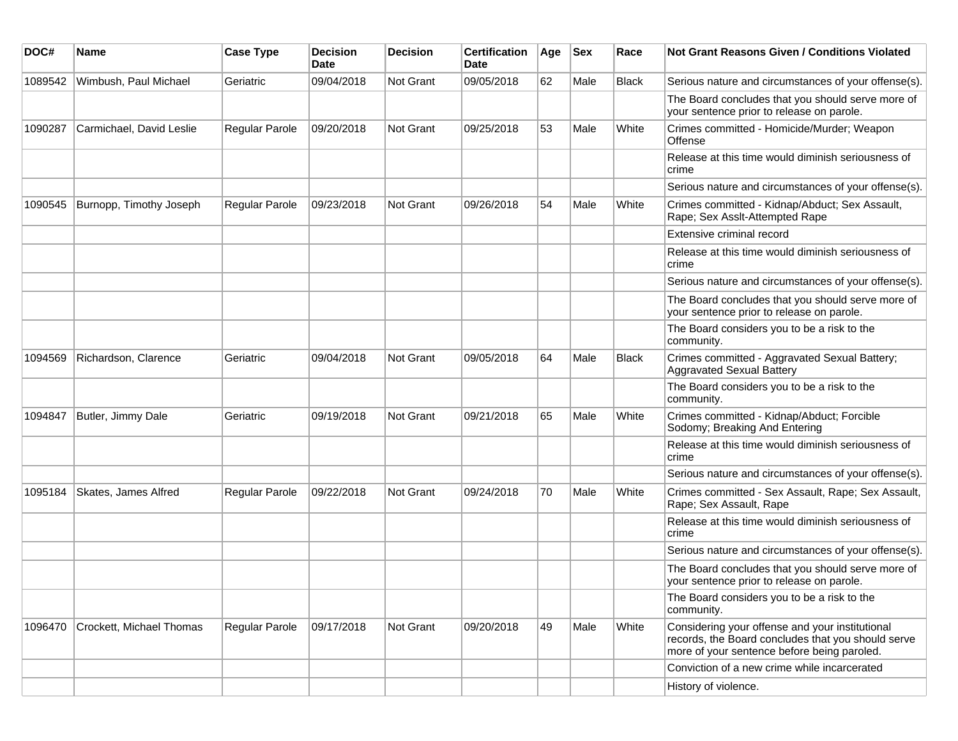| DOC#    | Name                     | <b>Case Type</b>      | <b>Decision</b><br><b>Date</b> | <b>Decision</b>  | <b>Certification</b><br>Date | Age | <b>Sex</b> | Race         | Not Grant Reasons Given / Conditions Violated                                                                                                        |
|---------|--------------------------|-----------------------|--------------------------------|------------------|------------------------------|-----|------------|--------------|------------------------------------------------------------------------------------------------------------------------------------------------------|
| 1089542 | Wimbush, Paul Michael    | Geriatric             | 09/04/2018                     | Not Grant        | 09/05/2018                   | 62  | Male       | <b>Black</b> | Serious nature and circumstances of your offense(s).                                                                                                 |
|         |                          |                       |                                |                  |                              |     |            |              | The Board concludes that you should serve more of<br>your sentence prior to release on parole.                                                       |
| 1090287 | Carmichael, David Leslie | <b>Regular Parole</b> | 09/20/2018                     | Not Grant        | 09/25/2018                   | 53  | Male       | White        | Crimes committed - Homicide/Murder; Weapon<br>Offense                                                                                                |
|         |                          |                       |                                |                  |                              |     |            |              | Release at this time would diminish seriousness of<br>crime                                                                                          |
|         |                          |                       |                                |                  |                              |     |            |              | Serious nature and circumstances of your offense(s).                                                                                                 |
| 1090545 | Burnopp, Timothy Joseph  | <b>Regular Parole</b> | 09/23/2018                     | <b>Not Grant</b> | 09/26/2018                   | 54  | Male       | White        | Crimes committed - Kidnap/Abduct; Sex Assault,<br>Rape; Sex Asslt-Attempted Rape                                                                     |
|         |                          |                       |                                |                  |                              |     |            |              | Extensive criminal record                                                                                                                            |
|         |                          |                       |                                |                  |                              |     |            |              | Release at this time would diminish seriousness of<br>crime                                                                                          |
|         |                          |                       |                                |                  |                              |     |            |              | Serious nature and circumstances of your offense(s).                                                                                                 |
|         |                          |                       |                                |                  |                              |     |            |              | The Board concludes that you should serve more of<br>your sentence prior to release on parole.                                                       |
|         |                          |                       |                                |                  |                              |     |            |              | The Board considers you to be a risk to the<br>community.                                                                                            |
| 1094569 | Richardson, Clarence     | Geriatric             | 09/04/2018                     | <b>Not Grant</b> | 09/05/2018                   | 64  | Male       | <b>Black</b> | Crimes committed - Aggravated Sexual Battery;<br><b>Aggravated Sexual Battery</b>                                                                    |
|         |                          |                       |                                |                  |                              |     |            |              | The Board considers you to be a risk to the<br>community.                                                                                            |
| 1094847 | Butler, Jimmy Dale       | Geriatric             | 09/19/2018                     | <b>Not Grant</b> | 09/21/2018                   | 65  | Male       | White        | Crimes committed - Kidnap/Abduct; Forcible<br>Sodomy; Breaking And Entering                                                                          |
|         |                          |                       |                                |                  |                              |     |            |              | Release at this time would diminish seriousness of<br>crime                                                                                          |
|         |                          |                       |                                |                  |                              |     |            |              | Serious nature and circumstances of your offense(s).                                                                                                 |
| 1095184 | Skates, James Alfred     | Regular Parole        | 09/22/2018                     | <b>Not Grant</b> | 09/24/2018                   | 70  | Male       | White        | Crimes committed - Sex Assault, Rape; Sex Assault,<br>Rape; Sex Assault, Rape                                                                        |
|         |                          |                       |                                |                  |                              |     |            |              | Release at this time would diminish seriousness of<br>crime                                                                                          |
|         |                          |                       |                                |                  |                              |     |            |              | Serious nature and circumstances of your offense(s).                                                                                                 |
|         |                          |                       |                                |                  |                              |     |            |              | The Board concludes that you should serve more of<br>your sentence prior to release on parole.                                                       |
|         |                          |                       |                                |                  |                              |     |            |              | The Board considers you to be a risk to the<br>community.                                                                                            |
| 1096470 | Crockett, Michael Thomas | Regular Parole        | 09/17/2018                     | <b>Not Grant</b> | 09/20/2018                   | 49  | Male       | White        | Considering your offense and your institutional<br>records, the Board concludes that you should serve<br>more of your sentence before being paroled. |
|         |                          |                       |                                |                  |                              |     |            |              | Conviction of a new crime while incarcerated                                                                                                         |
|         |                          |                       |                                |                  |                              |     |            |              | History of violence.                                                                                                                                 |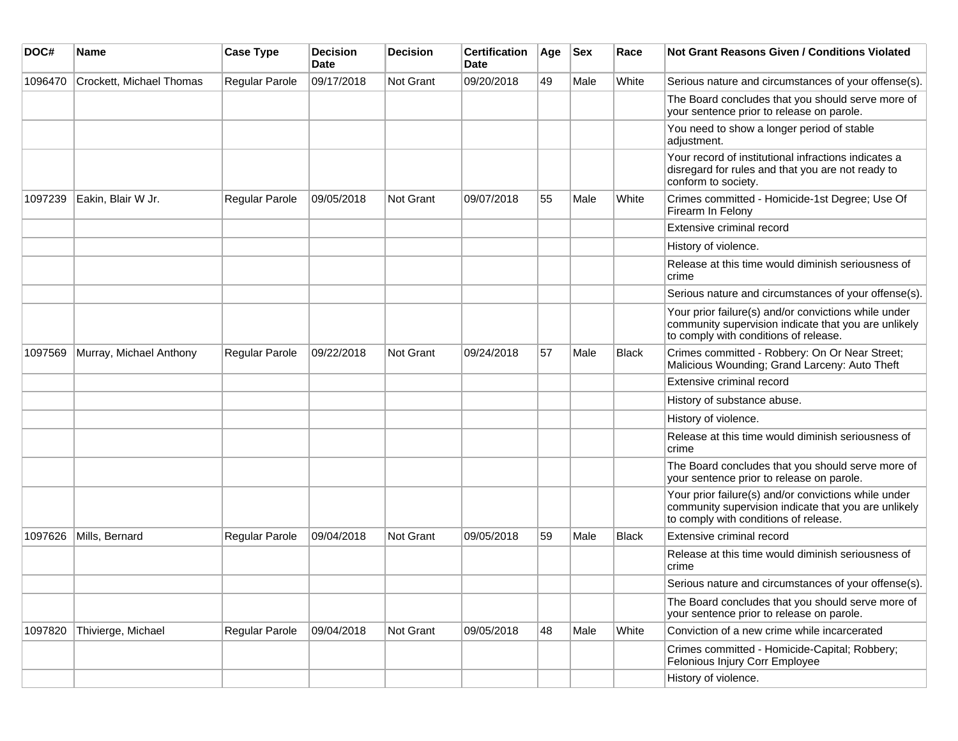| DOC#    | <b>Name</b>              | <b>Case Type</b>      | <b>Decision</b><br><b>Date</b> | <b>Decision</b> | <b>Certification</b><br>Date | Age | <b>Sex</b> | Race         | Not Grant Reasons Given / Conditions Violated                                                                                                         |
|---------|--------------------------|-----------------------|--------------------------------|-----------------|------------------------------|-----|------------|--------------|-------------------------------------------------------------------------------------------------------------------------------------------------------|
| 1096470 | Crockett, Michael Thomas | Regular Parole        | 09/17/2018                     | Not Grant       | 09/20/2018                   | 49  | Male       | White        | Serious nature and circumstances of your offense(s).                                                                                                  |
|         |                          |                       |                                |                 |                              |     |            |              | The Board concludes that you should serve more of<br>your sentence prior to release on parole.                                                        |
|         |                          |                       |                                |                 |                              |     |            |              | You need to show a longer period of stable<br>adjustment.                                                                                             |
|         |                          |                       |                                |                 |                              |     |            |              | Your record of institutional infractions indicates a<br>disregard for rules and that you are not ready to<br>conform to society.                      |
| 1097239 | Eakin, Blair W Jr.       | <b>Regular Parole</b> | 09/05/2018                     | Not Grant       | 09/07/2018                   | 55  | Male       | White        | Crimes committed - Homicide-1st Degree; Use Of<br>Firearm In Felony                                                                                   |
|         |                          |                       |                                |                 |                              |     |            |              | Extensive criminal record                                                                                                                             |
|         |                          |                       |                                |                 |                              |     |            |              | History of violence.                                                                                                                                  |
|         |                          |                       |                                |                 |                              |     |            |              | Release at this time would diminish seriousness of<br>crime                                                                                           |
|         |                          |                       |                                |                 |                              |     |            |              | Serious nature and circumstances of your offense(s).                                                                                                  |
|         |                          |                       |                                |                 |                              |     |            |              | Your prior failure(s) and/or convictions while under<br>community supervision indicate that you are unlikely<br>to comply with conditions of release. |
| 1097569 | Murray, Michael Anthony  | <b>Regular Parole</b> | 09/22/2018                     | Not Grant       | 09/24/2018                   | 57  | Male       | <b>Black</b> | Crimes committed - Robbery: On Or Near Street;<br>Malicious Wounding; Grand Larceny: Auto Theft                                                       |
|         |                          |                       |                                |                 |                              |     |            |              | Extensive criminal record                                                                                                                             |
|         |                          |                       |                                |                 |                              |     |            |              | History of substance abuse.                                                                                                                           |
|         |                          |                       |                                |                 |                              |     |            |              | History of violence.                                                                                                                                  |
|         |                          |                       |                                |                 |                              |     |            |              | Release at this time would diminish seriousness of<br>crime                                                                                           |
|         |                          |                       |                                |                 |                              |     |            |              | The Board concludes that you should serve more of<br>your sentence prior to release on parole.                                                        |
|         |                          |                       |                                |                 |                              |     |            |              | Your prior failure(s) and/or convictions while under<br>community supervision indicate that you are unlikely<br>to comply with conditions of release. |
| 1097626 | Mills, Bernard           | Regular Parole        | 09/04/2018                     | Not Grant       | 09/05/2018                   | 59  | Male       | Black        | Extensive criminal record                                                                                                                             |
|         |                          |                       |                                |                 |                              |     |            |              | Release at this time would diminish seriousness of<br>crime                                                                                           |
|         |                          |                       |                                |                 |                              |     |            |              | Serious nature and circumstances of your offense(s).                                                                                                  |
|         |                          |                       |                                |                 |                              |     |            |              | The Board concludes that you should serve more of<br>your sentence prior to release on parole.                                                        |
| 1097820 | Thivierge, Michael       | Regular Parole        | 09/04/2018                     | Not Grant       | 09/05/2018                   | 48  | Male       | White        | Conviction of a new crime while incarcerated                                                                                                          |
|         |                          |                       |                                |                 |                              |     |            |              | Crimes committed - Homicide-Capital; Robbery;<br>Felonious Injury Corr Employee                                                                       |
|         |                          |                       |                                |                 |                              |     |            |              | History of violence.                                                                                                                                  |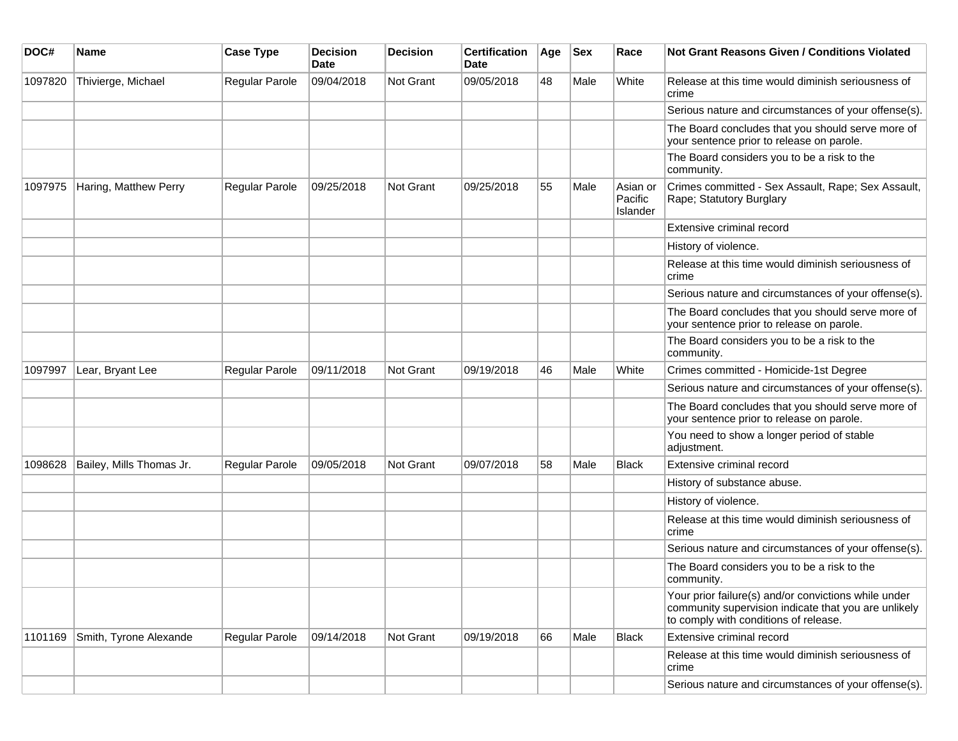| DOC#    | <b>Name</b>              | <b>Case Type</b> | <b>Decision</b><br><b>Date</b> | <b>Decision</b> | <b>Certification</b><br>Date | Age | <b>Sex</b> | Race                            | <b>Not Grant Reasons Given / Conditions Violated</b>                                                                                                  |
|---------|--------------------------|------------------|--------------------------------|-----------------|------------------------------|-----|------------|---------------------------------|-------------------------------------------------------------------------------------------------------------------------------------------------------|
| 1097820 | Thivierge, Michael       | Regular Parole   | 09/04/2018                     | Not Grant       | 09/05/2018                   | 48  | Male       | White                           | Release at this time would diminish seriousness of<br>crime                                                                                           |
|         |                          |                  |                                |                 |                              |     |            |                                 | Serious nature and circumstances of your offense(s).                                                                                                  |
|         |                          |                  |                                |                 |                              |     |            |                                 | The Board concludes that you should serve more of<br>your sentence prior to release on parole.                                                        |
|         |                          |                  |                                |                 |                              |     |            |                                 | The Board considers you to be a risk to the<br>community.                                                                                             |
| 1097975 | Haring, Matthew Perry    | Regular Parole   | 09/25/2018                     | Not Grant       | 09/25/2018                   | 55  | Male       | Asian or<br>Pacific<br>Islander | Crimes committed - Sex Assault, Rape; Sex Assault,<br>Rape; Statutory Burglary                                                                        |
|         |                          |                  |                                |                 |                              |     |            |                                 | Extensive criminal record                                                                                                                             |
|         |                          |                  |                                |                 |                              |     |            |                                 | History of violence.                                                                                                                                  |
|         |                          |                  |                                |                 |                              |     |            |                                 | Release at this time would diminish seriousness of<br>crime                                                                                           |
|         |                          |                  |                                |                 |                              |     |            |                                 | Serious nature and circumstances of your offense(s).                                                                                                  |
|         |                          |                  |                                |                 |                              |     |            |                                 | The Board concludes that you should serve more of<br>your sentence prior to release on parole.                                                        |
|         |                          |                  |                                |                 |                              |     |            |                                 | The Board considers you to be a risk to the<br>community.                                                                                             |
| 1097997 | Lear, Bryant Lee         | Regular Parole   | 09/11/2018                     | Not Grant       | 09/19/2018                   | 46  | Male       | White                           | Crimes committed - Homicide-1st Degree                                                                                                                |
|         |                          |                  |                                |                 |                              |     |            |                                 | Serious nature and circumstances of your offense(s).                                                                                                  |
|         |                          |                  |                                |                 |                              |     |            |                                 | The Board concludes that you should serve more of<br>your sentence prior to release on parole.                                                        |
|         |                          |                  |                                |                 |                              |     |            |                                 | You need to show a longer period of stable<br>adjustment.                                                                                             |
| 1098628 | Bailey, Mills Thomas Jr. | Regular Parole   | 09/05/2018                     | Not Grant       | 09/07/2018                   | 58  | Male       | Black                           | Extensive criminal record                                                                                                                             |
|         |                          |                  |                                |                 |                              |     |            |                                 | History of substance abuse.                                                                                                                           |
|         |                          |                  |                                |                 |                              |     |            |                                 | History of violence.                                                                                                                                  |
|         |                          |                  |                                |                 |                              |     |            |                                 | Release at this time would diminish seriousness of<br>crime                                                                                           |
|         |                          |                  |                                |                 |                              |     |            |                                 | Serious nature and circumstances of your offense(s).                                                                                                  |
|         |                          |                  |                                |                 |                              |     |            |                                 | The Board considers you to be a risk to the<br>community.                                                                                             |
|         |                          |                  |                                |                 |                              |     |            |                                 | Your prior failure(s) and/or convictions while under<br>community supervision indicate that you are unlikely<br>to comply with conditions of release. |
| 1101169 | Smith, Tyrone Alexande   | Regular Parole   | 09/14/2018                     | Not Grant       | 09/19/2018                   | 66  | Male       | Black                           | Extensive criminal record                                                                                                                             |
|         |                          |                  |                                |                 |                              |     |            |                                 | Release at this time would diminish seriousness of<br>crime                                                                                           |
|         |                          |                  |                                |                 |                              |     |            |                                 | Serious nature and circumstances of your offense(s).                                                                                                  |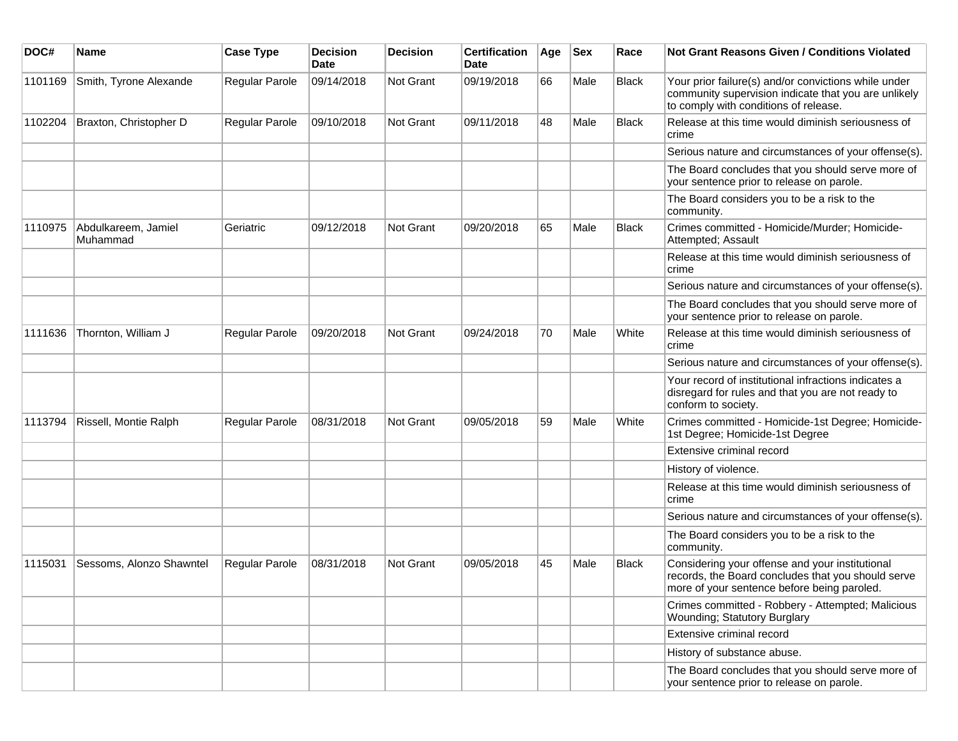| DOC#    | Name                            | <b>Case Type</b> | <b>Decision</b><br>Date | <b>Decision</b>  | <b>Certification</b><br>Date | Age | <b>Sex</b> | Race         | Not Grant Reasons Given / Conditions Violated                                                                                                         |
|---------|---------------------------------|------------------|-------------------------|------------------|------------------------------|-----|------------|--------------|-------------------------------------------------------------------------------------------------------------------------------------------------------|
| 1101169 | Smith, Tyrone Alexande          | Regular Parole   | 09/14/2018              | Not Grant        | 09/19/2018                   | 66  | Male       | <b>Black</b> | Your prior failure(s) and/or convictions while under<br>community supervision indicate that you are unlikely<br>to comply with conditions of release. |
| 1102204 | Braxton, Christopher D          | Regular Parole   | 09/10/2018              | Not Grant        | 09/11/2018                   | 48  | Male       | Black        | Release at this time would diminish seriousness of<br>crime                                                                                           |
|         |                                 |                  |                         |                  |                              |     |            |              | Serious nature and circumstances of your offense(s).                                                                                                  |
|         |                                 |                  |                         |                  |                              |     |            |              | The Board concludes that you should serve more of<br>your sentence prior to release on parole.                                                        |
|         |                                 |                  |                         |                  |                              |     |            |              | The Board considers you to be a risk to the<br>community.                                                                                             |
| 1110975 | Abdulkareem, Jamiel<br>Muhammad | Geriatric        | 09/12/2018              | <b>Not Grant</b> | 09/20/2018                   | 65  | Male       | Black        | Crimes committed - Homicide/Murder; Homicide-<br>Attempted; Assault                                                                                   |
|         |                                 |                  |                         |                  |                              |     |            |              | Release at this time would diminish seriousness of<br>crime                                                                                           |
|         |                                 |                  |                         |                  |                              |     |            |              | Serious nature and circumstances of your offense(s).                                                                                                  |
|         |                                 |                  |                         |                  |                              |     |            |              | The Board concludes that you should serve more of<br>your sentence prior to release on parole.                                                        |
| 1111636 | Thornton, William J             | Regular Parole   | 09/20/2018              | Not Grant        | 09/24/2018                   | 70  | Male       | White        | Release at this time would diminish seriousness of<br>crime                                                                                           |
|         |                                 |                  |                         |                  |                              |     |            |              | Serious nature and circumstances of your offense(s).                                                                                                  |
|         |                                 |                  |                         |                  |                              |     |            |              | Your record of institutional infractions indicates a<br>disregard for rules and that you are not ready to<br>conform to society.                      |
| 1113794 | Rissell, Montie Ralph           | Regular Parole   | 08/31/2018              | Not Grant        | 09/05/2018                   | 59  | Male       | White        | Crimes committed - Homicide-1st Degree; Homicide-<br>1st Degree; Homicide-1st Degree                                                                  |
|         |                                 |                  |                         |                  |                              |     |            |              | Extensive criminal record                                                                                                                             |
|         |                                 |                  |                         |                  |                              |     |            |              | History of violence.                                                                                                                                  |
|         |                                 |                  |                         |                  |                              |     |            |              | Release at this time would diminish seriousness of<br>crime                                                                                           |
|         |                                 |                  |                         |                  |                              |     |            |              | Serious nature and circumstances of your offense(s).                                                                                                  |
|         |                                 |                  |                         |                  |                              |     |            |              | The Board considers you to be a risk to the<br>community.                                                                                             |
| 1115031 | Sessoms, Alonzo Shawntel        | Regular Parole   | 08/31/2018              | <b>Not Grant</b> | 09/05/2018                   | 45  | Male       | <b>Black</b> | Considering your offense and your institutional<br>records, the Board concludes that you should serve<br>more of your sentence before being paroled.  |
|         |                                 |                  |                         |                  |                              |     |            |              | Crimes committed - Robbery - Attempted; Malicious<br><b>Wounding</b> ; Statutory Burglary                                                             |
|         |                                 |                  |                         |                  |                              |     |            |              | Extensive criminal record                                                                                                                             |
|         |                                 |                  |                         |                  |                              |     |            |              | History of substance abuse.                                                                                                                           |
|         |                                 |                  |                         |                  |                              |     |            |              | The Board concludes that you should serve more of<br>your sentence prior to release on parole.                                                        |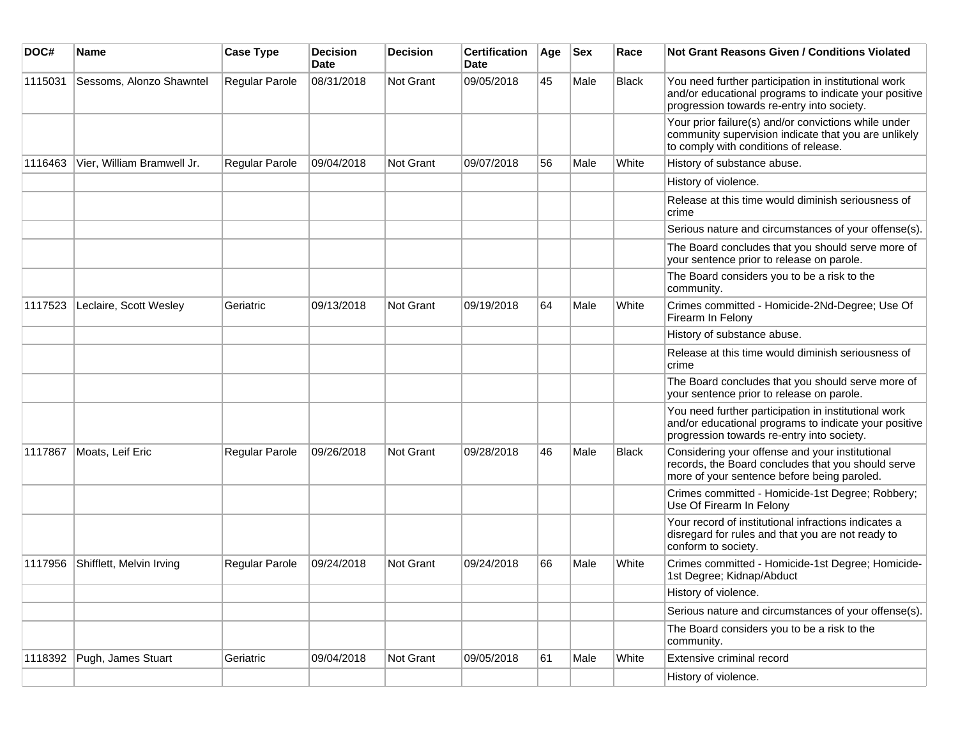| DOC#    | Name                       | <b>Case Type</b> | <b>Decision</b><br>Date | <b>Decision</b> | <b>Certification</b><br>Date | Age | <b>Sex</b> | Race         | <b>Not Grant Reasons Given / Conditions Violated</b>                                                                                                        |
|---------|----------------------------|------------------|-------------------------|-----------------|------------------------------|-----|------------|--------------|-------------------------------------------------------------------------------------------------------------------------------------------------------------|
| 1115031 | Sessoms, Alonzo Shawntel   | Regular Parole   | 08/31/2018              | Not Grant       | 09/05/2018                   | 45  | Male       | <b>Black</b> | You need further participation in institutional work<br>and/or educational programs to indicate your positive<br>progression towards re-entry into society. |
|         |                            |                  |                         |                 |                              |     |            |              | Your prior failure(s) and/or convictions while under<br>community supervision indicate that you are unlikely<br>to comply with conditions of release.       |
| 1116463 | Vier, William Bramwell Jr. | Regular Parole   | 09/04/2018              | Not Grant       | 09/07/2018                   | 56  | Male       | White        | History of substance abuse.                                                                                                                                 |
|         |                            |                  |                         |                 |                              |     |            |              | History of violence.                                                                                                                                        |
|         |                            |                  |                         |                 |                              |     |            |              | Release at this time would diminish seriousness of<br>crime                                                                                                 |
|         |                            |                  |                         |                 |                              |     |            |              | Serious nature and circumstances of your offense(s).                                                                                                        |
|         |                            |                  |                         |                 |                              |     |            |              | The Board concludes that you should serve more of<br>your sentence prior to release on parole.                                                              |
|         |                            |                  |                         |                 |                              |     |            |              | The Board considers you to be a risk to the<br>community.                                                                                                   |
| 1117523 | Leclaire, Scott Wesley     | Geriatric        | 09/13/2018              | Not Grant       | 09/19/2018                   | 64  | Male       | White        | Crimes committed - Homicide-2Nd-Degree; Use Of<br>Firearm In Felony                                                                                         |
|         |                            |                  |                         |                 |                              |     |            |              | History of substance abuse.                                                                                                                                 |
|         |                            |                  |                         |                 |                              |     |            |              | Release at this time would diminish seriousness of<br>crime                                                                                                 |
|         |                            |                  |                         |                 |                              |     |            |              | The Board concludes that you should serve more of<br>your sentence prior to release on parole.                                                              |
|         |                            |                  |                         |                 |                              |     |            |              | You need further participation in institutional work<br>and/or educational programs to indicate your positive<br>progression towards re-entry into society. |
| 1117867 | Moats, Leif Eric           | Regular Parole   | 09/26/2018              | Not Grant       | 09/28/2018                   | 46  | Male       | <b>Black</b> | Considering your offense and your institutional<br>records, the Board concludes that you should serve<br>more of your sentence before being paroled.        |
|         |                            |                  |                         |                 |                              |     |            |              | Crimes committed - Homicide-1st Degree; Robbery;<br>Use Of Firearm In Felony                                                                                |
|         |                            |                  |                         |                 |                              |     |            |              | Your record of institutional infractions indicates a<br>disregard for rules and that you are not ready to<br>conform to society.                            |
| 1117956 | Shifflett, Melvin Irving   | Regular Parole   | 09/24/2018              | Not Grant       | 09/24/2018                   | 66  | Male       | White        | Crimes committed - Homicide-1st Degree; Homicide-<br>1st Degree; Kidnap/Abduct                                                                              |
|         |                            |                  |                         |                 |                              |     |            |              | History of violence.                                                                                                                                        |
|         |                            |                  |                         |                 |                              |     |            |              | Serious nature and circumstances of your offense(s).                                                                                                        |
|         |                            |                  |                         |                 |                              |     |            |              | The Board considers you to be a risk to the<br>community.                                                                                                   |
| 1118392 | Pugh, James Stuart         | Geriatric        | 09/04/2018              | Not Grant       | 09/05/2018                   | 61  | Male       | White        | Extensive criminal record                                                                                                                                   |
|         |                            |                  |                         |                 |                              |     |            |              | History of violence.                                                                                                                                        |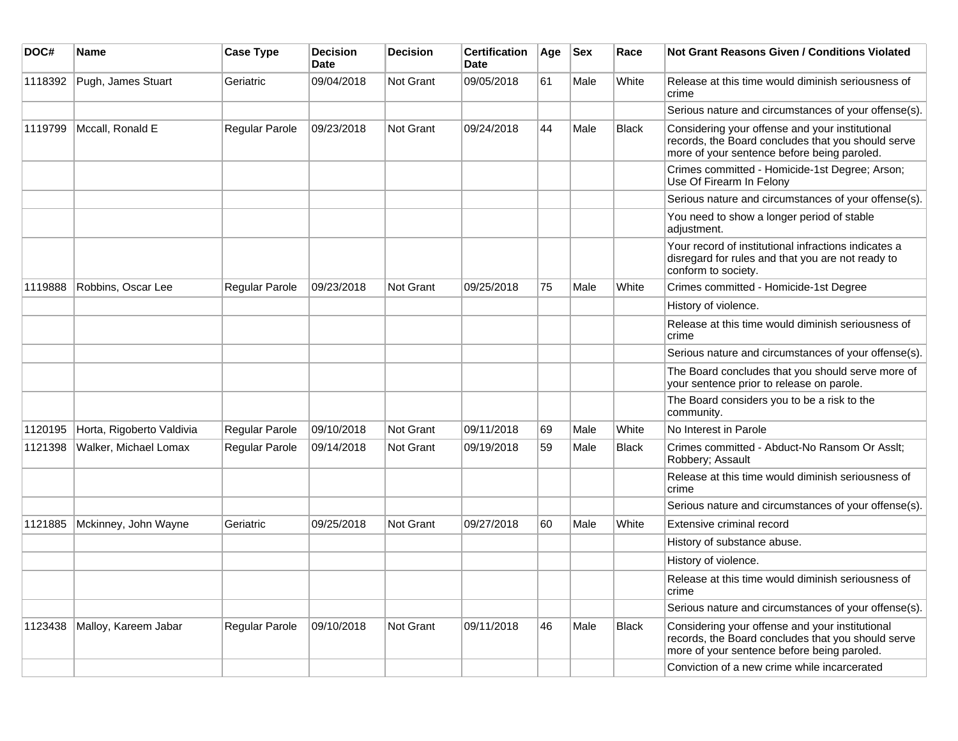| DOC#    | <b>Name</b>               | <b>Case Type</b>      | <b>Decision</b><br><b>Date</b> | <b>Decision</b>  | <b>Certification</b><br>Date | Age | <b>Sex</b> | Race         | <b>Not Grant Reasons Given / Conditions Violated</b>                                                                                                 |
|---------|---------------------------|-----------------------|--------------------------------|------------------|------------------------------|-----|------------|--------------|------------------------------------------------------------------------------------------------------------------------------------------------------|
| 1118392 | Pugh, James Stuart        | Geriatric             | 09/04/2018                     | <b>Not Grant</b> | 09/05/2018                   | 61  | Male       | White        | Release at this time would diminish seriousness of<br>crime                                                                                          |
|         |                           |                       |                                |                  |                              |     |            |              | Serious nature and circumstances of your offense(s).                                                                                                 |
| 1119799 | Mccall, Ronald E          | Regular Parole        | 09/23/2018                     | <b>Not Grant</b> | 09/24/2018                   | 44  | Male       | <b>Black</b> | Considering your offense and your institutional<br>records, the Board concludes that you should serve<br>more of your sentence before being paroled. |
|         |                           |                       |                                |                  |                              |     |            |              | Crimes committed - Homicide-1st Degree; Arson;<br>Use Of Firearm In Felony                                                                           |
|         |                           |                       |                                |                  |                              |     |            |              | Serious nature and circumstances of your offense(s).                                                                                                 |
|         |                           |                       |                                |                  |                              |     |            |              | You need to show a longer period of stable<br>adjustment.                                                                                            |
|         |                           |                       |                                |                  |                              |     |            |              | Your record of institutional infractions indicates a<br>disregard for rules and that you are not ready to<br>conform to society.                     |
| 1119888 | Robbins, Oscar Lee        | Regular Parole        | 09/23/2018                     | <b>Not Grant</b> | 09/25/2018                   | 75  | Male       | White        | Crimes committed - Homicide-1st Degree                                                                                                               |
|         |                           |                       |                                |                  |                              |     |            |              | History of violence.                                                                                                                                 |
|         |                           |                       |                                |                  |                              |     |            |              | Release at this time would diminish seriousness of<br>crime                                                                                          |
|         |                           |                       |                                |                  |                              |     |            |              | Serious nature and circumstances of your offense(s).                                                                                                 |
|         |                           |                       |                                |                  |                              |     |            |              | The Board concludes that you should serve more of<br>your sentence prior to release on parole.                                                       |
|         |                           |                       |                                |                  |                              |     |            |              | The Board considers you to be a risk to the<br>community.                                                                                            |
| 1120195 | Horta, Rigoberto Valdivia | Regular Parole        | 09/10/2018                     | <b>Not Grant</b> | 09/11/2018                   | 69  | Male       | White        | No Interest in Parole                                                                                                                                |
| 1121398 | Walker, Michael Lomax     | <b>Regular Parole</b> | 09/14/2018                     | <b>Not Grant</b> | 09/19/2018                   | 59  | Male       | <b>Black</b> | Crimes committed - Abduct-No Ransom Or Asslt;<br>Robbery; Assault                                                                                    |
|         |                           |                       |                                |                  |                              |     |            |              | Release at this time would diminish seriousness of<br>crime                                                                                          |
|         |                           |                       |                                |                  |                              |     |            |              | Serious nature and circumstances of your offense(s).                                                                                                 |
| 1121885 | Mckinney, John Wayne      | Geriatric             | 09/25/2018                     | <b>Not Grant</b> | 09/27/2018                   | 60  | Male       | White        | Extensive criminal record                                                                                                                            |
|         |                           |                       |                                |                  |                              |     |            |              | History of substance abuse.                                                                                                                          |
|         |                           |                       |                                |                  |                              |     |            |              | History of violence.                                                                                                                                 |
|         |                           |                       |                                |                  |                              |     |            |              | Release at this time would diminish seriousness of<br>crime                                                                                          |
|         |                           |                       |                                |                  |                              |     |            |              | Serious nature and circumstances of your offense(s).                                                                                                 |
| 1123438 | Malloy, Kareem Jabar      | Regular Parole        | 09/10/2018                     | Not Grant        | 09/11/2018                   | 46  | Male       | <b>Black</b> | Considering your offense and your institutional<br>records, the Board concludes that you should serve<br>more of your sentence before being paroled. |
|         |                           |                       |                                |                  |                              |     |            |              | Conviction of a new crime while incarcerated                                                                                                         |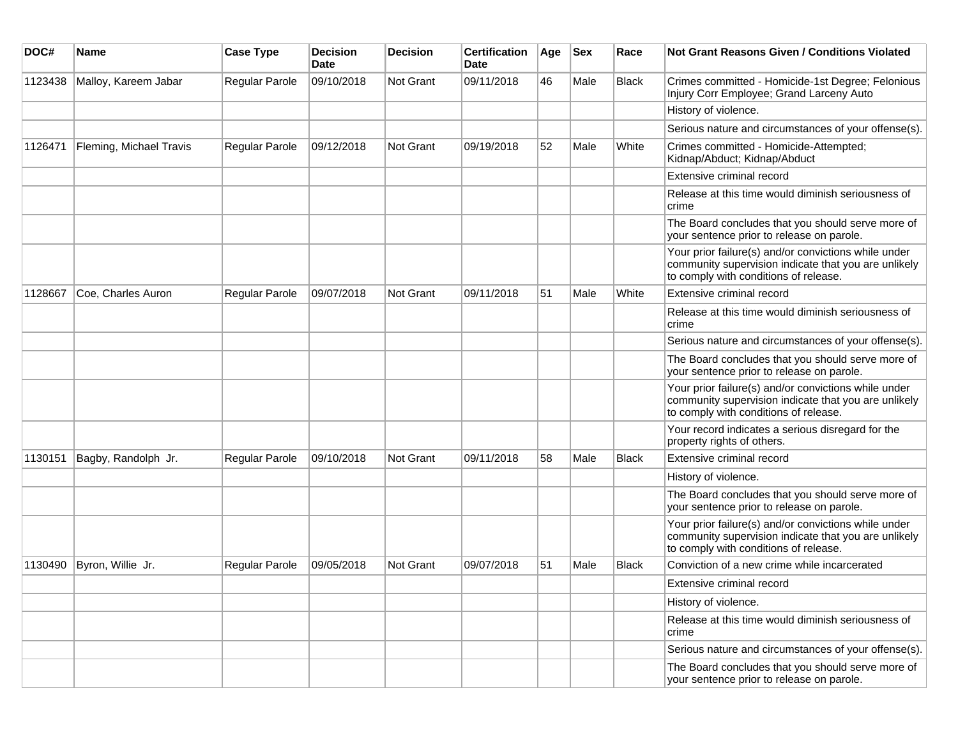| DOC#    | Name                    | <b>Case Type</b> | <b>Decision</b><br>Date | <b>Decision</b>  | <b>Certification</b><br>Date | Age | <b>Sex</b> | Race         | Not Grant Reasons Given / Conditions Violated                                                                                                         |
|---------|-------------------------|------------------|-------------------------|------------------|------------------------------|-----|------------|--------------|-------------------------------------------------------------------------------------------------------------------------------------------------------|
| 1123438 | Malloy, Kareem Jabar    | Regular Parole   | 09/10/2018              | <b>Not Grant</b> | 09/11/2018                   | 46  | Male       | Black        | Crimes committed - Homicide-1st Degree; Felonious<br>Injury Corr Employee; Grand Larceny Auto                                                         |
|         |                         |                  |                         |                  |                              |     |            |              | History of violence.                                                                                                                                  |
|         |                         |                  |                         |                  |                              |     |            |              | Serious nature and circumstances of your offense(s).                                                                                                  |
| 1126471 | Fleming, Michael Travis | Regular Parole   | 09/12/2018              | <b>Not Grant</b> | 09/19/2018                   | 52  | Male       | White        | Crimes committed - Homicide-Attempted;<br>Kidnap/Abduct; Kidnap/Abduct                                                                                |
|         |                         |                  |                         |                  |                              |     |            |              | Extensive criminal record                                                                                                                             |
|         |                         |                  |                         |                  |                              |     |            |              | Release at this time would diminish seriousness of<br>crime                                                                                           |
|         |                         |                  |                         |                  |                              |     |            |              | The Board concludes that you should serve more of<br>your sentence prior to release on parole.                                                        |
|         |                         |                  |                         |                  |                              |     |            |              | Your prior failure(s) and/or convictions while under<br>community supervision indicate that you are unlikely<br>to comply with conditions of release. |
| 1128667 | Coe, Charles Auron      | Regular Parole   | 09/07/2018              | <b>Not Grant</b> | 09/11/2018                   | 51  | Male       | White        | Extensive criminal record                                                                                                                             |
|         |                         |                  |                         |                  |                              |     |            |              | Release at this time would diminish seriousness of<br>crime                                                                                           |
|         |                         |                  |                         |                  |                              |     |            |              | Serious nature and circumstances of your offense(s).                                                                                                  |
|         |                         |                  |                         |                  |                              |     |            |              | The Board concludes that you should serve more of<br>your sentence prior to release on parole.                                                        |
|         |                         |                  |                         |                  |                              |     |            |              | Your prior failure(s) and/or convictions while under<br>community supervision indicate that you are unlikely<br>to comply with conditions of release. |
|         |                         |                  |                         |                  |                              |     |            |              | Your record indicates a serious disregard for the<br>property rights of others.                                                                       |
| 1130151 | Bagby, Randolph Jr.     | Regular Parole   | 09/10/2018              | <b>Not Grant</b> | 09/11/2018                   | 58  | Male       | Black        | Extensive criminal record                                                                                                                             |
|         |                         |                  |                         |                  |                              |     |            |              | History of violence.                                                                                                                                  |
|         |                         |                  |                         |                  |                              |     |            |              | The Board concludes that you should serve more of<br>your sentence prior to release on parole.                                                        |
|         |                         |                  |                         |                  |                              |     |            |              | Your prior failure(s) and/or convictions while under<br>community supervision indicate that you are unlikely<br>to comply with conditions of release. |
| 1130490 | Byron, Willie Jr.       | Regular Parole   | 09/05/2018              | <b>Not Grant</b> | 09/07/2018                   | 51  | Male       | <b>Black</b> | Conviction of a new crime while incarcerated                                                                                                          |
|         |                         |                  |                         |                  |                              |     |            |              | Extensive criminal record                                                                                                                             |
|         |                         |                  |                         |                  |                              |     |            |              | History of violence.                                                                                                                                  |
|         |                         |                  |                         |                  |                              |     |            |              | Release at this time would diminish seriousness of<br>crime                                                                                           |
|         |                         |                  |                         |                  |                              |     |            |              | Serious nature and circumstances of your offense(s).                                                                                                  |
|         |                         |                  |                         |                  |                              |     |            |              | The Board concludes that you should serve more of<br>your sentence prior to release on parole.                                                        |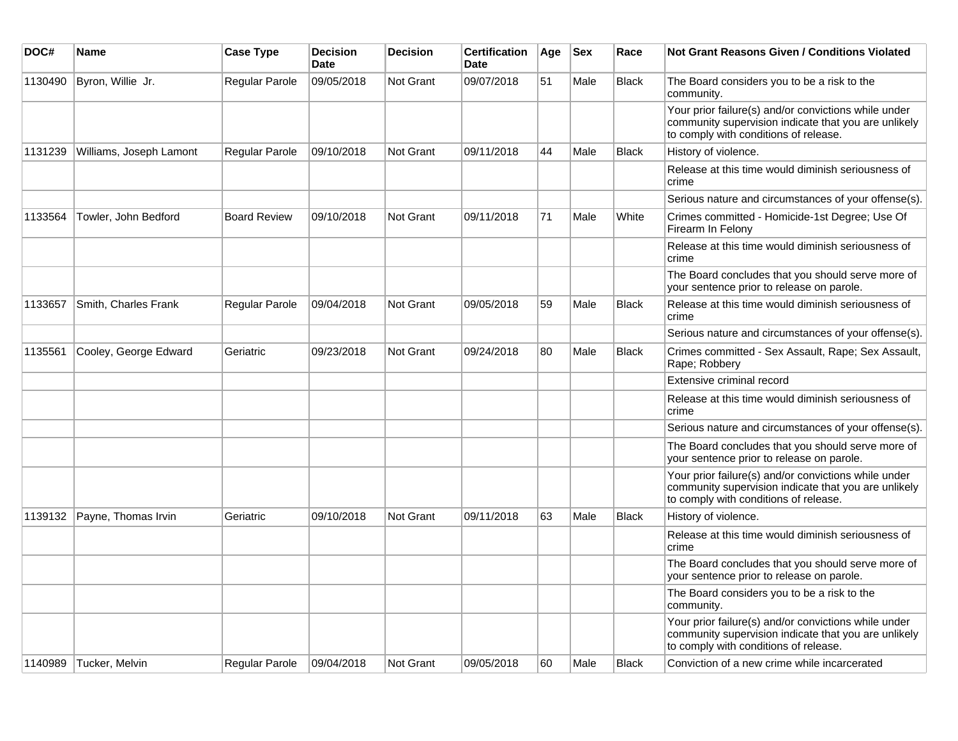| DOC#    | <b>Name</b>             | <b>Case Type</b>    | <b>Decision</b><br><b>Date</b> | <b>Decision</b>  | <b>Certification</b><br><b>Date</b> | Age | <b>Sex</b> | Race         | <b>Not Grant Reasons Given / Conditions Violated</b>                                                                                                  |
|---------|-------------------------|---------------------|--------------------------------|------------------|-------------------------------------|-----|------------|--------------|-------------------------------------------------------------------------------------------------------------------------------------------------------|
| 1130490 | Byron, Willie Jr.       | Regular Parole      | 09/05/2018                     | Not Grant        | 09/07/2018                          | 51  | Male       | <b>Black</b> | The Board considers you to be a risk to the<br>community.                                                                                             |
|         |                         |                     |                                |                  |                                     |     |            |              | Your prior failure(s) and/or convictions while under<br>community supervision indicate that you are unlikely<br>to comply with conditions of release. |
| 1131239 | Williams, Joseph Lamont | Regular Parole      | 09/10/2018                     | <b>Not Grant</b> | 09/11/2018                          | 44  | Male       | <b>Black</b> | History of violence.                                                                                                                                  |
|         |                         |                     |                                |                  |                                     |     |            |              | Release at this time would diminish seriousness of<br>crime                                                                                           |
|         |                         |                     |                                |                  |                                     |     |            |              | Serious nature and circumstances of your offense(s).                                                                                                  |
| 1133564 | Towler, John Bedford    | <b>Board Review</b> | 09/10/2018                     | <b>Not Grant</b> | 09/11/2018                          | 71  | Male       | White        | Crimes committed - Homicide-1st Degree; Use Of<br>Firearm In Felony                                                                                   |
|         |                         |                     |                                |                  |                                     |     |            |              | Release at this time would diminish seriousness of<br>crime                                                                                           |
|         |                         |                     |                                |                  |                                     |     |            |              | The Board concludes that you should serve more of<br>your sentence prior to release on parole.                                                        |
| 1133657 | Smith, Charles Frank    | Regular Parole      | 09/04/2018                     | <b>Not Grant</b> | 09/05/2018                          | 59  | Male       | <b>Black</b> | Release at this time would diminish seriousness of<br>crime                                                                                           |
|         |                         |                     |                                |                  |                                     |     |            |              | Serious nature and circumstances of your offense(s).                                                                                                  |
| 1135561 | Cooley, George Edward   | Geriatric           | 09/23/2018                     | <b>Not Grant</b> | 09/24/2018                          | 80  | Male       | <b>Black</b> | Crimes committed - Sex Assault, Rape; Sex Assault,<br>Rape; Robbery                                                                                   |
|         |                         |                     |                                |                  |                                     |     |            |              | Extensive criminal record                                                                                                                             |
|         |                         |                     |                                |                  |                                     |     |            |              | Release at this time would diminish seriousness of<br>crime                                                                                           |
|         |                         |                     |                                |                  |                                     |     |            |              | Serious nature and circumstances of your offense(s).                                                                                                  |
|         |                         |                     |                                |                  |                                     |     |            |              | The Board concludes that you should serve more of<br>your sentence prior to release on parole.                                                        |
|         |                         |                     |                                |                  |                                     |     |            |              | Your prior failure(s) and/or convictions while under<br>community supervision indicate that you are unlikely<br>to comply with conditions of release. |
| 1139132 | Payne, Thomas Irvin     | Geriatric           | 09/10/2018                     | <b>Not Grant</b> | 09/11/2018                          | 63  | Male       | <b>Black</b> | History of violence.                                                                                                                                  |
|         |                         |                     |                                |                  |                                     |     |            |              | Release at this time would diminish seriousness of<br>crime                                                                                           |
|         |                         |                     |                                |                  |                                     |     |            |              | The Board concludes that you should serve more of<br>your sentence prior to release on parole.                                                        |
|         |                         |                     |                                |                  |                                     |     |            |              | The Board considers you to be a risk to the<br>community.                                                                                             |
|         |                         |                     |                                |                  |                                     |     |            |              | Your prior failure(s) and/or convictions while under<br>community supervision indicate that you are unlikely<br>to comply with conditions of release. |
| 1140989 | Tucker, Melvin          | Regular Parole      | 09/04/2018                     | Not Grant        | 09/05/2018                          | 60  | Male       | <b>Black</b> | Conviction of a new crime while incarcerated                                                                                                          |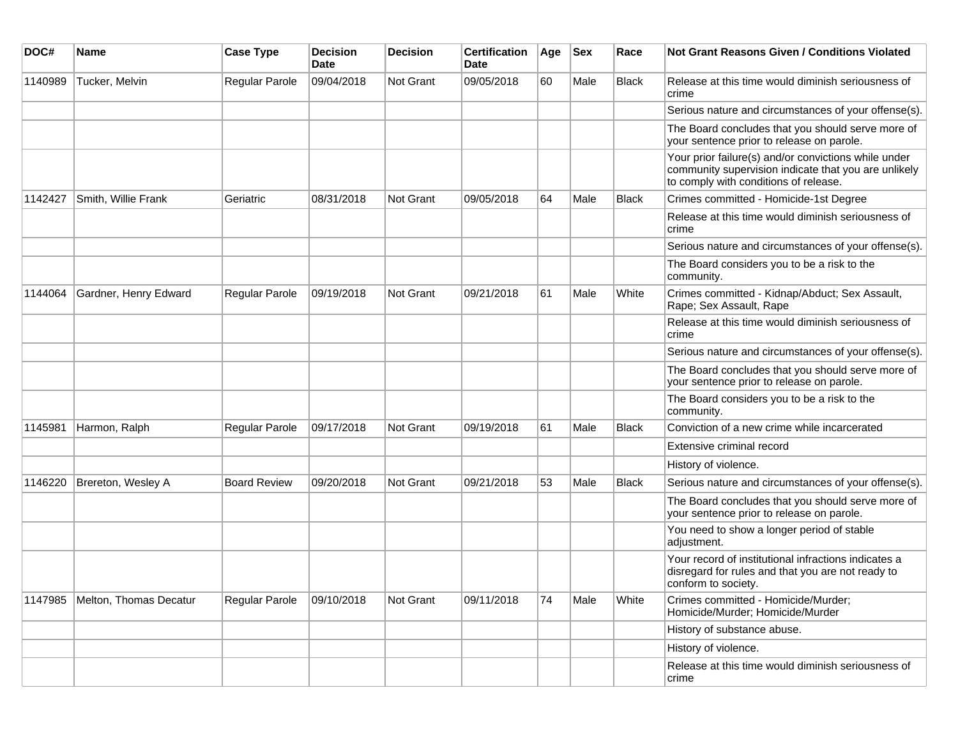| DOC#    | Name                   | <b>Case Type</b>      | <b>Decision</b><br>Date | <b>Decision</b> | <b>Certification</b><br>Date | Age | <b>Sex</b> | Race         | Not Grant Reasons Given / Conditions Violated                                                                                                         |
|---------|------------------------|-----------------------|-------------------------|-----------------|------------------------------|-----|------------|--------------|-------------------------------------------------------------------------------------------------------------------------------------------------------|
| 1140989 | Tucker, Melvin         | Regular Parole        | 09/04/2018              | Not Grant       | 09/05/2018                   | 60  | Male       | <b>Black</b> | Release at this time would diminish seriousness of<br>crime                                                                                           |
|         |                        |                       |                         |                 |                              |     |            |              | Serious nature and circumstances of your offense(s).                                                                                                  |
|         |                        |                       |                         |                 |                              |     |            |              | The Board concludes that you should serve more of<br>your sentence prior to release on parole.                                                        |
|         |                        |                       |                         |                 |                              |     |            |              | Your prior failure(s) and/or convictions while under<br>community supervision indicate that you are unlikely<br>to comply with conditions of release. |
| 1142427 | Smith, Willie Frank    | Geriatric             | 08/31/2018              | Not Grant       | 09/05/2018                   | 64  | Male       | <b>Black</b> | Crimes committed - Homicide-1st Degree                                                                                                                |
|         |                        |                       |                         |                 |                              |     |            |              | Release at this time would diminish seriousness of<br>crime                                                                                           |
|         |                        |                       |                         |                 |                              |     |            |              | Serious nature and circumstances of your offense(s).                                                                                                  |
|         |                        |                       |                         |                 |                              |     |            |              | The Board considers you to be a risk to the<br>community.                                                                                             |
| 1144064 | Gardner, Henry Edward  | <b>Regular Parole</b> | 09/19/2018              | Not Grant       | 09/21/2018                   | 61  | Male       | White        | Crimes committed - Kidnap/Abduct; Sex Assault,<br>Rape; Sex Assault, Rape                                                                             |
|         |                        |                       |                         |                 |                              |     |            |              | Release at this time would diminish seriousness of<br>crime                                                                                           |
|         |                        |                       |                         |                 |                              |     |            |              | Serious nature and circumstances of your offense(s).                                                                                                  |
|         |                        |                       |                         |                 |                              |     |            |              | The Board concludes that you should serve more of<br>your sentence prior to release on parole.                                                        |
|         |                        |                       |                         |                 |                              |     |            |              | The Board considers you to be a risk to the<br>community.                                                                                             |
| 1145981 | Harmon, Ralph          | Regular Parole        | 09/17/2018              | Not Grant       | 09/19/2018                   | 61  | Male       | Black        | Conviction of a new crime while incarcerated                                                                                                          |
|         |                        |                       |                         |                 |                              |     |            |              | Extensive criminal record                                                                                                                             |
|         |                        |                       |                         |                 |                              |     |            |              | History of violence.                                                                                                                                  |
| 1146220 | Brereton, Wesley A     | <b>Board Review</b>   | 09/20/2018              | Not Grant       | 09/21/2018                   | 53  | Male       | <b>Black</b> | Serious nature and circumstances of your offense(s).                                                                                                  |
|         |                        |                       |                         |                 |                              |     |            |              | The Board concludes that you should serve more of<br>your sentence prior to release on parole.                                                        |
|         |                        |                       |                         |                 |                              |     |            |              | You need to show a longer period of stable<br>adjustment.                                                                                             |
|         |                        |                       |                         |                 |                              |     |            |              | Your record of institutional infractions indicates a<br>disregard for rules and that you are not ready to<br>conform to society.                      |
| 1147985 | Melton, Thomas Decatur | <b>Regular Parole</b> | 09/10/2018              | Not Grant       | 09/11/2018                   | 74  | Male       | White        | Crimes committed - Homicide/Murder;<br>Homicide/Murder; Homicide/Murder                                                                               |
|         |                        |                       |                         |                 |                              |     |            |              | History of substance abuse.                                                                                                                           |
|         |                        |                       |                         |                 |                              |     |            |              | History of violence.                                                                                                                                  |
|         |                        |                       |                         |                 |                              |     |            |              | Release at this time would diminish seriousness of<br>crime                                                                                           |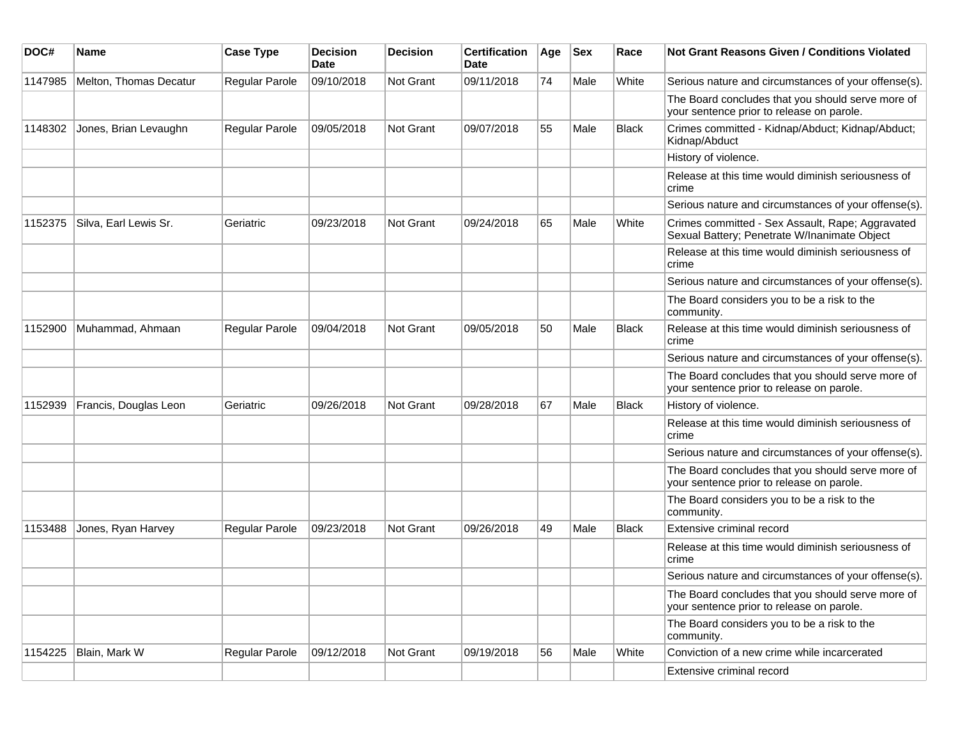| DOC#    | Name                   | <b>Case Type</b>      | <b>Decision</b><br><b>Date</b> | <b>Decision</b>  | <b>Certification</b><br>Date | Age | <b>Sex</b> | Race         | <b>Not Grant Reasons Given / Conditions Violated</b>                                             |
|---------|------------------------|-----------------------|--------------------------------|------------------|------------------------------|-----|------------|--------------|--------------------------------------------------------------------------------------------------|
| 1147985 | Melton, Thomas Decatur | Regular Parole        | 09/10/2018                     | Not Grant        | 09/11/2018                   | 74  | Male       | White        | Serious nature and circumstances of your offense(s).                                             |
|         |                        |                       |                                |                  |                              |     |            |              | The Board concludes that you should serve more of<br>your sentence prior to release on parole.   |
| 1148302 | Jones, Brian Levaughn  | <b>Regular Parole</b> | 09/05/2018                     | Not Grant        | 09/07/2018                   | 55  | Male       | <b>Black</b> | Crimes committed - Kidnap/Abduct; Kidnap/Abduct;<br>Kidnap/Abduct                                |
|         |                        |                       |                                |                  |                              |     |            |              | History of violence.                                                                             |
|         |                        |                       |                                |                  |                              |     |            |              | Release at this time would diminish seriousness of<br>crime                                      |
|         |                        |                       |                                |                  |                              |     |            |              | Serious nature and circumstances of your offense(s).                                             |
| 1152375 | Silva, Earl Lewis Sr.  | Geriatric             | 09/23/2018                     | Not Grant        | 09/24/2018                   | 65  | Male       | White        | Crimes committed - Sex Assault, Rape; Aggravated<br>Sexual Battery; Penetrate W/Inanimate Object |
|         |                        |                       |                                |                  |                              |     |            |              | Release at this time would diminish seriousness of<br>crime                                      |
|         |                        |                       |                                |                  |                              |     |            |              | Serious nature and circumstances of your offense(s).                                             |
|         |                        |                       |                                |                  |                              |     |            |              | The Board considers you to be a risk to the<br>community.                                        |
| 1152900 | Muhammad, Ahmaan       | Regular Parole        | 09/04/2018                     | <b>Not Grant</b> | 09/05/2018                   | 50  | Male       | <b>Black</b> | Release at this time would diminish seriousness of<br>crime                                      |
|         |                        |                       |                                |                  |                              |     |            |              | Serious nature and circumstances of your offense(s).                                             |
|         |                        |                       |                                |                  |                              |     |            |              | The Board concludes that you should serve more of<br>your sentence prior to release on parole.   |
| 1152939 | Francis, Douglas Leon  | Geriatric             | 09/26/2018                     | <b>Not Grant</b> | 09/28/2018                   | 67  | Male       | <b>Black</b> | History of violence.                                                                             |
|         |                        |                       |                                |                  |                              |     |            |              | Release at this time would diminish seriousness of<br>crime                                      |
|         |                        |                       |                                |                  |                              |     |            |              | Serious nature and circumstances of your offense(s).                                             |
|         |                        |                       |                                |                  |                              |     |            |              | The Board concludes that you should serve more of<br>your sentence prior to release on parole.   |
|         |                        |                       |                                |                  |                              |     |            |              | The Board considers you to be a risk to the<br>community.                                        |
| 1153488 | Jones, Ryan Harvey     | Regular Parole        | 09/23/2018                     | <b>Not Grant</b> | 09/26/2018                   | 49  | Male       | <b>Black</b> | Extensive criminal record                                                                        |
|         |                        |                       |                                |                  |                              |     |            |              | Release at this time would diminish seriousness of<br>crime                                      |
|         |                        |                       |                                |                  |                              |     |            |              | Serious nature and circumstances of your offense(s).                                             |
|         |                        |                       |                                |                  |                              |     |            |              | The Board concludes that you should serve more of<br>your sentence prior to release on parole.   |
|         |                        |                       |                                |                  |                              |     |            |              | The Board considers you to be a risk to the<br>community.                                        |
| 1154225 | Blain, Mark W          | Regular Parole        | 09/12/2018                     | Not Grant        | 09/19/2018                   | 56  | Male       | White        | Conviction of a new crime while incarcerated                                                     |
|         |                        |                       |                                |                  |                              |     |            |              | Extensive criminal record                                                                        |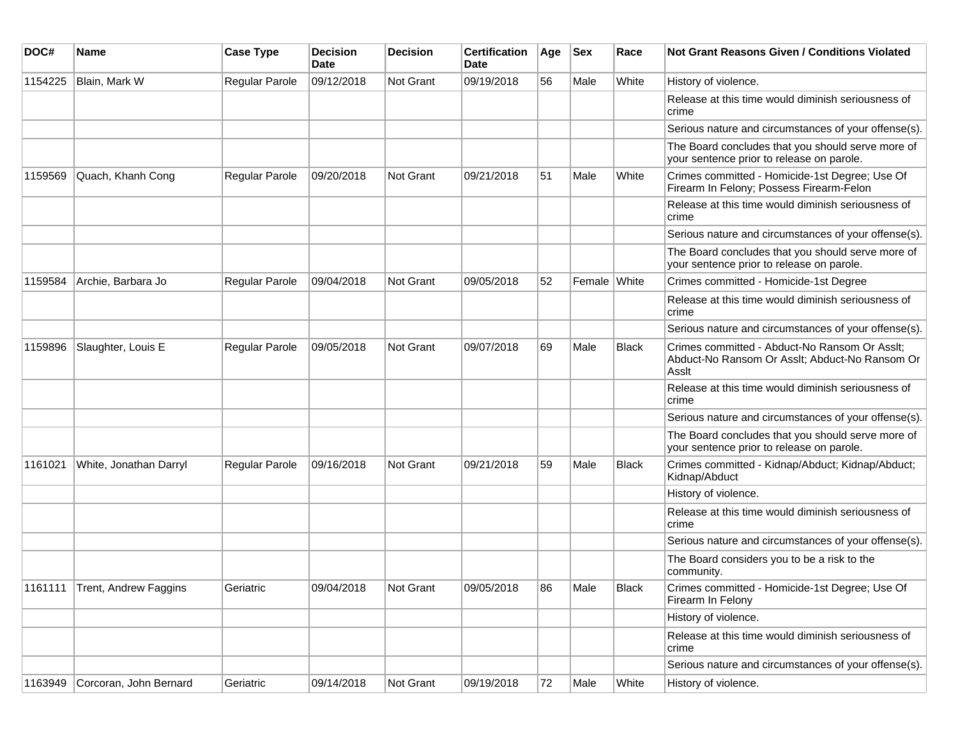| DOC#    | <b>Name</b>                   | <b>Case Type</b>      | <b>Decision</b><br>Date | <b>Decision</b> | <b>Certification</b><br>Date | Age | <b>Sex</b>   | Race  | Not Grant Reasons Given / Conditions Violated                                                            |
|---------|-------------------------------|-----------------------|-------------------------|-----------------|------------------------------|-----|--------------|-------|----------------------------------------------------------------------------------------------------------|
| 1154225 | Blain, Mark W                 | Regular Parole        | 09/12/2018              | Not Grant       | 09/19/2018                   | 56  | Male         | White | History of violence.                                                                                     |
|         |                               |                       |                         |                 |                              |     |              |       | Release at this time would diminish seriousness of<br>crime                                              |
|         |                               |                       |                         |                 |                              |     |              |       | Serious nature and circumstances of your offense(s).                                                     |
|         |                               |                       |                         |                 |                              |     |              |       | The Board concludes that you should serve more of<br>your sentence prior to release on parole.           |
| 1159569 | Quach, Khanh Cong             | <b>Regular Parole</b> | 09/20/2018              | Not Grant       | 09/21/2018                   | 51  | Male         | White | Crimes committed - Homicide-1st Degree; Use Of<br>Firearm In Felony; Possess Firearm-Felon               |
|         |                               |                       |                         |                 |                              |     |              |       | Release at this time would diminish seriousness of<br>crime                                              |
|         |                               |                       |                         |                 |                              |     |              |       | Serious nature and circumstances of your offense(s).                                                     |
|         |                               |                       |                         |                 |                              |     |              |       | The Board concludes that you should serve more of<br>your sentence prior to release on parole.           |
| 1159584 | Archie, Barbara Jo            | Regular Parole        | 09/04/2018              | Not Grant       | 09/05/2018                   | 52  | Female White |       | Crimes committed - Homicide-1st Degree                                                                   |
|         |                               |                       |                         |                 |                              |     |              |       | Release at this time would diminish seriousness of<br>crime                                              |
|         |                               |                       |                         |                 |                              |     |              |       | Serious nature and circumstances of your offense(s).                                                     |
| 1159896 | Slaughter, Louis E            | Regular Parole        | 09/05/2018              | Not Grant       | 09/07/2018                   | 69  | Male         | Black | Crimes committed - Abduct-No Ransom Or Asslt;<br>Abduct-No Ransom Or Asslt; Abduct-No Ransom Or<br>Assit |
|         |                               |                       |                         |                 |                              |     |              |       | Release at this time would diminish seriousness of<br>crime                                              |
|         |                               |                       |                         |                 |                              |     |              |       | Serious nature and circumstances of your offense(s).                                                     |
|         |                               |                       |                         |                 |                              |     |              |       | The Board concludes that you should serve more of<br>your sentence prior to release on parole.           |
| 1161021 | White, Jonathan Darryl        | <b>Regular Parole</b> | 09/16/2018              | Not Grant       | 09/21/2018                   | 59  | Male         | Black | Crimes committed - Kidnap/Abduct; Kidnap/Abduct;<br>Kidnap/Abduct                                        |
|         |                               |                       |                         |                 |                              |     |              |       | History of violence.                                                                                     |
|         |                               |                       |                         |                 |                              |     |              |       | Release at this time would diminish seriousness of<br>crime                                              |
|         |                               |                       |                         |                 |                              |     |              |       | Serious nature and circumstances of your offense(s).                                                     |
|         |                               |                       |                         |                 |                              |     |              |       | The Board considers you to be a risk to the<br>community.                                                |
|         | 1161111 Trent, Andrew Faggins | Geriatric             | 09/04/2018              | Not Grant       | 09/05/2018                   | 86  | Male         | Black | Crimes committed - Homicide-1st Degree; Use Of<br>Firearm In Felony                                      |
|         |                               |                       |                         |                 |                              |     |              |       | History of violence.                                                                                     |
|         |                               |                       |                         |                 |                              |     |              |       | Release at this time would diminish seriousness of<br>crime                                              |
|         |                               |                       |                         |                 |                              |     |              |       | Serious nature and circumstances of your offense(s).                                                     |
| 1163949 | Corcoran, John Bernard        | Geriatric             | 09/14/2018              | Not Grant       | 09/19/2018                   | 72  | Male         | White | History of violence.                                                                                     |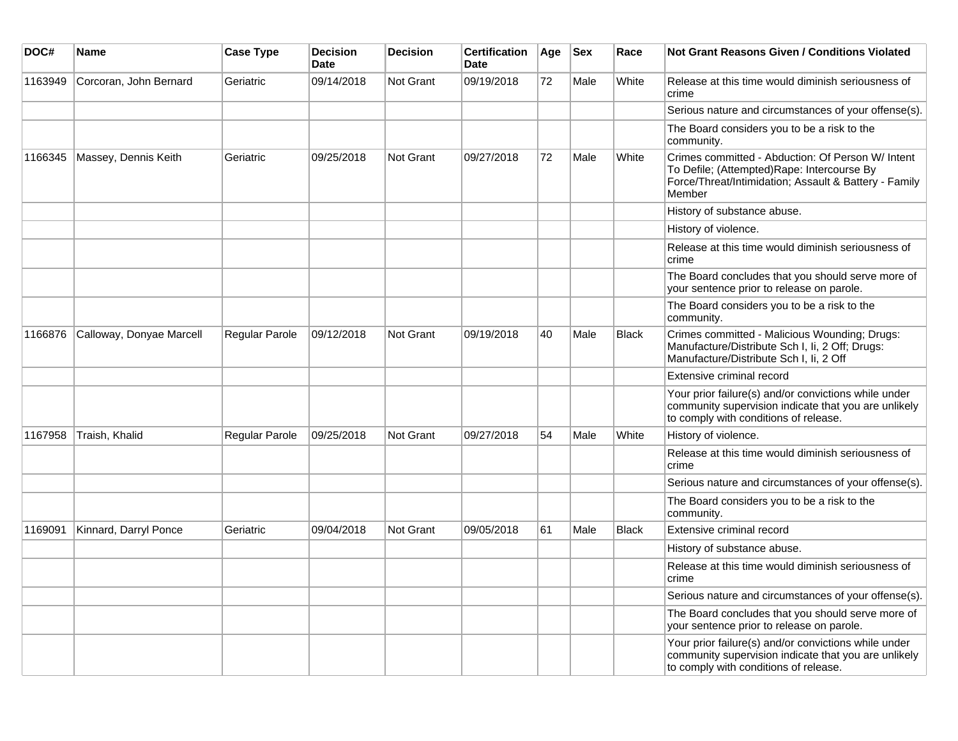| DOC#    | <b>Name</b>              | <b>Case Type</b> | <b>Decision</b><br><b>Date</b> | <b>Decision</b>  | <b>Certification</b><br><b>Date</b> | Age | <b>Sex</b> | Race         | <b>Not Grant Reasons Given / Conditions Violated</b>                                                                                                                |
|---------|--------------------------|------------------|--------------------------------|------------------|-------------------------------------|-----|------------|--------------|---------------------------------------------------------------------------------------------------------------------------------------------------------------------|
| 1163949 | Corcoran, John Bernard   | Geriatric        | 09/14/2018                     | Not Grant        | 09/19/2018                          | 72  | Male       | White        | Release at this time would diminish seriousness of<br>crime                                                                                                         |
|         |                          |                  |                                |                  |                                     |     |            |              | Serious nature and circumstances of your offense(s).                                                                                                                |
|         |                          |                  |                                |                  |                                     |     |            |              | The Board considers you to be a risk to the<br>community.                                                                                                           |
| 1166345 | Massey, Dennis Keith     | Geriatric        | 09/25/2018                     | Not Grant        | 09/27/2018                          | 72  | Male       | White        | Crimes committed - Abduction: Of Person W/ Intent<br>To Defile; (Attempted) Rape: Intercourse By<br>Force/Threat/Intimidation; Assault & Battery - Family<br>Member |
|         |                          |                  |                                |                  |                                     |     |            |              | History of substance abuse.                                                                                                                                         |
|         |                          |                  |                                |                  |                                     |     |            |              | History of violence.                                                                                                                                                |
|         |                          |                  |                                |                  |                                     |     |            |              | Release at this time would diminish seriousness of<br>crime                                                                                                         |
|         |                          |                  |                                |                  |                                     |     |            |              | The Board concludes that you should serve more of<br>your sentence prior to release on parole.                                                                      |
|         |                          |                  |                                |                  |                                     |     |            |              | The Board considers you to be a risk to the<br>community.                                                                                                           |
| 1166876 | Calloway, Donyae Marcell | Regular Parole   | 09/12/2018                     | Not Grant        | 09/19/2018                          | 40  | Male       | <b>Black</b> | Crimes committed - Malicious Wounding; Drugs:<br>Manufacture/Distribute Sch I, Ii, 2 Off; Drugs:<br>Manufacture/Distribute Sch I, Ii, 2 Off                         |
|         |                          |                  |                                |                  |                                     |     |            |              | Extensive criminal record                                                                                                                                           |
|         |                          |                  |                                |                  |                                     |     |            |              | Your prior failure(s) and/or convictions while under<br>community supervision indicate that you are unlikely<br>to comply with conditions of release.               |
| 1167958 | Traish, Khalid           | Regular Parole   | 09/25/2018                     | Not Grant        | 09/27/2018                          | 54  | Male       | White        | History of violence.                                                                                                                                                |
|         |                          |                  |                                |                  |                                     |     |            |              | Release at this time would diminish seriousness of<br>crime                                                                                                         |
|         |                          |                  |                                |                  |                                     |     |            |              | Serious nature and circumstances of your offense(s).                                                                                                                |
|         |                          |                  |                                |                  |                                     |     |            |              | The Board considers you to be a risk to the<br>community.                                                                                                           |
| 1169091 | Kinnard, Darryl Ponce    | Geriatric        | 09/04/2018                     | <b>Not Grant</b> | 09/05/2018                          | 61  | Male       | <b>Black</b> | Extensive criminal record                                                                                                                                           |
|         |                          |                  |                                |                  |                                     |     |            |              | History of substance abuse.                                                                                                                                         |
|         |                          |                  |                                |                  |                                     |     |            |              | Release at this time would diminish seriousness of<br>crime                                                                                                         |
|         |                          |                  |                                |                  |                                     |     |            |              | Serious nature and circumstances of your offense(s).                                                                                                                |
|         |                          |                  |                                |                  |                                     |     |            |              | The Board concludes that you should serve more of<br>your sentence prior to release on parole.                                                                      |
|         |                          |                  |                                |                  |                                     |     |            |              | Your prior failure(s) and/or convictions while under<br>community supervision indicate that you are unlikely<br>to comply with conditions of release.               |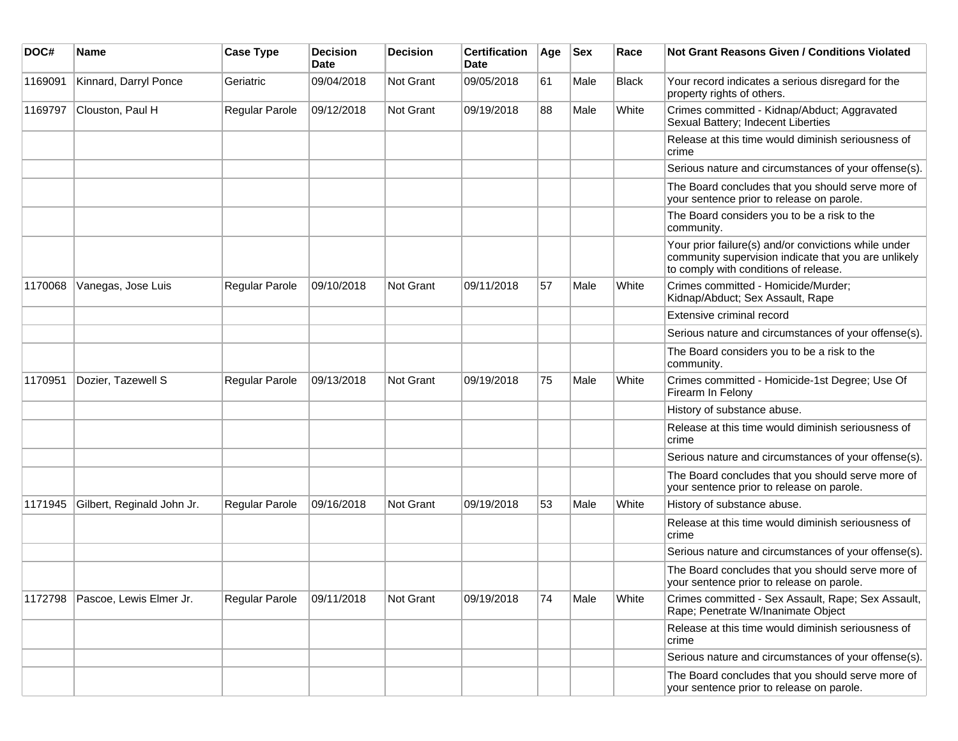| DOC#    | <b>Name</b>                | <b>Case Type</b> | <b>Decision</b><br><b>Date</b> | <b>Decision</b> | <b>Certification</b><br>Date | Age | <b>Sex</b> | Race  | <b>Not Grant Reasons Given / Conditions Violated</b>                                                                                                  |
|---------|----------------------------|------------------|--------------------------------|-----------------|------------------------------|-----|------------|-------|-------------------------------------------------------------------------------------------------------------------------------------------------------|
| 1169091 | Kinnard, Darryl Ponce      | Geriatric        | 09/04/2018                     | Not Grant       | 09/05/2018                   | 61  | Male       | Black | Your record indicates a serious disregard for the<br>property rights of others.                                                                       |
| 1169797 | Clouston, Paul H           | Regular Parole   | 09/12/2018                     | Not Grant       | 09/19/2018                   | 88  | Male       | White | Crimes committed - Kidnap/Abduct; Aggravated<br>Sexual Battery; Indecent Liberties                                                                    |
|         |                            |                  |                                |                 |                              |     |            |       | Release at this time would diminish seriousness of<br>crime                                                                                           |
|         |                            |                  |                                |                 |                              |     |            |       | Serious nature and circumstances of your offense(s).                                                                                                  |
|         |                            |                  |                                |                 |                              |     |            |       | The Board concludes that you should serve more of<br>your sentence prior to release on parole.                                                        |
|         |                            |                  |                                |                 |                              |     |            |       | The Board considers you to be a risk to the<br>community.                                                                                             |
|         |                            |                  |                                |                 |                              |     |            |       | Your prior failure(s) and/or convictions while under<br>community supervision indicate that you are unlikely<br>to comply with conditions of release. |
| 1170068 | Vanegas, Jose Luis         | Regular Parole   | 09/10/2018                     | Not Grant       | 09/11/2018                   | 57  | Male       | White | Crimes committed - Homicide/Murder;<br>Kidnap/Abduct; Sex Assault, Rape                                                                               |
|         |                            |                  |                                |                 |                              |     |            |       | Extensive criminal record                                                                                                                             |
|         |                            |                  |                                |                 |                              |     |            |       | Serious nature and circumstances of your offense(s).                                                                                                  |
|         |                            |                  |                                |                 |                              |     |            |       | The Board considers you to be a risk to the<br>community.                                                                                             |
| 1170951 | Dozier, Tazewell S         | Regular Parole   | 09/13/2018                     | Not Grant       | 09/19/2018                   | 75  | Male       | White | Crimes committed - Homicide-1st Degree; Use Of<br>Firearm In Felony                                                                                   |
|         |                            |                  |                                |                 |                              |     |            |       | History of substance abuse.                                                                                                                           |
|         |                            |                  |                                |                 |                              |     |            |       | Release at this time would diminish seriousness of<br>crime                                                                                           |
|         |                            |                  |                                |                 |                              |     |            |       | Serious nature and circumstances of your offense(s).                                                                                                  |
|         |                            |                  |                                |                 |                              |     |            |       | The Board concludes that you should serve more of<br>your sentence prior to release on parole.                                                        |
| 1171945 | Gilbert, Reginald John Jr. | Regular Parole   | 09/16/2018                     | Not Grant       | 09/19/2018                   | 53  | Male       | White | History of substance abuse.                                                                                                                           |
|         |                            |                  |                                |                 |                              |     |            |       | Release at this time would diminish seriousness of<br>crime                                                                                           |
|         |                            |                  |                                |                 |                              |     |            |       | Serious nature and circumstances of your offense(s).                                                                                                  |
|         |                            |                  |                                |                 |                              |     |            |       | The Board concludes that you should serve more of<br>your sentence prior to release on parole.                                                        |
| 1172798 | Pascoe, Lewis Elmer Jr.    | Regular Parole   | 09/11/2018                     | Not Grant       | 09/19/2018                   | 74  | Male       | White | Crimes committed - Sex Assault, Rape; Sex Assault,<br>Rape; Penetrate W/Inanimate Object                                                              |
|         |                            |                  |                                |                 |                              |     |            |       | Release at this time would diminish seriousness of<br>crime                                                                                           |
|         |                            |                  |                                |                 |                              |     |            |       | Serious nature and circumstances of your offense(s).                                                                                                  |
|         |                            |                  |                                |                 |                              |     |            |       | The Board concludes that you should serve more of<br>your sentence prior to release on parole.                                                        |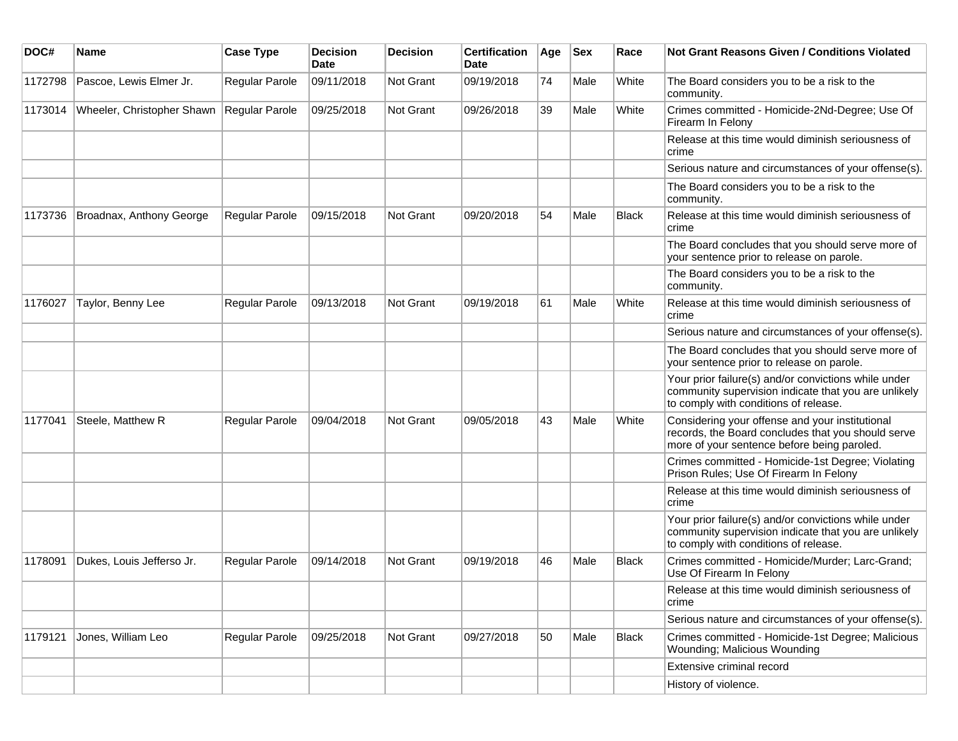| DOC#    | Name                       | <b>Case Type</b>      | <b>Decision</b><br><b>Date</b> | <b>Decision</b>  | <b>Certification</b><br>Date | Age | <b>Sex</b> | Race         | Not Grant Reasons Given / Conditions Violated                                                                                                         |
|---------|----------------------------|-----------------------|--------------------------------|------------------|------------------------------|-----|------------|--------------|-------------------------------------------------------------------------------------------------------------------------------------------------------|
| 1172798 | Pascoe, Lewis Elmer Jr.    | Regular Parole        | 09/11/2018                     | Not Grant        | 09/19/2018                   | 74  | Male       | White        | The Board considers you to be a risk to the<br>community.                                                                                             |
| 1173014 | Wheeler, Christopher Shawn | Regular Parole        | 09/25/2018                     | Not Grant        | 09/26/2018                   | 39  | Male       | White        | Crimes committed - Homicide-2Nd-Degree; Use Of<br>Firearm In Felony                                                                                   |
|         |                            |                       |                                |                  |                              |     |            |              | Release at this time would diminish seriousness of<br>crime                                                                                           |
|         |                            |                       |                                |                  |                              |     |            |              | Serious nature and circumstances of your offense(s).                                                                                                  |
|         |                            |                       |                                |                  |                              |     |            |              | The Board considers you to be a risk to the<br>community.                                                                                             |
| 1173736 | Broadnax, Anthony George   | <b>Regular Parole</b> | 09/15/2018                     | Not Grant        | 09/20/2018                   | 54  | Male       | <b>Black</b> | Release at this time would diminish seriousness of<br>crime                                                                                           |
|         |                            |                       |                                |                  |                              |     |            |              | The Board concludes that you should serve more of<br>your sentence prior to release on parole.                                                        |
|         |                            |                       |                                |                  |                              |     |            |              | The Board considers you to be a risk to the<br>community.                                                                                             |
| 1176027 | Taylor, Benny Lee          | Regular Parole        | 09/13/2018                     | Not Grant        | 09/19/2018                   | 61  | Male       | White        | Release at this time would diminish seriousness of<br>crime                                                                                           |
|         |                            |                       |                                |                  |                              |     |            |              | Serious nature and circumstances of your offense(s).                                                                                                  |
|         |                            |                       |                                |                  |                              |     |            |              | The Board concludes that you should serve more of<br>your sentence prior to release on parole.                                                        |
|         |                            |                       |                                |                  |                              |     |            |              | Your prior failure(s) and/or convictions while under<br>community supervision indicate that you are unlikely<br>to comply with conditions of release. |
| 1177041 | Steele, Matthew R          | Regular Parole        | 09/04/2018                     | Not Grant        | 09/05/2018                   | 43  | Male       | White        | Considering your offense and your institutional<br>records, the Board concludes that you should serve<br>more of your sentence before being paroled.  |
|         |                            |                       |                                |                  |                              |     |            |              | Crimes committed - Homicide-1st Degree; Violating<br>Prison Rules; Use Of Firearm In Felony                                                           |
|         |                            |                       |                                |                  |                              |     |            |              | Release at this time would diminish seriousness of<br>crime                                                                                           |
|         |                            |                       |                                |                  |                              |     |            |              | Your prior failure(s) and/or convictions while under<br>community supervision indicate that you are unlikely<br>to comply with conditions of release. |
| 1178091 | Dukes, Louis Jefferso Jr.  | Regular Parole        | 09/14/2018                     | <b>Not Grant</b> | 09/19/2018                   | 46  | Male       | <b>Black</b> | Crimes committed - Homicide/Murder; Larc-Grand;<br>Use Of Firearm In Felony                                                                           |
|         |                            |                       |                                |                  |                              |     |            |              | Release at this time would diminish seriousness of<br>crime                                                                                           |
|         |                            |                       |                                |                  |                              |     |            |              | Serious nature and circumstances of your offense(s).                                                                                                  |
| 1179121 | Jones, William Leo         | Regular Parole        | 09/25/2018                     | Not Grant        | 09/27/2018                   | 50  | Male       | Black        | Crimes committed - Homicide-1st Degree; Malicious<br>Wounding; Malicious Wounding                                                                     |
|         |                            |                       |                                |                  |                              |     |            |              | Extensive criminal record                                                                                                                             |
|         |                            |                       |                                |                  |                              |     |            |              | History of violence.                                                                                                                                  |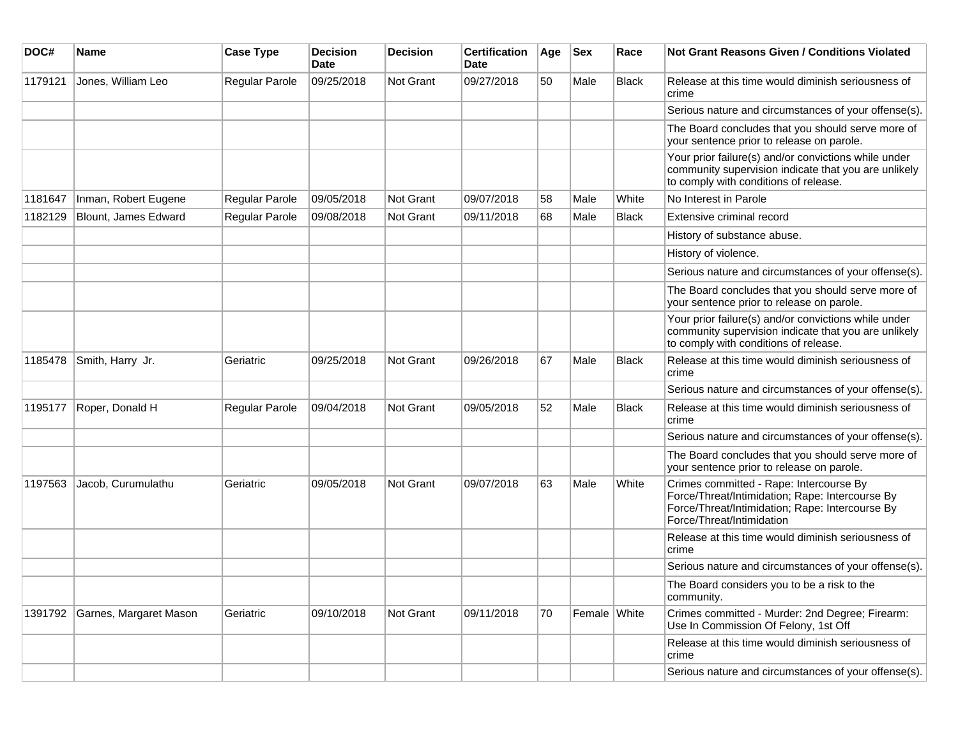| DOC#    | Name                   | <b>Case Type</b>      | <b>Decision</b><br>Date | <b>Decision</b>  | <b>Certification</b><br>Date | Age | <b>Sex</b>   | Race  | Not Grant Reasons Given / Conditions Violated                                                                                                                              |
|---------|------------------------|-----------------------|-------------------------|------------------|------------------------------|-----|--------------|-------|----------------------------------------------------------------------------------------------------------------------------------------------------------------------------|
| 1179121 | Jones, William Leo     | Regular Parole        | 09/25/2018              | Not Grant        | 09/27/2018                   | 50  | Male         | Black | Release at this time would diminish seriousness of<br>crime                                                                                                                |
|         |                        |                       |                         |                  |                              |     |              |       | Serious nature and circumstances of your offense(s).                                                                                                                       |
|         |                        |                       |                         |                  |                              |     |              |       | The Board concludes that you should serve more of<br>your sentence prior to release on parole.                                                                             |
|         |                        |                       |                         |                  |                              |     |              |       | Your prior failure(s) and/or convictions while under<br>community supervision indicate that you are unlikely<br>to comply with conditions of release.                      |
| 1181647 | Inman, Robert Eugene   | Regular Parole        | 09/05/2018              | <b>Not Grant</b> | 09/07/2018                   | 58  | Male         | White | No Interest in Parole                                                                                                                                                      |
| 1182129 | Blount, James Edward   | <b>Regular Parole</b> | 09/08/2018              | <b>Not Grant</b> | 09/11/2018                   | 68  | Male         | Black | Extensive criminal record                                                                                                                                                  |
|         |                        |                       |                         |                  |                              |     |              |       | History of substance abuse.                                                                                                                                                |
|         |                        |                       |                         |                  |                              |     |              |       | History of violence.                                                                                                                                                       |
|         |                        |                       |                         |                  |                              |     |              |       | Serious nature and circumstances of your offense(s).                                                                                                                       |
|         |                        |                       |                         |                  |                              |     |              |       | The Board concludes that you should serve more of<br>your sentence prior to release on parole.                                                                             |
|         |                        |                       |                         |                  |                              |     |              |       | Your prior failure(s) and/or convictions while under<br>community supervision indicate that you are unlikely<br>to comply with conditions of release.                      |
| 1185478 | Smith, Harry Jr.       | Geriatric             | 09/25/2018              | <b>Not Grant</b> | 09/26/2018                   | 67  | Male         | Black | Release at this time would diminish seriousness of<br>crime                                                                                                                |
|         |                        |                       |                         |                  |                              |     |              |       | Serious nature and circumstances of your offense(s).                                                                                                                       |
| 1195177 | Roper, Donald H        | Regular Parole        | 09/04/2018              | Not Grant        | 09/05/2018                   | 52  | Male         | Black | Release at this time would diminish seriousness of<br>crime                                                                                                                |
|         |                        |                       |                         |                  |                              |     |              |       | Serious nature and circumstances of your offense(s).                                                                                                                       |
|         |                        |                       |                         |                  |                              |     |              |       | The Board concludes that you should serve more of<br>your sentence prior to release on parole.                                                                             |
| 1197563 | Jacob, Curumulathu     | Geriatric             | 09/05/2018              | Not Grant        | 09/07/2018                   | 63  | Male         | White | Crimes committed - Rape: Intercourse By<br>Force/Threat/Intimidation; Rape: Intercourse By<br>Force/Threat/Intimidation; Rape: Intercourse By<br>Force/Threat/Intimidation |
|         |                        |                       |                         |                  |                              |     |              |       | Release at this time would diminish seriousness of<br>crime                                                                                                                |
|         |                        |                       |                         |                  |                              |     |              |       | Serious nature and circumstances of your offense(s).                                                                                                                       |
|         |                        |                       |                         |                  |                              |     |              |       | The Board considers you to be a risk to the<br>community.                                                                                                                  |
| 1391792 | Garnes, Margaret Mason | Geriatric             | 09/10/2018              | Not Grant        | 09/11/2018                   | 70  | Female White |       | Crimes committed - Murder: 2nd Degree; Firearm:<br>Use In Commission Of Felony, 1st Off                                                                                    |
|         |                        |                       |                         |                  |                              |     |              |       | Release at this time would diminish seriousness of<br>crime                                                                                                                |
|         |                        |                       |                         |                  |                              |     |              |       | Serious nature and circumstances of your offense(s).                                                                                                                       |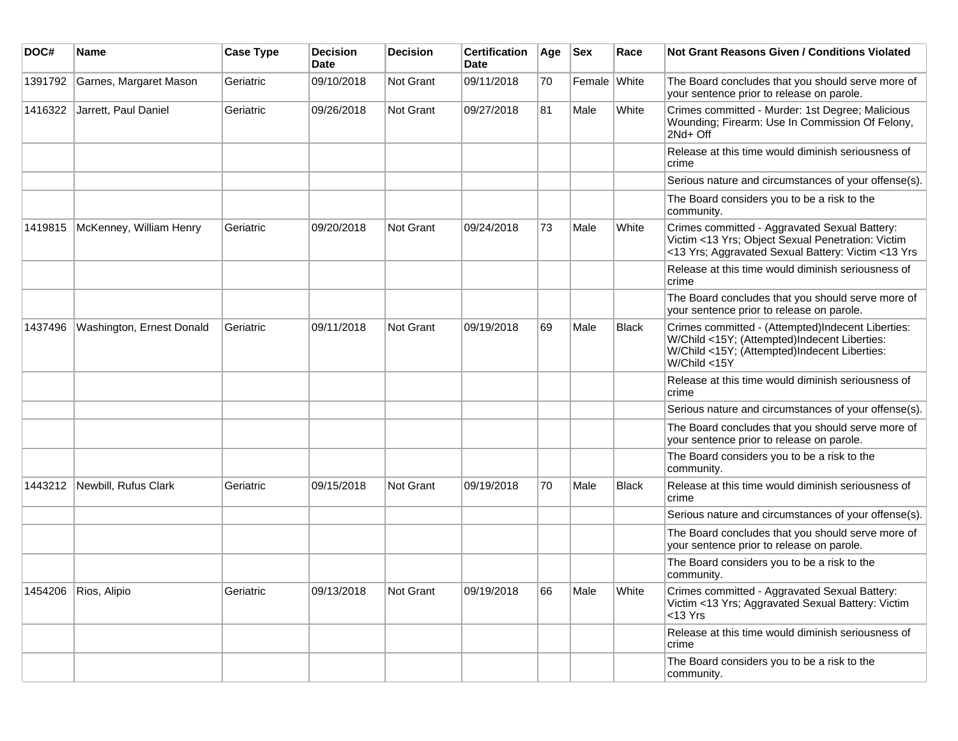| DOC#    | <b>Name</b>               | <b>Case Type</b> | <b>Decision</b><br><b>Date</b> | <b>Decision</b> | <b>Certification</b><br><b>Date</b> | Age | <b>Sex</b>   | Race         | <b>Not Grant Reasons Given / Conditions Violated</b>                                                                                                              |
|---------|---------------------------|------------------|--------------------------------|-----------------|-------------------------------------|-----|--------------|--------------|-------------------------------------------------------------------------------------------------------------------------------------------------------------------|
| 1391792 | Garnes, Margaret Mason    | Geriatric        | 09/10/2018                     | Not Grant       | 09/11/2018                          | 70  | Female White |              | The Board concludes that you should serve more of<br>your sentence prior to release on parole.                                                                    |
| 1416322 | Jarrett, Paul Daniel      | Geriatric        | 09/26/2018                     | Not Grant       | 09/27/2018                          | 81  | Male         | White        | Crimes committed - Murder: 1st Degree; Malicious<br>Wounding; Firearm: Use In Commission Of Felony,<br>2Nd+ Off                                                   |
|         |                           |                  |                                |                 |                                     |     |              |              | Release at this time would diminish seriousness of<br>crime                                                                                                       |
|         |                           |                  |                                |                 |                                     |     |              |              | Serious nature and circumstances of your offense(s).                                                                                                              |
|         |                           |                  |                                |                 |                                     |     |              |              | The Board considers you to be a risk to the<br>community.                                                                                                         |
| 1419815 | McKenney, William Henry   | Geriatric        | 09/20/2018                     | Not Grant       | 09/24/2018                          | 73  | Male         | White        | Crimes committed - Aggravated Sexual Battery:<br>Victim <13 Yrs; Object Sexual Penetration: Victim<br><13 Yrs; Aggravated Sexual Battery: Victim <13 Yrs          |
|         |                           |                  |                                |                 |                                     |     |              |              | Release at this time would diminish seriousness of<br>crime                                                                                                       |
|         |                           |                  |                                |                 |                                     |     |              |              | The Board concludes that you should serve more of<br>your sentence prior to release on parole.                                                                    |
| 1437496 | Washington, Ernest Donald | Geriatric        | 09/11/2018                     | Not Grant       | 09/19/2018                          | 69  | Male         | <b>Black</b> | Crimes committed - (Attempted)Indecent Liberties:<br>W/Child <15Y; (Attempted)Indecent Liberties:<br>W/Child <15Y; (Attempted)Indecent Liberties:<br>W/Child <15Y |
|         |                           |                  |                                |                 |                                     |     |              |              | Release at this time would diminish seriousness of<br>crime                                                                                                       |
|         |                           |                  |                                |                 |                                     |     |              |              | Serious nature and circumstances of your offense(s).                                                                                                              |
|         |                           |                  |                                |                 |                                     |     |              |              | The Board concludes that you should serve more of<br>your sentence prior to release on parole.                                                                    |
|         |                           |                  |                                |                 |                                     |     |              |              | The Board considers you to be a risk to the<br>community.                                                                                                         |
| 1443212 | Newbill, Rufus Clark      | Geriatric        | 09/15/2018                     | Not Grant       | 09/19/2018                          | 70  | Male         | Black        | Release at this time would diminish seriousness of<br>crime                                                                                                       |
|         |                           |                  |                                |                 |                                     |     |              |              | Serious nature and circumstances of your offense(s).                                                                                                              |
|         |                           |                  |                                |                 |                                     |     |              |              | The Board concludes that you should serve more of<br>your sentence prior to release on parole.                                                                    |
|         |                           |                  |                                |                 |                                     |     |              |              | The Board considers you to be a risk to the<br>community.                                                                                                         |
|         | 1454206   Rios, Alipio    | Geriatric        | 09/13/2018                     | Not Grant       | 09/19/2018                          | 66  | Male         | White        | Crimes committed - Aggravated Sexual Battery:<br>Victim <13 Yrs; Aggravated Sexual Battery: Victim<br>$<$ 13 Yrs                                                  |
|         |                           |                  |                                |                 |                                     |     |              |              | Release at this time would diminish seriousness of<br>crime                                                                                                       |
|         |                           |                  |                                |                 |                                     |     |              |              | The Board considers you to be a risk to the<br>community.                                                                                                         |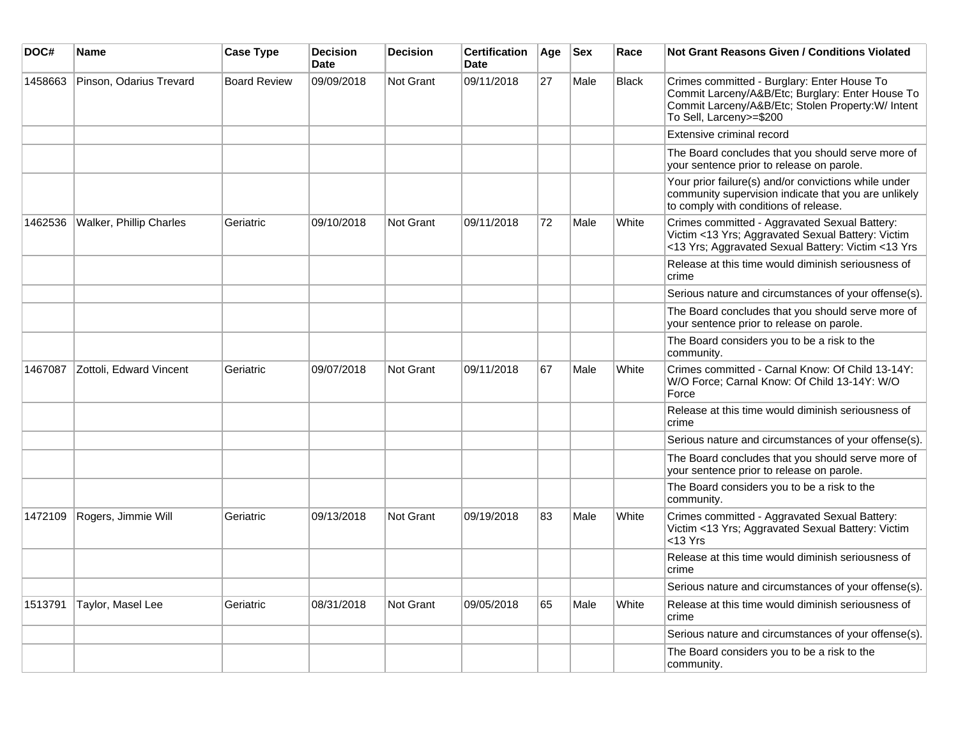| DOC#    | Name                           | <b>Case Type</b>    | <b>Decision</b><br><b>Date</b> | <b>Decision</b> | <b>Certification</b><br><b>Date</b> | Age | <b>Sex</b> | Race         | <b>Not Grant Reasons Given / Conditions Violated</b>                                                                                                                            |
|---------|--------------------------------|---------------------|--------------------------------|-----------------|-------------------------------------|-----|------------|--------------|---------------------------------------------------------------------------------------------------------------------------------------------------------------------------------|
| 1458663 | Pinson, Odarius Trevard        | <b>Board Review</b> | 09/09/2018                     | Not Grant       | 09/11/2018                          | 27  | Male       | <b>Black</b> | Crimes committed - Burglary: Enter House To<br>Commit Larceny/A&B/Etc; Burglary: Enter House To<br>Commit Larceny/A&B/Etc; Stolen Property:W/ Intent<br>To Sell, Larceny>=\$200 |
|         |                                |                     |                                |                 |                                     |     |            |              | Extensive criminal record                                                                                                                                                       |
|         |                                |                     |                                |                 |                                     |     |            |              | The Board concludes that you should serve more of<br>your sentence prior to release on parole.                                                                                  |
|         |                                |                     |                                |                 |                                     |     |            |              | Your prior failure(s) and/or convictions while under<br>community supervision indicate that you are unlikely<br>to comply with conditions of release.                           |
| 1462536 | <b>Walker, Phillip Charles</b> | Geriatric           | 09/10/2018                     | Not Grant       | 09/11/2018                          | 72  | Male       | White        | Crimes committed - Aggravated Sexual Battery:<br>Victim <13 Yrs; Aggravated Sexual Battery: Victim<br><13 Yrs; Aggravated Sexual Battery: Victim <13 Yrs                        |
|         |                                |                     |                                |                 |                                     |     |            |              | Release at this time would diminish seriousness of<br>crime                                                                                                                     |
|         |                                |                     |                                |                 |                                     |     |            |              | Serious nature and circumstances of your offense(s).                                                                                                                            |
|         |                                |                     |                                |                 |                                     |     |            |              | The Board concludes that you should serve more of<br>your sentence prior to release on parole.                                                                                  |
|         |                                |                     |                                |                 |                                     |     |            |              | The Board considers you to be a risk to the<br>community.                                                                                                                       |
| 1467087 | Zottoli. Edward Vincent        | Geriatric           | 09/07/2018                     | Not Grant       | 09/11/2018                          | 67  | Male       | White        | Crimes committed - Carnal Know: Of Child 13-14Y:<br>W/O Force; Carnal Know: Of Child 13-14Y: W/O<br>Force                                                                       |
|         |                                |                     |                                |                 |                                     |     |            |              | Release at this time would diminish seriousness of<br>crime                                                                                                                     |
|         |                                |                     |                                |                 |                                     |     |            |              | Serious nature and circumstances of your offense(s).                                                                                                                            |
|         |                                |                     |                                |                 |                                     |     |            |              | The Board concludes that you should serve more of<br>your sentence prior to release on parole.                                                                                  |
|         |                                |                     |                                |                 |                                     |     |            |              | The Board considers you to be a risk to the<br>community.                                                                                                                       |
| 1472109 | Rogers, Jimmie Will            | Geriatric           | 09/13/2018                     | Not Grant       | 09/19/2018                          | 83  | Male       | White        | Crimes committed - Aggravated Sexual Battery:<br>Victim <13 Yrs; Aggravated Sexual Battery: Victim<br><13 Yrs                                                                   |
|         |                                |                     |                                |                 |                                     |     |            |              | Release at this time would diminish seriousness of<br>crime                                                                                                                     |
|         |                                |                     |                                |                 |                                     |     |            |              | Serious nature and circumstances of your offense(s).                                                                                                                            |
| 1513791 | Taylor, Masel Lee              | Geriatric           | 08/31/2018                     | Not Grant       | 09/05/2018                          | 65  | Male       | White        | Release at this time would diminish seriousness of<br>crime                                                                                                                     |
|         |                                |                     |                                |                 |                                     |     |            |              | Serious nature and circumstances of your offense(s).                                                                                                                            |
|         |                                |                     |                                |                 |                                     |     |            |              | The Board considers you to be a risk to the<br>community.                                                                                                                       |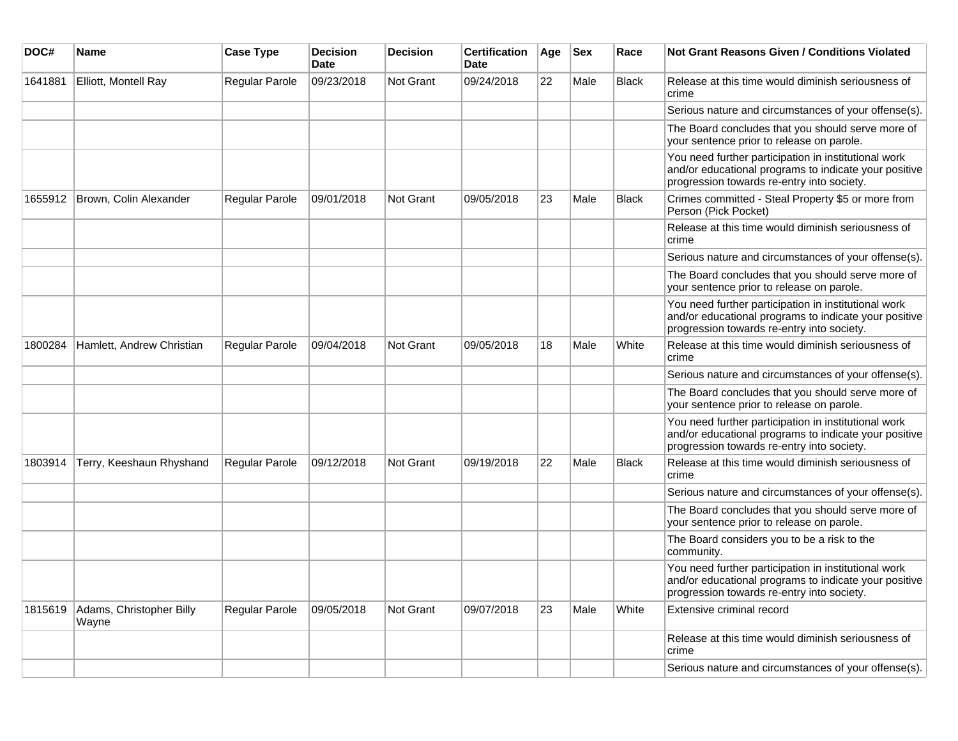| DOC#    | Name                              | <b>Case Type</b>      | <b>Decision</b><br>Date | <b>Decision</b> | <b>Certification</b><br>Date | Age | <b>Sex</b> | Race         | <b>Not Grant Reasons Given / Conditions Violated</b>                                                                                                        |
|---------|-----------------------------------|-----------------------|-------------------------|-----------------|------------------------------|-----|------------|--------------|-------------------------------------------------------------------------------------------------------------------------------------------------------------|
| 1641881 | Elliott, Montell Ray              | Regular Parole        | 09/23/2018              | Not Grant       | 09/24/2018                   | 22  | Male       | <b>Black</b> | Release at this time would diminish seriousness of<br>crime                                                                                                 |
|         |                                   |                       |                         |                 |                              |     |            |              | Serious nature and circumstances of your offense(s).                                                                                                        |
|         |                                   |                       |                         |                 |                              |     |            |              | The Board concludes that you should serve more of<br>your sentence prior to release on parole.                                                              |
|         |                                   |                       |                         |                 |                              |     |            |              | You need further participation in institutional work<br>and/or educational programs to indicate your positive<br>progression towards re-entry into society. |
| 1655912 | Brown, Colin Alexander            | Regular Parole        | 09/01/2018              | Not Grant       | 09/05/2018                   | 23  | Male       | <b>Black</b> | Crimes committed - Steal Property \$5 or more from<br>Person (Pick Pocket)                                                                                  |
|         |                                   |                       |                         |                 |                              |     |            |              | Release at this time would diminish seriousness of<br>crime                                                                                                 |
|         |                                   |                       |                         |                 |                              |     |            |              | Serious nature and circumstances of your offense(s).                                                                                                        |
|         |                                   |                       |                         |                 |                              |     |            |              | The Board concludes that you should serve more of<br>your sentence prior to release on parole.                                                              |
|         |                                   |                       |                         |                 |                              |     |            |              | You need further participation in institutional work<br>and/or educational programs to indicate your positive<br>progression towards re-entry into society. |
| 1800284 | Hamlett, Andrew Christian         | <b>Regular Parole</b> | 09/04/2018              | Not Grant       | 09/05/2018                   | 18  | Male       | White        | Release at this time would diminish seriousness of<br>crime                                                                                                 |
|         |                                   |                       |                         |                 |                              |     |            |              | Serious nature and circumstances of your offense(s).                                                                                                        |
|         |                                   |                       |                         |                 |                              |     |            |              | The Board concludes that you should serve more of<br>your sentence prior to release on parole.                                                              |
|         |                                   |                       |                         |                 |                              |     |            |              | You need further participation in institutional work<br>and/or educational programs to indicate your positive<br>progression towards re-entry into society. |
| 1803914 | Terry, Keeshaun Rhyshand          | <b>Regular Parole</b> | 09/12/2018              | Not Grant       | 09/19/2018                   | 22  | Male       | Black        | Release at this time would diminish seriousness of<br>crime                                                                                                 |
|         |                                   |                       |                         |                 |                              |     |            |              | Serious nature and circumstances of your offense(s).                                                                                                        |
|         |                                   |                       |                         |                 |                              |     |            |              | The Board concludes that you should serve more of<br>your sentence prior to release on parole.                                                              |
|         |                                   |                       |                         |                 |                              |     |            |              | The Board considers you to be a risk to the<br>community.                                                                                                   |
|         |                                   |                       |                         |                 |                              |     |            |              | You need further participation in institutional work<br>and/or educational programs to indicate your positive<br>progression towards re-entry into society. |
| 1815619 | Adams, Christopher Billy<br>Wayne | Regular Parole        | 09/05/2018              | Not Grant       | 09/07/2018                   | 23  | Male       | White        | Extensive criminal record                                                                                                                                   |
|         |                                   |                       |                         |                 |                              |     |            |              | Release at this time would diminish seriousness of<br>crime                                                                                                 |
|         |                                   |                       |                         |                 |                              |     |            |              | Serious nature and circumstances of your offense(s).                                                                                                        |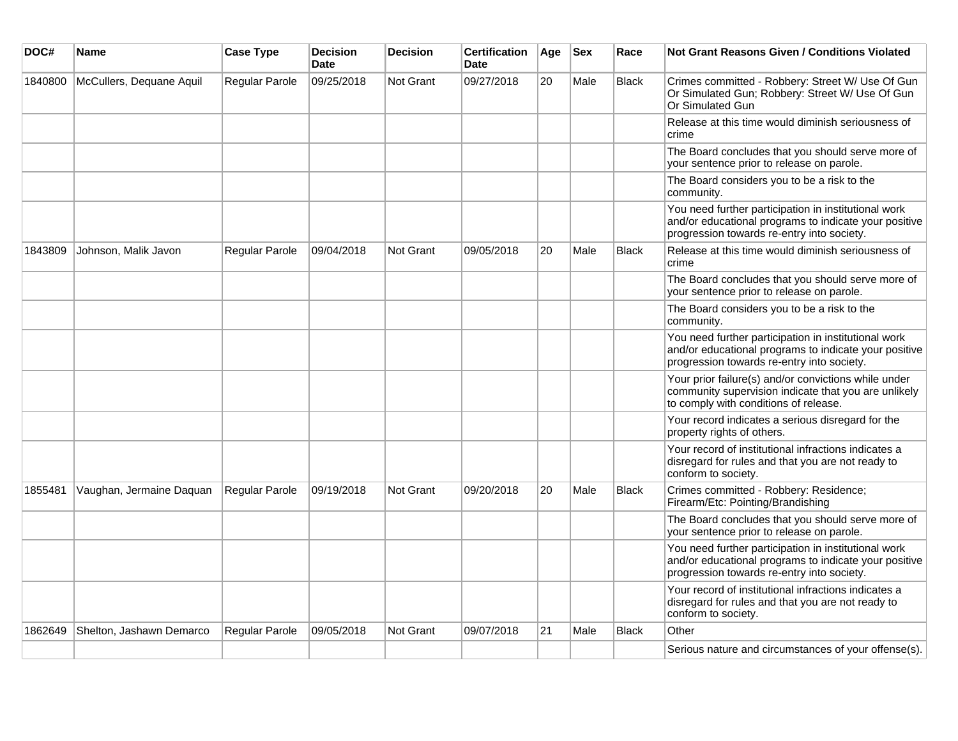| DOC#    | Name                     | <b>Case Type</b>      | <b>Decision</b><br><b>Date</b> | <b>Decision</b>  | <b>Certification</b><br><b>Date</b> | Age | <b>Sex</b> | Race         | <b>Not Grant Reasons Given / Conditions Violated</b>                                                                                                        |
|---------|--------------------------|-----------------------|--------------------------------|------------------|-------------------------------------|-----|------------|--------------|-------------------------------------------------------------------------------------------------------------------------------------------------------------|
| 1840800 | McCullers, Dequane Aquil | <b>Regular Parole</b> | 09/25/2018                     | <b>Not Grant</b> | 09/27/2018                          | 20  | Male       | <b>Black</b> | Crimes committed - Robbery: Street W/ Use Of Gun<br>Or Simulated Gun; Robbery: Street W/ Use Of Gun<br>Or Simulated Gun                                     |
|         |                          |                       |                                |                  |                                     |     |            |              | Release at this time would diminish seriousness of<br>crime                                                                                                 |
|         |                          |                       |                                |                  |                                     |     |            |              | The Board concludes that you should serve more of<br>your sentence prior to release on parole.                                                              |
|         |                          |                       |                                |                  |                                     |     |            |              | The Board considers you to be a risk to the<br>community.                                                                                                   |
|         |                          |                       |                                |                  |                                     |     |            |              | You need further participation in institutional work<br>and/or educational programs to indicate your positive<br>progression towards re-entry into society. |
| 1843809 | Johnson, Malik Javon     | Regular Parole        | 09/04/2018                     | Not Grant        | 09/05/2018                          | 20  | Male       | <b>Black</b> | Release at this time would diminish seriousness of<br>crime                                                                                                 |
|         |                          |                       |                                |                  |                                     |     |            |              | The Board concludes that you should serve more of<br>your sentence prior to release on parole.                                                              |
|         |                          |                       |                                |                  |                                     |     |            |              | The Board considers you to be a risk to the<br>community.                                                                                                   |
|         |                          |                       |                                |                  |                                     |     |            |              | You need further participation in institutional work<br>and/or educational programs to indicate your positive<br>progression towards re-entry into society. |
|         |                          |                       |                                |                  |                                     |     |            |              | Your prior failure(s) and/or convictions while under<br>community supervision indicate that you are unlikely<br>to comply with conditions of release.       |
|         |                          |                       |                                |                  |                                     |     |            |              | Your record indicates a serious disregard for the<br>property rights of others.                                                                             |
|         |                          |                       |                                |                  |                                     |     |            |              | Your record of institutional infractions indicates a<br>disregard for rules and that you are not ready to<br>conform to society.                            |
| 1855481 | Vaughan, Jermaine Daquan | Regular Parole        | 09/19/2018                     | <b>Not Grant</b> | 09/20/2018                          | 20  | Male       | <b>Black</b> | Crimes committed - Robbery: Residence;<br>Firearm/Etc: Pointing/Brandishing                                                                                 |
|         |                          |                       |                                |                  |                                     |     |            |              | The Board concludes that you should serve more of<br>your sentence prior to release on parole.                                                              |
|         |                          |                       |                                |                  |                                     |     |            |              | You need further participation in institutional work<br>and/or educational programs to indicate your positive<br>progression towards re-entry into society. |
|         |                          |                       |                                |                  |                                     |     |            |              | Your record of institutional infractions indicates a<br>disregard for rules and that you are not ready to<br>conform to society.                            |
| 1862649 | Shelton, Jashawn Demarco | Regular Parole        | 09/05/2018                     | <b>Not Grant</b> | 09/07/2018                          | 21  | Male       | <b>Black</b> | Other                                                                                                                                                       |
|         |                          |                       |                                |                  |                                     |     |            |              | Serious nature and circumstances of your offense(s).                                                                                                        |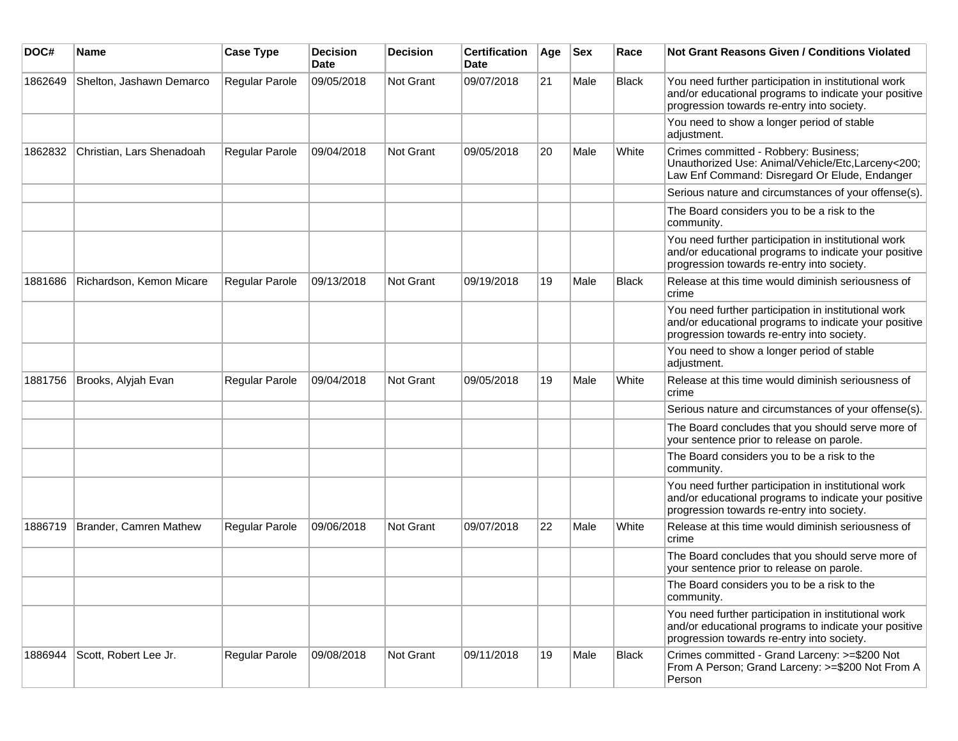| DOC#    | <b>Name</b>               | <b>Case Type</b>      | <b>Decision</b><br><b>Date</b> | <b>Decision</b> | <b>Certification</b><br>Date | Age | <b>Sex</b> | Race         | Not Grant Reasons Given / Conditions Violated                                                                                                               |
|---------|---------------------------|-----------------------|--------------------------------|-----------------|------------------------------|-----|------------|--------------|-------------------------------------------------------------------------------------------------------------------------------------------------------------|
| 1862649 | Shelton, Jashawn Demarco  | Regular Parole        | 09/05/2018                     | Not Grant       | 09/07/2018                   | 21  | Male       | <b>Black</b> | You need further participation in institutional work<br>and/or educational programs to indicate your positive<br>progression towards re-entry into society. |
|         |                           |                       |                                |                 |                              |     |            |              | You need to show a longer period of stable<br>adjustment.                                                                                                   |
| 1862832 | Christian, Lars Shenadoah | Regular Parole        | 09/04/2018                     | Not Grant       | 09/05/2018                   | 20  | Male       | White        | Crimes committed - Robbery: Business;<br>Unauthorized Use: Animal/Vehicle/Etc,Larceny<200;<br>Law Enf Command: Disregard Or Elude, Endanger                 |
|         |                           |                       |                                |                 |                              |     |            |              | Serious nature and circumstances of your offense(s).                                                                                                        |
|         |                           |                       |                                |                 |                              |     |            |              | The Board considers you to be a risk to the<br>community.                                                                                                   |
|         |                           |                       |                                |                 |                              |     |            |              | You need further participation in institutional work<br>and/or educational programs to indicate your positive<br>progression towards re-entry into society. |
| 1881686 | Richardson, Kemon Micare  | Regular Parole        | 09/13/2018                     | Not Grant       | 09/19/2018                   | 19  | Male       | <b>Black</b> | Release at this time would diminish seriousness of<br>crime                                                                                                 |
|         |                           |                       |                                |                 |                              |     |            |              | You need further participation in institutional work<br>and/or educational programs to indicate your positive<br>progression towards re-entry into society. |
|         |                           |                       |                                |                 |                              |     |            |              | You need to show a longer period of stable<br>adjustment.                                                                                                   |
| 1881756 | Brooks, Alyjah Evan       | <b>Regular Parole</b> | 09/04/2018                     | Not Grant       | 09/05/2018                   | 19  | Male       | White        | Release at this time would diminish seriousness of<br>crime                                                                                                 |
|         |                           |                       |                                |                 |                              |     |            |              | Serious nature and circumstances of your offense(s).                                                                                                        |
|         |                           |                       |                                |                 |                              |     |            |              | The Board concludes that you should serve more of<br>your sentence prior to release on parole.                                                              |
|         |                           |                       |                                |                 |                              |     |            |              | The Board considers you to be a risk to the<br>community.                                                                                                   |
|         |                           |                       |                                |                 |                              |     |            |              | You need further participation in institutional work<br>and/or educational programs to indicate your positive<br>progression towards re-entry into society. |
| 1886719 | Brander, Camren Mathew    | <b>Regular Parole</b> | 09/06/2018                     | Not Grant       | 09/07/2018                   | 22  | Male       | White        | Release at this time would diminish seriousness of<br>crime                                                                                                 |
|         |                           |                       |                                |                 |                              |     |            |              | The Board concludes that you should serve more of<br>your sentence prior to release on parole.                                                              |
|         |                           |                       |                                |                 |                              |     |            |              | The Board considers you to be a risk to the<br>community.                                                                                                   |
|         |                           |                       |                                |                 |                              |     |            |              | You need further participation in institutional work<br>and/or educational programs to indicate your positive<br>progression towards re-entry into society. |
| 1886944 | Scott, Robert Lee Jr.     | Regular Parole        | 09/08/2018                     | Not Grant       | 09/11/2018                   | 19  | Male       | Black        | Crimes committed - Grand Larceny: >=\$200 Not<br>From A Person; Grand Larceny: >=\$200 Not From A<br>Person                                                 |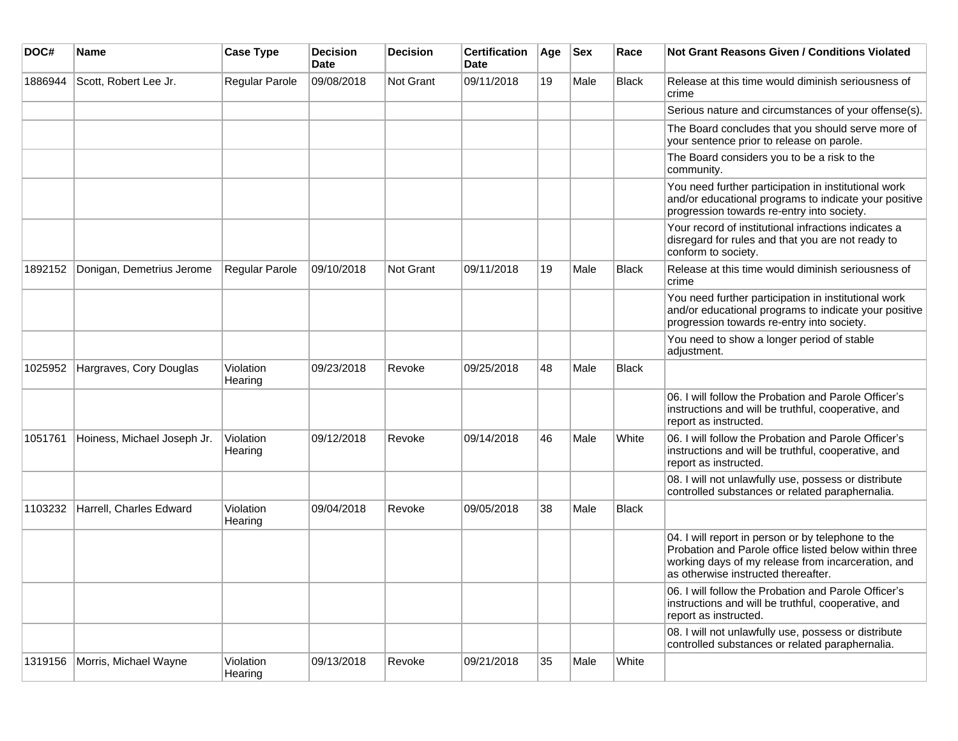| DOC#    | <b>Name</b>                 | <b>Case Type</b>     | <b>Decision</b><br>Date | <b>Decision</b>  | <b>Certification</b><br>Date | Age | <b>Sex</b> | Race         | <b>Not Grant Reasons Given / Conditions Violated</b>                                                                                                                                                     |
|---------|-----------------------------|----------------------|-------------------------|------------------|------------------------------|-----|------------|--------------|----------------------------------------------------------------------------------------------------------------------------------------------------------------------------------------------------------|
| 1886944 | Scott, Robert Lee Jr.       | Regular Parole       | 09/08/2018              | <b>Not Grant</b> | 09/11/2018                   | 19  | Male       | Black        | Release at this time would diminish seriousness of<br>crime                                                                                                                                              |
|         |                             |                      |                         |                  |                              |     |            |              | Serious nature and circumstances of your offense(s).                                                                                                                                                     |
|         |                             |                      |                         |                  |                              |     |            |              | The Board concludes that you should serve more of<br>your sentence prior to release on parole.                                                                                                           |
|         |                             |                      |                         |                  |                              |     |            |              | The Board considers you to be a risk to the<br>community.                                                                                                                                                |
|         |                             |                      |                         |                  |                              |     |            |              | You need further participation in institutional work<br>and/or educational programs to indicate your positive<br>progression towards re-entry into society.                                              |
|         |                             |                      |                         |                  |                              |     |            |              | Your record of institutional infractions indicates a<br>disregard for rules and that you are not ready to<br>conform to society.                                                                         |
| 1892152 | Donigan, Demetrius Jerome   | Regular Parole       | 09/10/2018              | Not Grant        | 09/11/2018                   | 19  | Male       | <b>Black</b> | Release at this time would diminish seriousness of<br>crime                                                                                                                                              |
|         |                             |                      |                         |                  |                              |     |            |              | You need further participation in institutional work<br>and/or educational programs to indicate your positive<br>progression towards re-entry into society.                                              |
|         |                             |                      |                         |                  |                              |     |            |              | You need to show a longer period of stable<br>adjustment.                                                                                                                                                |
| 1025952 | Hargraves, Cory Douglas     | Violation<br>Hearing | 09/23/2018              | Revoke           | 09/25/2018                   | 48  | Male       | <b>Black</b> |                                                                                                                                                                                                          |
|         |                             |                      |                         |                  |                              |     |            |              | 06. I will follow the Probation and Parole Officer's<br>instructions and will be truthful, cooperative, and<br>report as instructed.                                                                     |
| 1051761 | Hoiness, Michael Joseph Jr. | Violation<br>Hearing | 09/12/2018              | Revoke           | 09/14/2018                   | 46  | Male       | White        | 06. I will follow the Probation and Parole Officer's<br>instructions and will be truthful, cooperative, and<br>report as instructed.                                                                     |
|         |                             |                      |                         |                  |                              |     |            |              | 08. I will not unlawfully use, possess or distribute<br>controlled substances or related paraphernalia.                                                                                                  |
| 1103232 | Harrell, Charles Edward     | Violation<br>Hearing | 09/04/2018              | Revoke           | 09/05/2018                   | 38  | Male       | <b>Black</b> |                                                                                                                                                                                                          |
|         |                             |                      |                         |                  |                              |     |            |              | 04. I will report in person or by telephone to the<br>Probation and Parole office listed below within three<br>working days of my release from incarceration, and<br>as otherwise instructed thereafter. |
|         |                             |                      |                         |                  |                              |     |            |              | 06. I will follow the Probation and Parole Officer's<br>instructions and will be truthful, cooperative, and<br>report as instructed.                                                                     |
|         |                             |                      |                         |                  |                              |     |            |              | 08. I will not unlawfully use, possess or distribute<br>controlled substances or related paraphernalia.                                                                                                  |
| 1319156 | Morris, Michael Wayne       | Violation<br>Hearing | 09/13/2018              | Revoke           | 09/21/2018                   | 35  | Male       | White        |                                                                                                                                                                                                          |